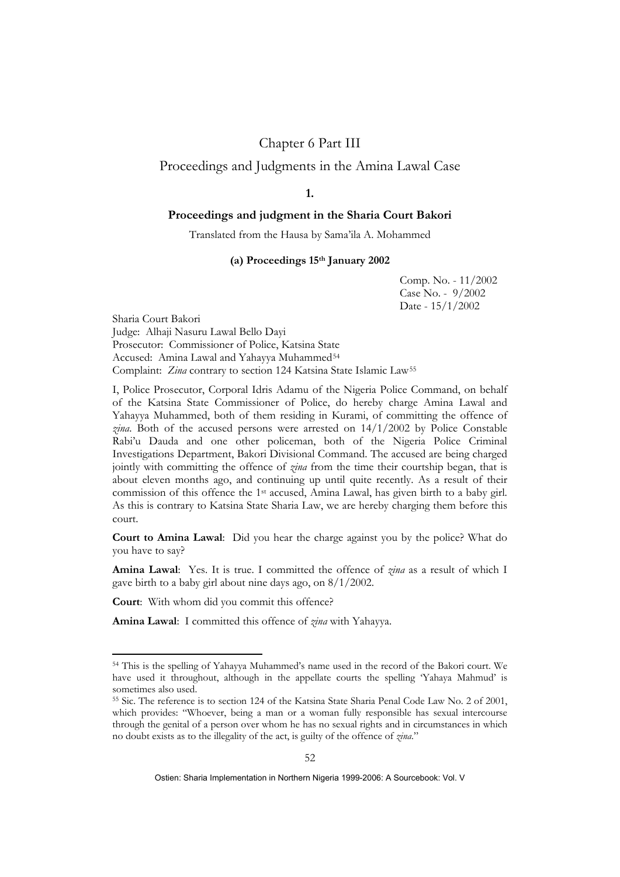# Chapter 6 Part III

## Proceedings and Judgments in the Amina Lawal Case

# **1.**

## **Proceedings and judgment in the Sharia Court Bakori**

Translated from the Hausa by Sama'ila A. Mohammed

### **(a) Proceedings 15th January 2002**

Comp. No. - 11/2002 Case No. - 9/2002 Date - 15/1/2002

Sharia Court Bakori Judge: Alhaji Nasuru Lawal Bello Dayi Prosecutor: Commissioner of Police, Katsina State Accused: Amina Lawal and Yahayya Muhammed<sup>[54](#page-0-0)</sup> Complaint: *Zina* contrary to section 124 Katsina State Islamic Law[55](#page-0-1)

I, Police Prosecutor, Corporal Idris Adamu of the Nigeria Police Command, on behalf of the Katsina State Commissioner of Police, do hereby charge Amina Lawal and Yahayya Muhammed, both of them residing in Kurami, of committing the offence of *zina*. Both of the accused persons were arrested on 14/1/2002 by Police Constable Rabi'u Dauda and one other policeman, both of the Nigeria Police Criminal Investigations Department, Bakori Divisional Command. The accused are being charged jointly with committing the offence of *zina* from the time their courtship began, that is about eleven months ago, and continuing up until quite recently. As a result of their commission of this offence the 1st accused, Amina Lawal, has given birth to a baby girl. As this is contrary to Katsina State Sharia Law, we are hereby charging them before this court.

**Court to Amina Lawal**:Did you hear the charge against you by the police? What do you have to say?

**Amina Lawal**: Yes. It is true. I committed the offence of *zina* as a result of which I gave birth to a baby girl about nine days ago, on 8/1/2002.

**Court**: With whom did you commit this offence?

1

**Amina Lawal**: I committed this offence of *zina* with Yahayya.

<span id="page-0-0"></span><sup>54</sup> This is the spelling of Yahayya Muhammed's name used in the record of the Bakori court. We have used it throughout, although in the appellate courts the spelling 'Yahaya Mahmud' is sometimes also used.

<span id="page-0-1"></span><sup>55</sup> Sic. The reference is to section 124 of the Katsina State Sharia Penal Code Law No. 2 of 2001, which provides: "Whoever, being a man or a woman fully responsible has sexual intercourse through the genital of a person over whom he has no sexual rights and in circumstances in which no doubt exists as to the illegality of the act, is guilty of the offence of *zina*."

Ostien: Sharia Implementation in Northern Nigeria 1999-2006: A Sourcebook: Vol. V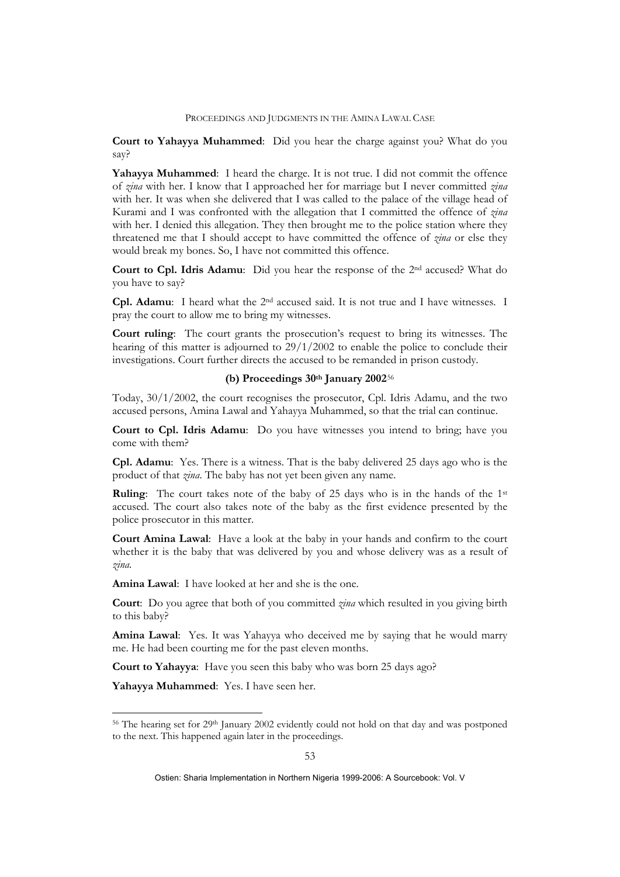**Court to Yahayya Muhammed**:Did you hear the charge against you? What do you say?

**Yahayya Muhammed**: I heard the charge. It is not true. I did not commit the offence of *zina* with her. I know that I approached her for marriage but I never committed *zina* with her. It was when she delivered that I was called to the palace of the village head of Kurami and I was confronted with the allegation that I committed the offence of *zina* with her. I denied this allegation. They then brought me to the police station where they threatened me that I should accept to have committed the offence of *zina* or else they would break my bones. So, I have not committed this offence.

**Court to Cpl. Idris Adamu**: Did you hear the response of the 2nd accused? What do you have to say?

**Cpl. Adamu**: I heard what the 2nd accused said. It is not true and I have witnesses. I pray the court to allow me to bring my witnesses.

**Court ruling**: The court grants the prosecution's request to bring its witnesses. The hearing of this matter is adjourned to 29/1/2002 to enable the police to conclude their investigations. Court further directs the accused to be remanded in prison custody.

#### **(b) Proceedings 30th January 2002**[56](#page-1-0)

Today, 30/1/2002, the court recognises the prosecutor, Cpl. Idris Adamu, and the two accused persons, Amina Lawal and Yahayya Muhammed, so that the trial can continue.

**Court to Cpl. Idris Adamu**: Do you have witnesses you intend to bring; have you come with them?

**Cpl. Adamu**: Yes. There is a witness. That is the baby delivered 25 days ago who is the product of that *zina*. The baby has not yet been given any name.

**Ruling**: The court takes note of the baby of 25 days who is in the hands of the 1st accused. The court also takes note of the baby as the first evidence presented by the police prosecutor in this matter.

**Court Amina Lawal**: Have a look at the baby in your hands and confirm to the court whether it is the baby that was delivered by you and whose delivery was as a result of *zina.* 

**Amina Lawal**: I have looked at her and she is the one.

**Court**: Do you agree that both of you committed *zina* which resulted in you giving birth to this baby?

**Amina Lawal**: Yes. It was Yahayya who deceived me by saying that he would marry me. He had been courting me for the past eleven months.

**Court to Yahayya**: Have you seen this baby who was born 25 days ago?

**Yahayya Muhammed**: Yes. I have seen her.

1

<span id="page-1-0"></span><sup>&</sup>lt;sup>56</sup> The hearing set for 29<sup>th</sup> January 2002 evidently could not hold on that day and was postponed to the next. This happened again later in the proceedings.

Ostien: Sharia Implementation in Northern Nigeria 1999-2006: A Sourcebook: Vol. V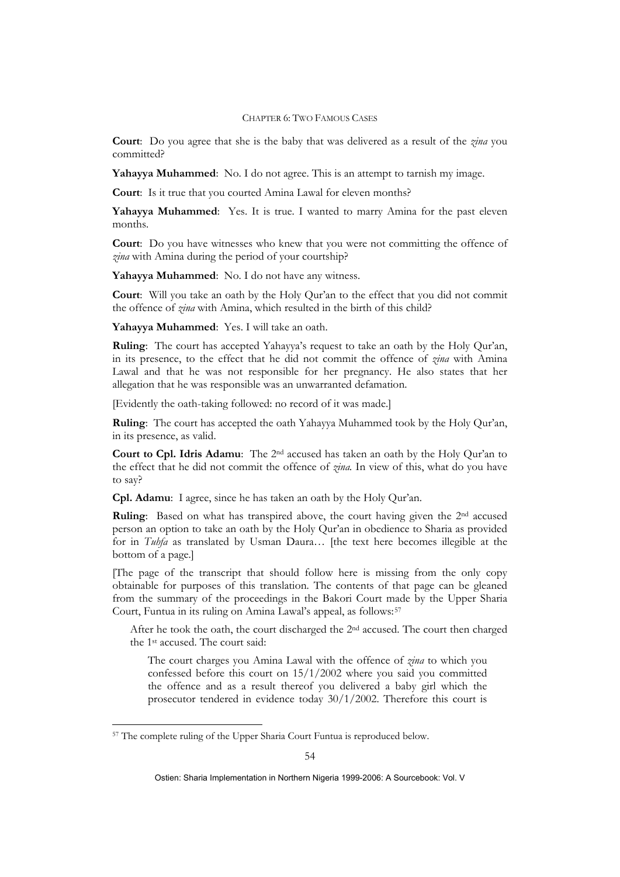**Court**: Do you agree that she is the baby that was delivered as a result of the *zina* you committed?

**Yahayya Muhammed**: No. I do not agree. This is an attempt to tarnish my image.

**Court**: Is it true that you courted Amina Lawal for eleven months?

**Yahayya Muhammed**: Yes. It is true. I wanted to marry Amina for the past eleven months.

**Court**: Do you have witnesses who knew that you were not committing the offence of *zina* with Amina during the period of your courtship?

**Yahayya Muhammed**: No. I do not have any witness.

**Court**: Will you take an oath by the Holy Qur'an to the effect that you did not commit the offence of *zina* with Amina, which resulted in the birth of this child?

**Yahayya Muhammed**: Yes. I will take an oath.

**Ruling**: The court has accepted Yahayya's request to take an oath by the Holy Qur'an, in its presence, to the effect that he did not commit the offence of *zina* with Amina Lawal and that he was not responsible for her pregnancy. He also states that her allegation that he was responsible was an unwarranted defamation.

[Evidently the oath-taking followed: no record of it was made.]

**Ruling**: The court has accepted the oath Yahayya Muhammed took by the Holy Qur'an, in its presence, as valid.

**Court to Cpl. Idris Adamu**: The 2nd accused has taken an oath by the Holy Qur'an to the effect that he did not commit the offence of *zina.* In view of this, what do you have to say?

**Cpl. Adamu**: I agree, since he has taken an oath by the Holy Qur'an.

**Ruling**: Based on what has transpired above, the court having given the 2<sup>nd</sup> accused person an option to take an oath by the Holy Qur'an in obedience to Sharia as provided for in *Tuhfa* as translated by Usman Daura… [the text here becomes illegible at the bottom of a page.]

[The page of the transcript that should follow here is missing from the only copy obtainable for purposes of this translation. The contents of that page can be gleaned from the summary of the proceedings in the Bakori Court made by the Upper Sharia Court, Funtua in its ruling on Amina Lawal's appeal, as follows:<sup>[57](#page-2-0)</sup>

After he took the oath, the court discharged the 2<sup>nd</sup> accused. The court then charged the 1st accused. The court said:

The court charges you Amina Lawal with the offence of *zina* to which you confessed before this court on 15/1/2002 where you said you committed the offence and as a result thereof you delivered a baby girl which the prosecutor tendered in evidence today 30/1/2002. Therefore this court is

1

<span id="page-2-0"></span><sup>57</sup> The complete ruling of the Upper Sharia Court Funtua is reproduced below.

Ostien: Sharia Implementation in Northern Nigeria 1999-2006: A Sourcebook: Vol. V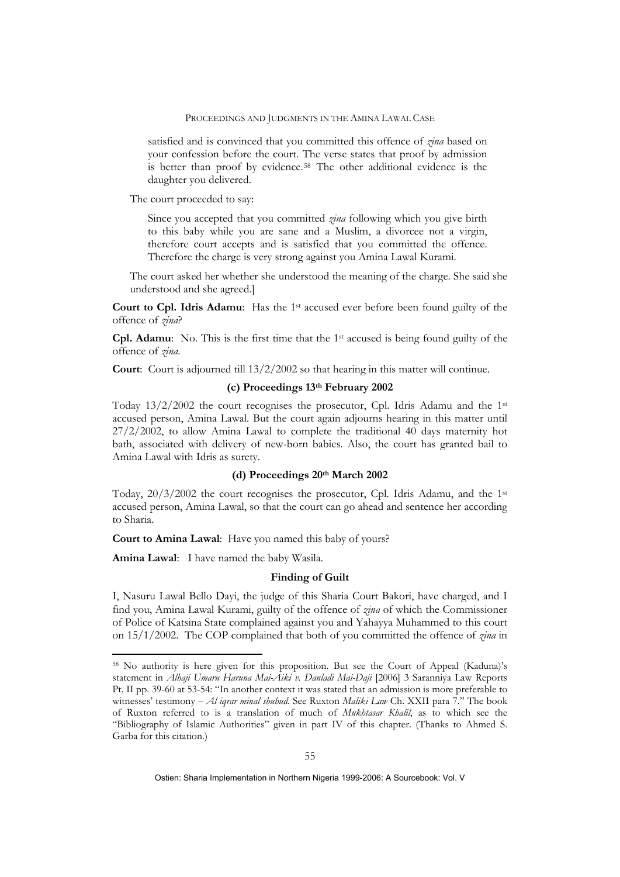satisfied and is convinced that you committed this offence of *zina* based on your confession before the court. The verse states that proof by admission is better than proof by evidence.[58](#page-3-0) The other additional evidence is the daughter you delivered.

The court proceeded to say:

Since you accepted that you committed *zina* following which you give birth to this baby while you are sane and a Muslim, a divorcee not a virgin, therefore court accepts and is satisfied that you committed the offence. Therefore the charge is very strong against you Amina Lawal Kurami.

The court asked her whether she understood the meaning of the charge. She said she understood and she agreed.]

**Court to Cpl. Idris Adamu:** Has the 1<sup>st</sup> accused ever before been found guilty of the offence of *zina*?

**Cpl. Adamu**: No. This is the first time that the 1st accused is being found guilty of the offence of *zina.*

**Court**: Court is adjourned till 13/2/2002 so that hearing in this matter will continue.

### **(c) Proceedings 13th February 2002**

Today  $13/2/2002$  the court recognises the prosecutor, Cpl. Idris Adamu and the 1st accused person, Amina Lawal. But the court again adjourns hearing in this matter until 27/2/2002, to allow Amina Lawal to complete the traditional 40 days maternity hot bath, associated with delivery of new-born babies. Also, the court has granted bail to Amina Lawal with Idris as surety.

### **(d) Proceedings 20th March 2002**

Today, 20/3/2002 the court recognises the prosecutor, Cpl. Idris Adamu, and the 1st accused person, Amina Lawal, so that the court can go ahead and sentence her according to Sharia.

**Court to Amina Lawal**: Have you named this baby of yours?

**Amina Lawal**: I have named the baby Wasila.

1

### **Finding of Guilt**

I, Nasuru Lawal Bello Dayi, the judge of this Sharia Court Bakori, have charged, and I find you, Amina Lawal Kurami, guilty of the offence of *zina* of which the Commissioner of Police of Katsina State complained against you and Yahayya Muhammed to this court on 15/1/2002. The COP complained that both of you committed the offence of *zina* in

<span id="page-3-0"></span><sup>58</sup> No authority is here given for this proposition. But see the Court of Appeal (Kaduna)'s statement in *Alhaji Umaru Haruna Mai-Aiki v. Danladi Mai-Daji* [2006] 3 Saranniya Law Reports Pt. II pp. 39-60 at 53-54: "In another context it was stated that an admission is more preferable to witnesses' testimony – *Al iqrar minal shuhud*. See Ruxton *Maliki Law* Ch. XXII para 7." The book of Ruxton referred to is a translation of much of *Mukhtasar Khalil*, as to which see the "Bibliography of Islamic Authorities" given in part IV of this chapter. (Thanks to Ahmed S. Garba for this citation.)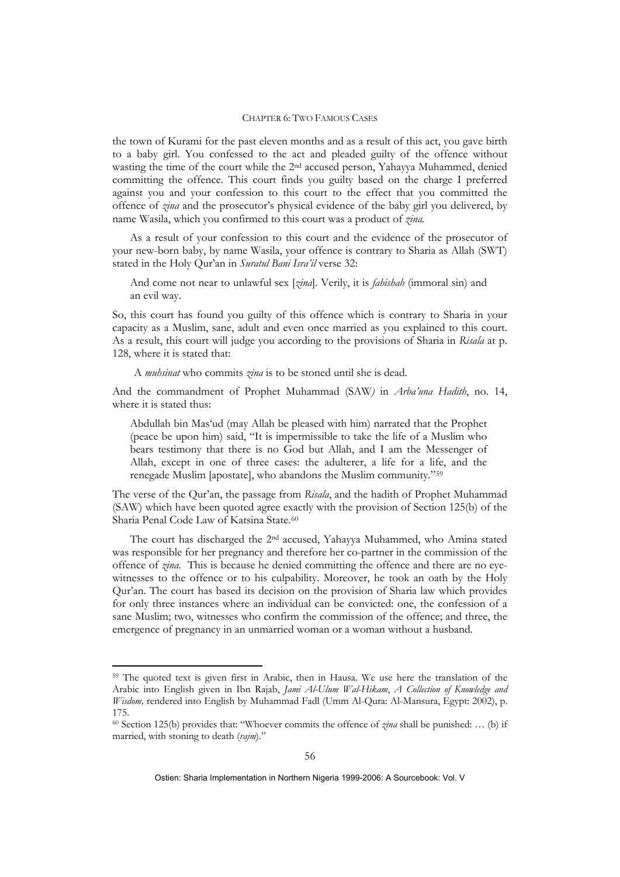the town of Kurami for the past eleven months and as a result of this act, you gave birth to a baby girl. You confessed to the act and pleaded guilty of the offence without wasting the time of the court while the 2nd accused person, Yahayya Muhammed, denied committing the offence. This court finds you guilty based on the charge I preferred against you and your confession to this court to the effect that you committed the offence of *zina* and the prosecutor's physical evidence of the baby girl you delivered, by name Wasila, which you confirmed to this court was a product of *zina.* 

As a result of your confession to this court and the evidence of the prosecutor of your new-born baby, by name Wasila, your offence is contrary to Sharia as Allah (SWT) stated in the Holy Qur'an in *Suratul Bani Isra'il* verse 32:

And come not near to unlawful sex [*zina*]. Verily, it is *fahishah* (immoral sin) and an evil way.

So, this court has found you guilty of this offence which is contrary to Sharia in your capacity as a Muslim, sane, adult and even once married as you explained to this court. As a result, this court will judge you according to the provisions of Sharia in *Risala* at p. 128, where it is stated that:

A *muhsinat* who commits *zina* is to be stoned until she is dead.

And the commandment of Prophet Muhammad (SAW*)* in *Arba'una Hadith*, no. 14, where it is stated thus:

Abdullah bin Mas'ud (may Allah be pleased with him) narrated that the Prophet (peace be upon him) said, "It is impermissible to take the life of a Muslim who bears testimony that there is no God but Allah, and I am the Messenger of Allah, except in one of three cases: the adulterer, a life for a life, and the renegade Muslim [apostate], who abandons the Muslim community."[59](#page-4-0)

The verse of the Qur'an, the passage from *Risala*, and the hadith of Prophet Muhammad (SAW) which have been quoted agree exactly with the provision of Section 125(b) of the Sharia Penal Code Law of Katsina State.[60](#page-4-1)

The court has discharged the 2nd accused, Yahayya Muhammed, who Amina stated was responsible for her pregnancy and therefore her co-partner in the commission of the offence of *zina.* This is because he denied committing the offence and there are no eyewitnesses to the offence or to his culpability. Moreover, he took an oath by the Holy Qur'an. The court has based its decision on the provision of Sharia law which provides for only three instances where an individual can be convicted: one, the confession of a sane Muslim; two, witnesses who confirm the commission of the offence; and three, the emergence of pregnancy in an unmarried woman or a woman without a husband.

<u>.</u>

<span id="page-4-0"></span><sup>59</sup> The quoted text is given first in Arabic, then in Hausa. We use here the translation of the Arabic into English given in Ibn Rajab, *Jami Al-Ulum Wal-Hikam*, *A Collection of Knowledge and Wisdom,* rendered into English by Muhammad Fadl (Umm Al-Qura: Al-Mansura, Egypt: 2002), p. 175.

<span id="page-4-1"></span><sup>60</sup> Section 125(b) provides that: "Whoever commits the offence of *zina* shall be punished: … (b) if married, with stoning to death (*rajm*)."

Ostien: Sharia Implementation in Northern Nigeria 1999-2006: A Sourcebook: Vol. V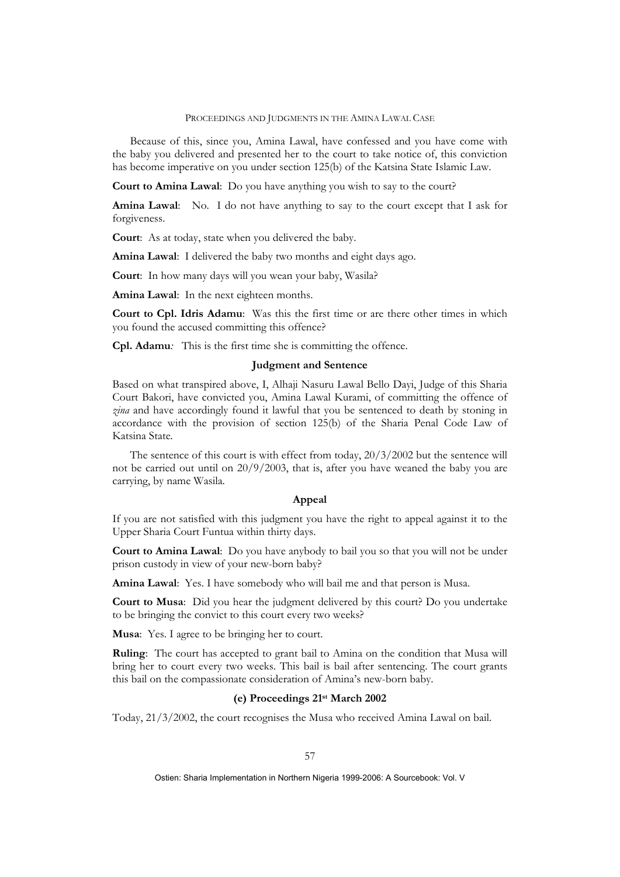Because of this, since you, Amina Lawal, have confessed and you have come with the baby you delivered and presented her to the court to take notice of, this conviction has become imperative on you under section 125(b) of the Katsina State Islamic Law.

**Court to Amina Lawal**: Do you have anything you wish to say to the court?

**Amina Lawal**: No. I do not have anything to say to the court except that I ask for forgiveness.

**Court**: As at today, state when you delivered the baby.

**Amina Lawal**: I delivered the baby two months and eight days ago.

**Court**: In how many days will you wean your baby, Wasila?

**Amina Lawal**: In the next eighteen months.

**Court to Cpl. Idris Adamu**: Was this the first time or are there other times in which you found the accused committing this offence?

**Cpl. Adamu***:* This is the first time she is committing the offence.

### **Judgment and Sentence**

Based on what transpired above, I, Alhaji Nasuru Lawal Bello Dayi, Judge of this Sharia Court Bakori, have convicted you, Amina Lawal Kurami, of committing the offence of *zina* and have accordingly found it lawful that you be sentenced to death by stoning in accordance with the provision of section 125(b) of the Sharia Penal Code Law of Katsina State*.* 

The sentence of this court is with effect from today, 20/3/2002 but the sentence will not be carried out until on  $20/9/2003$ , that is, after you have weaned the baby you are carrying, by name Wasila.

### **Appeal**

If you are not satisfied with this judgment you have the right to appeal against it to the Upper Sharia Court Funtua within thirty days.

**Court to Amina Lawal**: Do you have anybody to bail you so that you will not be under prison custody in view of your new-born baby?

**Amina Lawal**: Yes. I have somebody who will bail me and that person is Musa.

**Court to Musa**: Did you hear the judgment delivered by this court? Do you undertake to be bringing the convict to this court every two weeks?

**Musa**: Yes. I agree to be bringing her to court.

**Ruling**: The court has accepted to grant bail to Amina on the condition that Musa will bring her to court every two weeks. This bail is bail after sentencing. The court grants this bail on the compassionate consideration of Amina's new-born baby.

### **(e) Proceedings 21st March 2002**

Today, 21/3/2002, the court recognises the Musa who received Amina Lawal on bail.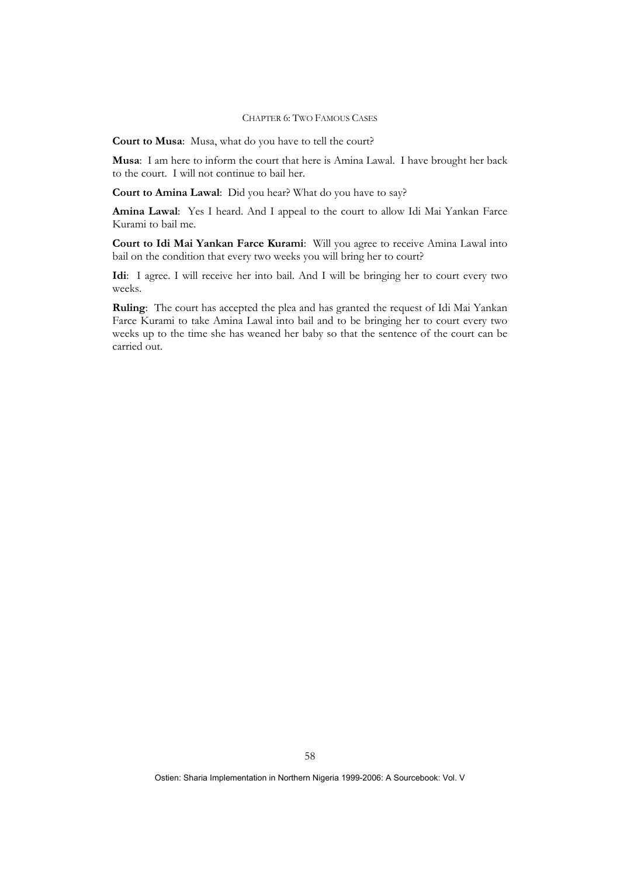**Court to Musa**: Musa, what do you have to tell the court?

**Musa**: I am here to inform the court that here is Amina Lawal. I have brought her back to the court. I will not continue to bail her.

**Court to Amina Lawal**: Did you hear? What do you have to say?

**Amina Lawal**: Yes I heard. And I appeal to the court to allow Idi Mai Yankan Farce Kurami to bail me.

**Court to Idi Mai Yankan Farce Kurami**: Will you agree to receive Amina Lawal into bail on the condition that every two weeks you will bring her to court?

**Idi**: I agree. I will receive her into bail. And I will be bringing her to court every two weeks.

**Ruling**: The court has accepted the plea and has granted the request of Idi Mai Yankan Farce Kurami to take Amina Lawal into bail and to be bringing her to court every two weeks up to the time she has weaned her baby so that the sentence of the court can be carried out.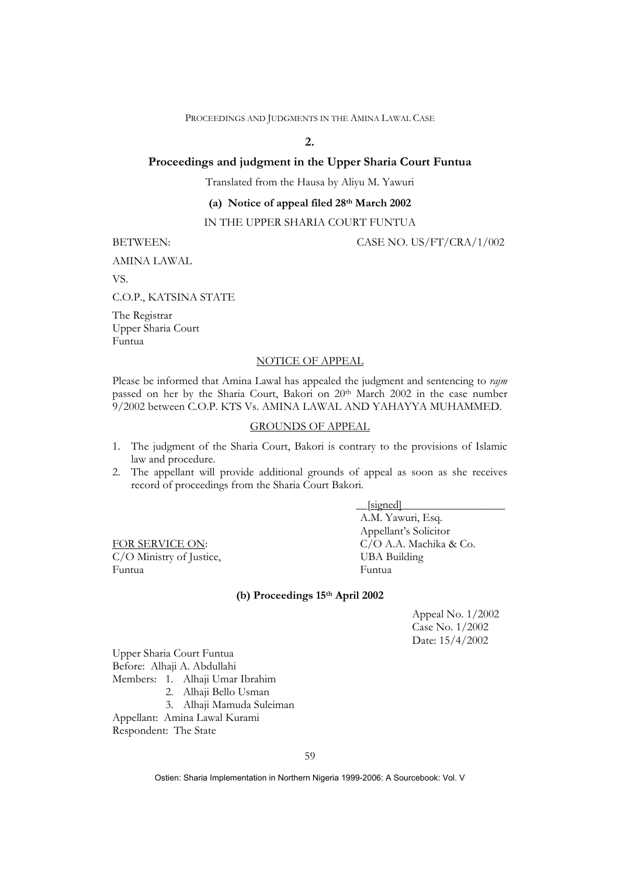# **2.**

### **Proceedings and judgment in the Upper Sharia Court Funtua**

Translated from the Hausa by Aliyu M. Yawuri

## **(a) Notice of appeal filed 28th March 2002**

## IN THE UPPER SHARIA COURT FUNTUA

BETWEEN: CASE NO. US/FT/CRA/1/002

AMINA LAWAL

VS.

C.O.P., KATSINA STATE

The Registrar Upper Sharia Court Funtua

### NOTICE OF APPEAL

Please be informed that Amina Lawal has appealed the judgment and sentencing to *rajm* passed on her by the Sharia Court, Bakori on 20th March 2002 in the case number 9/2002 between C.O.P. KTS Vs. AMINA LAWAL AND YAHAYYA MUHAMMED.

## GROUNDS OF APPEAL

- 1. The judgment of the Sharia Court, Bakori is contrary to the provisions of Islamic law and procedure.
- 2. The appellant will provide additional grounds of appeal as soon as she receives record of proceedings from the Sharia Court Bakori.

 $C/O$  Ministry of Justice, Funtua Funtua

 $\Box$ [signed] A.M. Yawuri, Esq. Appellant's Solicitor FOR SERVICE ON: C/O A.A. Machika & Co.<br>C/O Ministry of Justice. UBA Building

### **(b) Proceedings 15th April 2002**

Appeal No. 1/2002 Case No. 1/2002 Date: 15/4/2002

Upper Sharia Court Funtua Before: Alhaji A. Abdullahi Members: 1. Alhaji Umar Ibrahim 2. Alhaji Bello Usman

3. Alhaji Mamuda Suleiman

Appellant: Amina Lawal Kurami Respondent: The State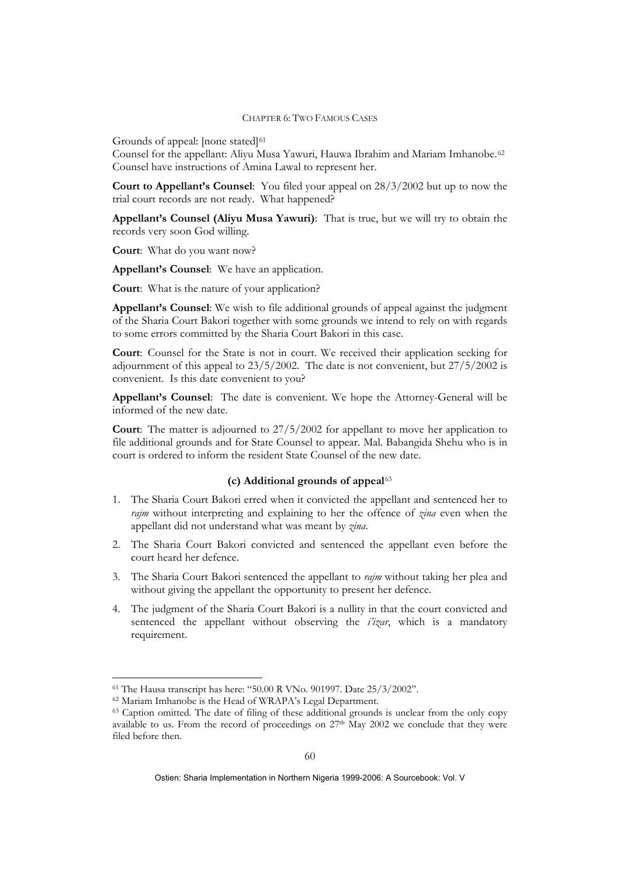Grounds of appeal: [none stated]<sup>[61](#page-8-0)</sup>

Counsel for the appellant: Aliyu Musa Yawuri, Hauwa Ibrahim and Mariam Imhanobe.<sup>[62](#page-8-1)</sup> Counsel have instructions of Amina Lawal to represent her.

**Court to Appellant's Counsel**: You filed your appeal on 28/3/2002 but up to now the trial court records are not ready. What happened?

**Appellant's Counsel (Aliyu Musa Yawuri)**: That is true, but we will try to obtain the records very soon God willing.

**Court**: What do you want now?

**Appellant's Counsel**: We have an application.

**Court**: What is the nature of your application?

**Appellant's Counsel**: We wish to file additional grounds of appeal against the judgment of the Sharia Court Bakori together with some grounds we intend to rely on with regards to some errors committed by the Sharia Court Bakori in this case.

**Court**: Counsel for the State is not in court. We received their application seeking for adjournment of this appeal to 23/5/2002. The date is not convenient, but 27/5/2002 is convenient. Is this date convenient to you?

**Appellant's Counsel**: The date is convenient. We hope the Attorney-General will be informed of the new date.

**Court**: The matter is adjourned to 27/5/2002 for appellant to move her application to file additional grounds and for State Counsel to appear. Mal. Babangida Shehu who is in court is ordered to inform the resident State Counsel of the new date.

### **(c) Additional grounds of appeal**[63](#page-8-2)

- 1. The Sharia Court Bakori erred when it convicted the appellant and sentenced her to *rajm* without interpreting and explaining to her the offence of *zina* even when the appellant did not understand what was meant by *zina*.
- 2. The Sharia Court Bakori convicted and sentenced the appellant even before the court heard her defence.
- 3. The Sharia Court Bakori sentenced the appellant to *rajm* without taking her plea and without giving the appellant the opportunity to present her defence.
- 4. The judgment of the Sharia Court Bakori is a nullity in that the court convicted and sentenced the appellant without observing the *i'izar*, which is a mandatory requirement.

1

<span id="page-8-1"></span><span id="page-8-0"></span> $^{61}$  The Hausa transcript has here: "50.00 R VNo. 901997. Date 25/3/2002".  $^{62}$  Mariam Imhanobe is the Head of WRAPA's Legal Department.

<span id="page-8-2"></span><sup>&</sup>lt;sup>63</sup> Caption omitted. The date of filing of these additional grounds is unclear from the only copy available to us. From the record of proceedings on  $27<sup>th</sup>$  May  $2002$  we conclude that they were filed before then.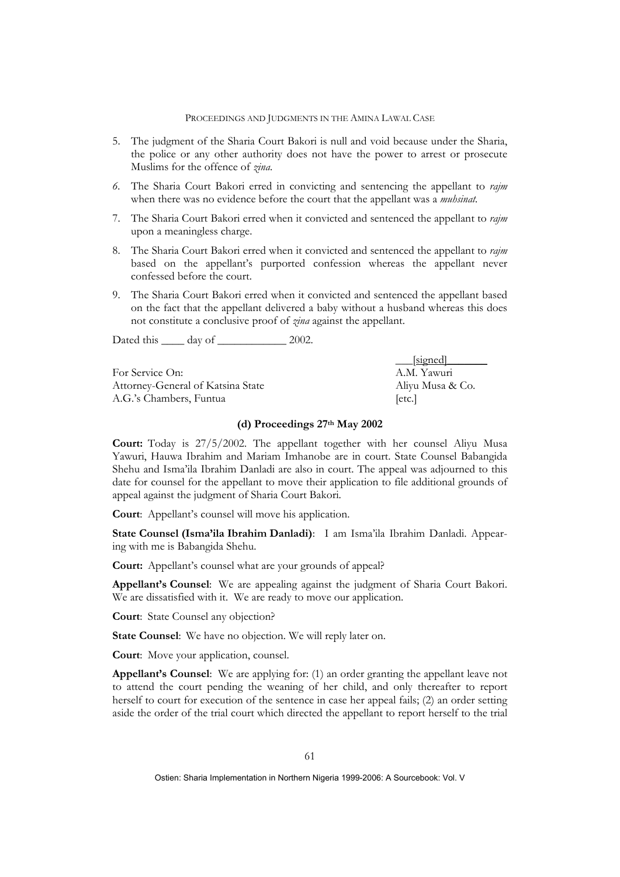- 5. The judgment of the Sharia Court Bakori is null and void because under the Sharia, the police or any other authority does not have the power to arrest or prosecute Muslims for the offence of *zina*.
- *6.* The Sharia Court Bakori erred in convicting and sentencing the appellant to *rajm* when there was no evidence before the court that the appellant was a *muhsinat.*
- 7. The Sharia Court Bakori erred when it convicted and sentenced the appellant to *rajm* upon a meaningless charge.
- 8. The Sharia Court Bakori erred when it convicted and sentenced the appellant to *rajm* based on the appellant's purported confession whereas the appellant never confessed before the court.
- 9. The Sharia Court Bakori erred when it convicted and sentenced the appellant based on the fact that the appellant delivered a baby without a husband whereas this does not constitute a conclusive proof of *zina* against the appellant.

Dated this \_\_\_\_\_ day of \_\_\_\_\_\_\_\_\_\_\_\_\_ 2002.

For Service On: A.M. Yawuri Attorney-General of Katsina State Aliyu Musa & Co. A.G.'s Chambers, Funtua [etc.]

[signed]

### **(d) Proceedings 27th May 2002**

**Court:** Today is 27/5/2002. The appellant together with her counsel Aliyu Musa Yawuri, Hauwa Ibrahim and Mariam Imhanobe are in court. State Counsel Babangida Shehu and Isma'ila Ibrahim Danladi are also in court. The appeal was adjourned to this date for counsel for the appellant to move their application to file additional grounds of appeal against the judgment of Sharia Court Bakori.

**Court**: Appellant's counsel will move his application.

**State Counsel (Isma'ila Ibrahim Danladi)**: I am Isma'ila Ibrahim Danladi. Appearing with me is Babangida Shehu.

**Court:** Appellant's counsel what are your grounds of appeal?

**Appellant's Counsel**: We are appealing against the judgment of Sharia Court Bakori. We are dissatisfied with it. We are ready to move our application.

**Court**: State Counsel any objection?

**State Counsel**: We have no objection. We will reply later on.

**Court**: Move your application, counsel.

**Appellant's Counsel**: We are applying for: (1) an order granting the appellant leave not to attend the court pending the weaning of her child, and only thereafter to report herself to court for execution of the sentence in case her appeal fails; (2) an order setting aside the order of the trial court which directed the appellant to report herself to the trial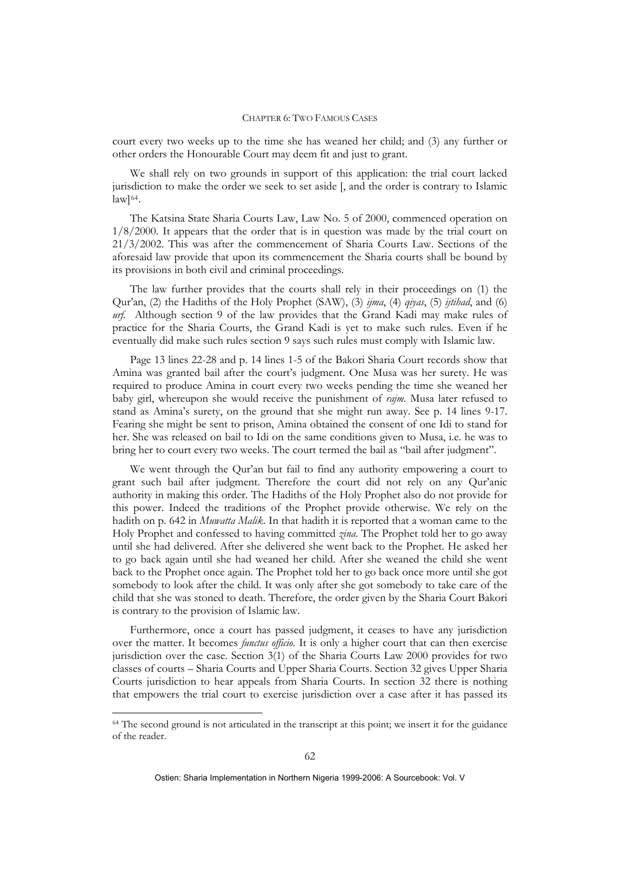court every two weeks up to the time she has weaned her child; and (3) any further or other orders the Honourable Court may deem fit and just to grant.

We shall rely on two grounds in support of this application: the trial court lacked jurisdiction to make the order we seek to set aside [, and the order is contrary to Islamic  $\text{law}$ ]<sup>[64](#page-10-0)</sup>.

The Katsina State Sharia Courts Law, Law No. 5 of 2000, commenced operation on 1/8/2000. It appears that the order that is in question was made by the trial court on 21/3/2002. This was after the commencement of Sharia Courts Law. Sections of the aforesaid law provide that upon its commencement the Sharia courts shall be bound by its provisions in both civil and criminal proceedings.

The law further provides that the courts shall rely in their proceedings on (1) the Qur'an, (2) the Hadiths of the Holy Prophet (SAW), (3) *ijma*, (4) *qiyas*, (5) *ijtihad*, and (6) *urf.* Although section 9 of the law provides that the Grand Kadi may make rules of practice for the Sharia Courts, the Grand Kadi is yet to make such rules. Even if he eventually did make such rules section 9 says such rules must comply with Islamic law.

Page 13 lines 22-28 and p. 14 lines 1-5 of the Bakori Sharia Court records show that Amina was granted bail after the court's judgment. One Musa was her surety. He was required to produce Amina in court every two weeks pending the time she weaned her baby girl, whereupon she would receive the punishment of *rajm*. Musa later refused to stand as Amina's surety, on the ground that she might run away. See p. 14 lines 9-17. Fearing she might be sent to prison, Amina obtained the consent of one Idi to stand for her. She was released on bail to Idi on the same conditions given to Musa, i.e. he was to bring her to court every two weeks. The court termed the bail as "bail after judgment".

We went through the Qur'an but fail to find any authority empowering a court to grant such bail after judgment. Therefore the court did not rely on any Qur'anic authority in making this order. The Hadiths of the Holy Prophet also do not provide for this power. Indeed the traditions of the Prophet provide otherwise. We rely on the hadith on p. 642 in *Muwatta Malik*. In that hadith it is reported that a woman came to the Holy Prophet and confessed to having committed *zina*. The Prophet told her to go away until she had delivered. After she delivered she went back to the Prophet. He asked her to go back again until she had weaned her child. After she weaned the child she went back to the Prophet once again. The Prophet told her to go back once more until she got somebody to look after the child. It was only after she got somebody to take care of the child that she was stoned to death. Therefore, the order given by the Sharia Court Bakori is contrary to the provision of Islamic law.

Furthermore, once a court has passed judgment, it ceases to have any jurisdiction over the matter. It becomes *functus officio*. It is only a higher court that can then exercise jurisdiction over the case. Section 3(1) of the Sharia Courts Law 2000 provides for two classes of courts – Sharia Courts and Upper Sharia Courts. Section 32 gives Upper Sharia Courts jurisdiction to hear appeals from Sharia Courts. In section 32 there is nothing that empowers the trial court to exercise jurisdiction over a case after it has passed its

1

<span id="page-10-0"></span><sup>64</sup> The second ground is not articulated in the transcript at this point; we insert it for the guidance of the reader.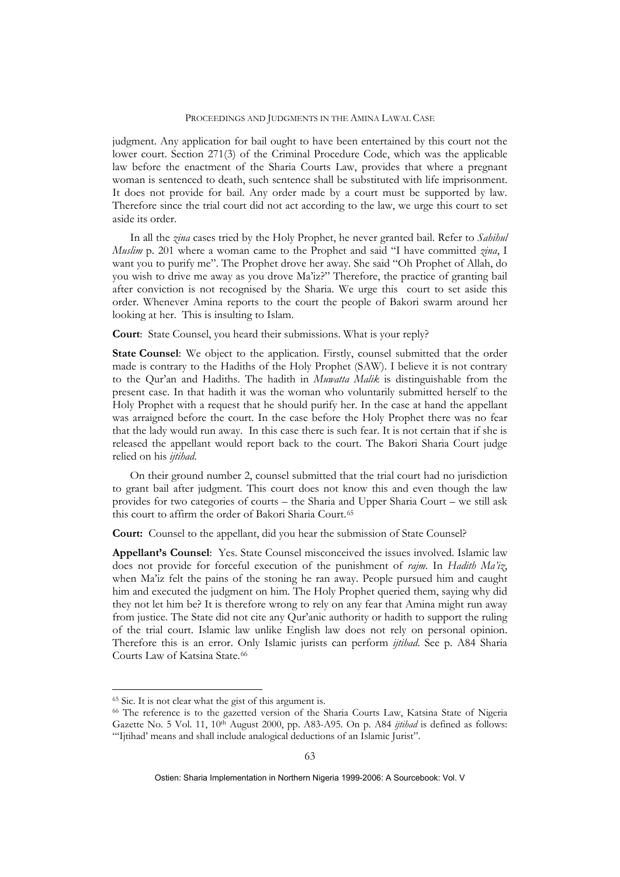judgment. Any application for bail ought to have been entertained by this court not the lower court. Section 271(3) of the Criminal Procedure Code, which was the applicable law before the enactment of the Sharia Courts Law, provides that where a pregnant woman is sentenced to death, such sentence shall be substituted with life imprisonment. It does not provide for bail. Any order made by a court must be supported by law. Therefore since the trial court did not act according to the law, we urge this court to set aside its order.

In all the *zina* cases tried by the Holy Prophet, he never granted bail. Refer to *Sahihul Muslim* p. 201 where a woman came to the Prophet and said "I have committed *zina*, I want you to purify me". The Prophet drove her away. She said "Oh Prophet of Allah, do you wish to drive me away as you drove Ma'iz?" Therefore, the practice of granting bail after conviction is not recognised by the Sharia. We urge this court to set aside this order. Whenever Amina reports to the court the people of Bakori swarm around her looking at her. This is insulting to Islam.

**Court**: State Counsel, you heard their submissions. What is your reply?

**State Counsel**: We object to the application. Firstly, counsel submitted that the order made is contrary to the Hadiths of the Holy Prophet (SAW). I believe it is not contrary to the Qur'an and Hadiths. The hadith in *Muwatta Malik* is distinguishable from the present case. In that hadith it was the woman who voluntarily submitted herself to the Holy Prophet with a request that he should purify her. In the case at hand the appellant was arraigned before the court. In the case before the Holy Prophet there was no fear that the lady would run away. In this case there is such fear. It is not certain that if she is released the appellant would report back to the court. The Bakori Sharia Court judge relied on his *ijtihad*.

On their ground number 2, counsel submitted that the trial court had no jurisdiction to grant bail after judgment. This court does not know this and even though the law provides for two categories of courts – the Sharia and Upper Sharia Court – we still ask this court to affirm the order of Bakori Sharia Court.[65](#page-11-0)

**Court:** Counsel to the appellant, did you hear the submission of State Counsel?

**Appellant's Counsel**: Yes. State Counsel misconceived the issues involved. Islamic law does not provide for forceful execution of the punishment of *rajm*. In *Hadith Ma'iz*, when Ma'iz felt the pains of the stoning he ran away. People pursued him and caught him and executed the judgment on him. The Holy Prophet queried them, saying why did they not let him be? It is therefore wrong to rely on any fear that Amina might run away from justice. The State did not cite any Qur'anic authority or hadith to support the ruling of the trial court. Islamic law unlike English law does not rely on personal opinion. Therefore this is an error. Only Islamic jurists can perform *ijtihad*. See p. A84 Sharia Courts Law of Katsina State.<sup>[66](#page-11-1)</sup>

<u>.</u>

<span id="page-11-0"></span><sup>65</sup> Sic. It is not clear what the gist of this argument is.

<span id="page-11-1"></span><sup>66</sup> The reference is to the gazetted version of the Sharia Courts Law, Katsina State of Nigeria Gazette No. 5 Vol. 11, 10th August 2000, pp. A83-A95. On p. A84 *ijtihad* is defined as follows: "'Ijtihad' means and shall include analogical deductions of an Islamic Jurist".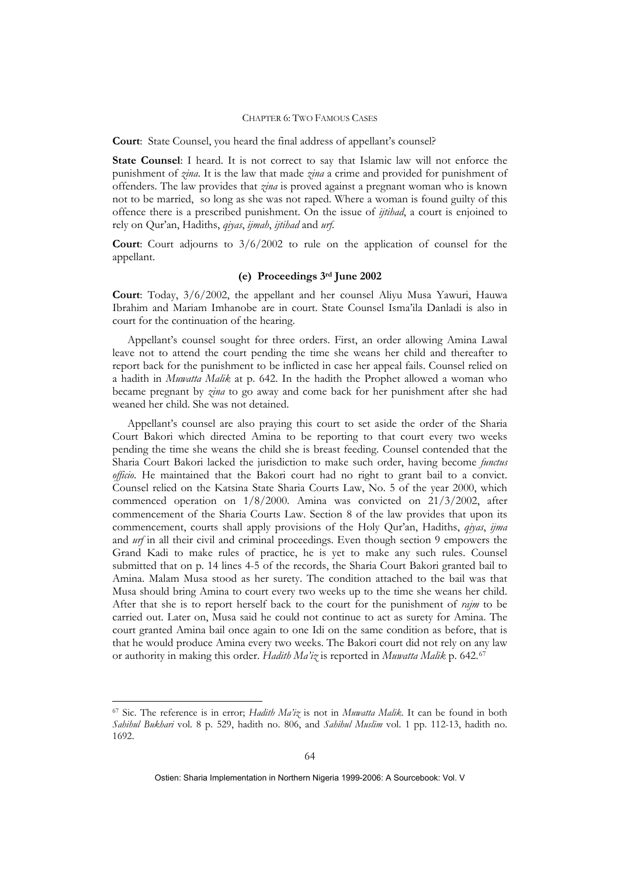**Court**: State Counsel, you heard the final address of appellant's counsel?

**State Counsel**: I heard. It is not correct to say that Islamic law will not enforce the punishment of *zina*. It is the law that made *zina* a crime and provided for punishment of offenders. The law provides that *zina* is proved against a pregnant woman who is known not to be married, so long as she was not raped. Where a woman is found guilty of this offence there is a prescribed punishment. On the issue of *ijtihad*, a court is enjoined to rely on Qur'an, Hadiths, *qiyas*, *ijmah*, *ijtihad* and *urf*.

**Court**: Court adjourns to 3/6/2002 to rule on the application of counsel for the appellant.

### **(e) Proceedings 3rd June 2002**

**Court**: Today, 3/6/2002, the appellant and her counsel Aliyu Musa Yawuri, Hauwa Ibrahim and Mariam Imhanobe are in court. State Counsel Isma'ila Danladi is also in court for the continuation of the hearing.

Appellant's counsel sought for three orders. First, an order allowing Amina Lawal leave not to attend the court pending the time she weans her child and thereafter to report back for the punishment to be inflicted in case her appeal fails. Counsel relied on a hadith in *Muwatta Malik* at p. 642. In the hadith the Prophet allowed a woman who became pregnant by *zina* to go away and come back for her punishment after she had weaned her child. She was not detained.

Appellant's counsel are also praying this court to set aside the order of the Sharia Court Bakori which directed Amina to be reporting to that court every two weeks pending the time she weans the child she is breast feeding. Counsel contended that the Sharia Court Bakori lacked the jurisdiction to make such order, having become *functus officio*. He maintained that the Bakori court had no right to grant bail to a convict. Counsel relied on the Katsina State Sharia Courts Law, No. 5 of the year 2000, which commenced operation on 1/8/2000. Amina was convicted on 21/3/2002, after commencement of the Sharia Courts Law. Section 8 of the law provides that upon its commencement, courts shall apply provisions of the Holy Qur'an, Hadiths, *qiyas*, *ijma* and *urf* in all their civil and criminal proceedings. Even though section 9 empowers the Grand Kadi to make rules of practice, he is yet to make any such rules. Counsel submitted that on p. 14 lines 4-5 of the records, the Sharia Court Bakori granted bail to Amina. Malam Musa stood as her surety. The condition attached to the bail was that Musa should bring Amina to court every two weeks up to the time she weans her child. After that she is to report herself back to the court for the punishment of *rajm* to be carried out. Later on, Musa said he could not continue to act as surety for Amina. The court granted Amina bail once again to one Idi on the same condition as before, that is that he would produce Amina every two weeks. The Bakori court did not rely on any law or authority in making this order. *Hadith Ma'iz* is reported in *Muwatta Malik* p. 642.[67](#page-12-0)

1

<span id="page-12-0"></span><sup>67</sup> Sic. The reference is in error; *Hadith Ma'iz* is not in *Muwatta Malik*. It can be found in both *Sahihul Bukhari* vol. 8 p. 529, hadith no. 806, and *Sahihul Muslim* vol. 1 pp. 112-13, hadith no. 1692.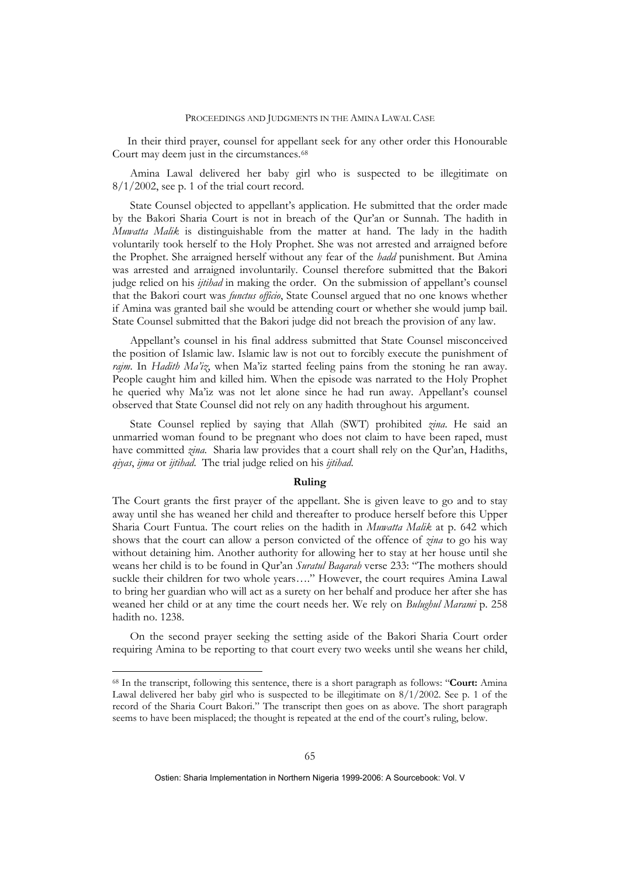In their third prayer, counsel for appellant seek for any other order this Honourable Court may deem just in the circumstances.<sup>[68](#page-13-0)</sup>

Amina Lawal delivered her baby girl who is suspected to be illegitimate on  $8/1/2002$ , see p. 1 of the trial court record.

State Counsel objected to appellant's application. He submitted that the order made by the Bakori Sharia Court is not in breach of the Qur'an or Sunnah. The hadith in *Muwatta Malik* is distinguishable from the matter at hand. The lady in the hadith voluntarily took herself to the Holy Prophet. She was not arrested and arraigned before the Prophet. She arraigned herself without any fear of the *hadd* punishment. But Amina was arrested and arraigned involuntarily. Counsel therefore submitted that the Bakori judge relied on his *ijtihad* in making the order. On the submission of appellant's counsel that the Bakori court was *functus officio*, State Counsel argued that no one knows whether if Amina was granted bail she would be attending court or whether she would jump bail. State Counsel submitted that the Bakori judge did not breach the provision of any law.

Appellant's counsel in his final address submitted that State Counsel misconceived the position of Islamic law. Islamic law is not out to forcibly execute the punishment of *rajm*. In *Hadith Ma'iz*, when Ma'iz started feeling pains from the stoning he ran away. People caught him and killed him. When the episode was narrated to the Holy Prophet he queried why Ma'iz was not let alone since he had run away. Appellant's counsel observed that State Counsel did not rely on any hadith throughout his argument.

State Counsel replied by saying that Allah (SWT) prohibited *zina*. He said an unmarried woman found to be pregnant who does not claim to have been raped, must have committed *zina*. Sharia law provides that a court shall rely on the Qur'an, Hadiths, *qiyas*, *ijma* or *ijtihad*. The trial judge relied on his *ijtihad*.

### **Ruling**

The Court grants the first prayer of the appellant. She is given leave to go and to stay away until she has weaned her child and thereafter to produce herself before this Upper Sharia Court Funtua. The court relies on the hadith in *Muwatta Malik* at p. 642 which shows that the court can allow a person convicted of the offence of *zina* to go his way without detaining him. Another authority for allowing her to stay at her house until she weans her child is to be found in Qur'an *Suratul Baqarah* verse 233: "The mothers should suckle their children for two whole years…." However, the court requires Amina Lawal to bring her guardian who will act as a surety on her behalf and produce her after she has weaned her child or at any time the court needs her. We rely on *Bulughul Marami* p. 258 hadith no. 1238.

On the second prayer seeking the setting aside of the Bakori Sharia Court order requiring Amina to be reporting to that court every two weeks until she weans her child,

1

<span id="page-13-0"></span><sup>68</sup> In the transcript, following this sentence, there is a short paragraph as follows: "**Court:** Amina Lawal delivered her baby girl who is suspected to be illegitimate on 8/1/2002. See p. 1 of the record of the Sharia Court Bakori." The transcript then goes on as above. The short paragraph seems to have been misplaced; the thought is repeated at the end of the court's ruling, below.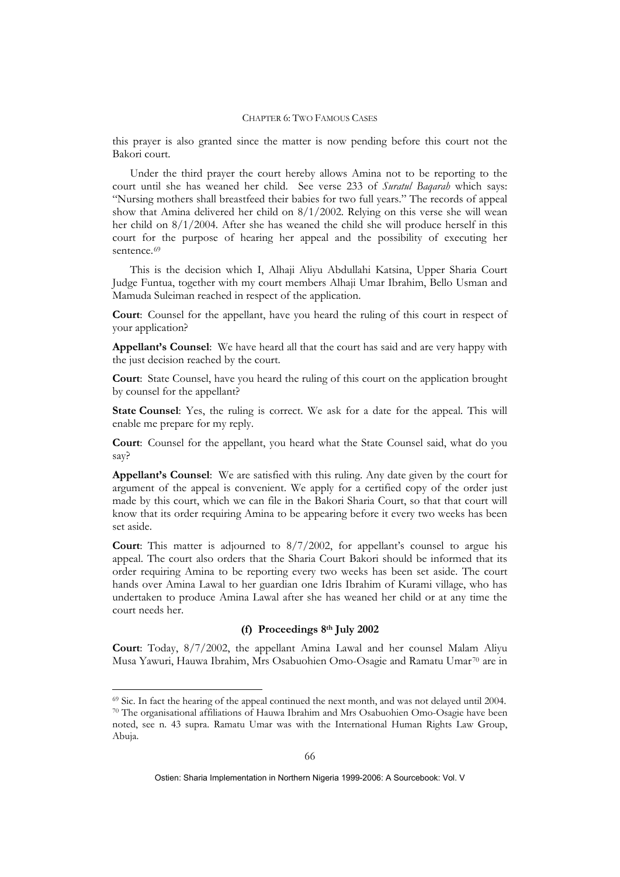this prayer is also granted since the matter is now pending before this court not the Bakori court.

Under the third prayer the court hereby allows Amina not to be reporting to the court until she has weaned her child. See verse 233 of *Suratul Baqarah* which says: "Nursing mothers shall breastfeed their babies for two full years." The records of appeal show that Amina delivered her child on 8/1/2002. Relying on this verse she will wean her child on 8/1/2004. After she has weaned the child she will produce herself in this court for the purpose of hearing her appeal and the possibility of executing her sentence.<sup>[69](#page-14-0)</sup>

This is the decision which I, Alhaji Aliyu Abdullahi Katsina, Upper Sharia Court Judge Funtua, together with my court members Alhaji Umar Ibrahim, Bello Usman and Mamuda Suleiman reached in respect of the application.

**Court**: Counsel for the appellant, have you heard the ruling of this court in respect of your application?

**Appellant's Counsel**: We have heard all that the court has said and are very happy with the just decision reached by the court.

**Court**: State Counsel, have you heard the ruling of this court on the application brought by counsel for the appellant?

**State Counsel**: Yes, the ruling is correct. We ask for a date for the appeal. This will enable me prepare for my reply.

**Court**: Counsel for the appellant, you heard what the State Counsel said, what do you say?

**Appellant's Counsel**: We are satisfied with this ruling. Any date given by the court for argument of the appeal is convenient. We apply for a certified copy of the order just made by this court, which we can file in the Bakori Sharia Court, so that that court will know that its order requiring Amina to be appearing before it every two weeks has been set aside.

**Court**: This matter is adjourned to 8/7/2002, for appellant's counsel to argue his appeal. The court also orders that the Sharia Court Bakori should be informed that its order requiring Amina to be reporting every two weeks has been set aside. The court hands over Amina Lawal to her guardian one Idris Ibrahim of Kurami village, who has undertaken to produce Amina Lawal after she has weaned her child or at any time the court needs her.

### **(f) Proceedings 8th July 2002**

**Court**: Today, 8/7/2002, the appellant Amina Lawal and her counsel Malam Aliyu Musa Yawuri, Hauwa Ibrahim, Mrs Osabuohien Omo-Osagie and Ramatu Umar[70](#page-14-1) are in

<u>.</u>

<span id="page-14-1"></span><span id="page-14-0"></span> $69$  Sic. In fact the hearing of the appeal continued the next month, and was not delayed until 2004.<br><sup>70</sup> The organisational affiliations of Hauwa Ibrahim and Mrs Osabuohien Omo-Osagie have been noted, see n. 43 supra. Ramatu Umar was with the International Human Rights Law Group, Abuja.

Ostien: Sharia Implementation in Northern Nigeria 1999-2006: A Sourcebook: Vol. V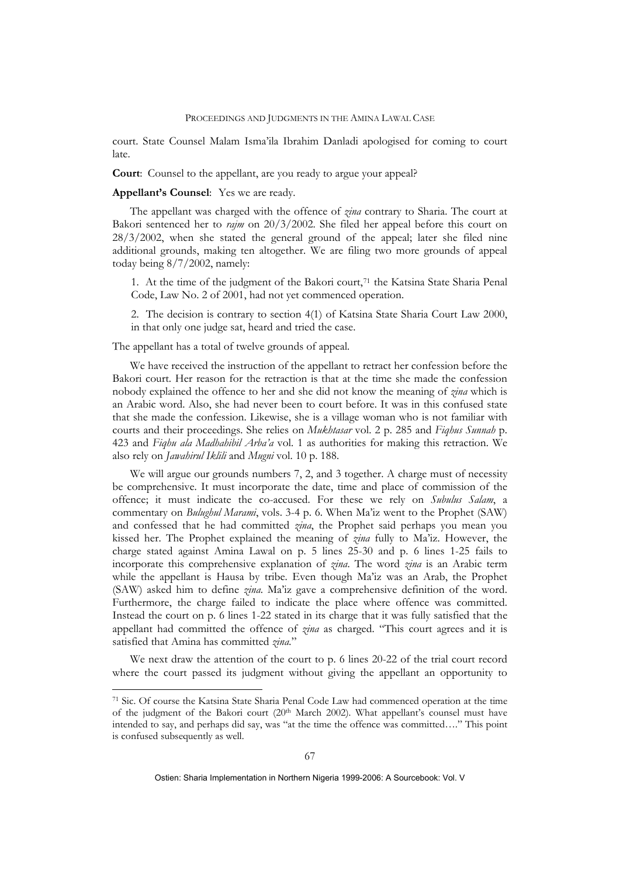court. State Counsel Malam Isma'ila Ibrahim Danladi apologised for coming to court late.

**Court**: Counsel to the appellant, are you ready to argue your appeal?

#### **Appellant's Counsel**: Yes we are ready.

The appellant was charged with the offence of *zina* contrary to Sharia. The court at Bakori sentenced her to *rajm* on 20/3/2002. She filed her appeal before this court on 28/3/2002, when she stated the general ground of the appeal; later she filed nine additional grounds, making ten altogether. We are filing two more grounds of appeal today being 8/7/2002, namely:

1. At the time of the judgment of the Bakori court,<sup>[71](#page-15-0)</sup> the Katsina State Sharia Penal Code, Law No. 2 of 2001, had not yet commenced operation.

2. The decision is contrary to section 4(1) of Katsina State Sharia Court Law 2000, in that only one judge sat, heard and tried the case.

The appellant has a total of twelve grounds of appeal.

<u>.</u>

 We have received the instruction of the appellant to retract her confession before the Bakori court. Her reason for the retraction is that at the time she made the confession nobody explained the offence to her and she did not know the meaning of *zina* which is an Arabic word. Also, she had never been to court before. It was in this confused state that she made the confession. Likewise, she is a village woman who is not familiar with courts and their proceedings. She relies on *Mukhtasar* vol. 2 p. 285 and *Fiqhus Sunnah* p. 423 and *Fiqhu ala Madhahibil Arba'a* vol. 1 as authorities for making this retraction. We also rely on *Jawahirul Iklili* and *Mugni* vol. 10 p. 188.

We will argue our grounds numbers 7, 2, and 3 together. A charge must of necessity be comprehensive. It must incorporate the date, time and place of commission of the offence; it must indicate the co-accused. For these we rely on *Subulus Salam*, a commentary on *Bulughul Marami*, vols. 3-4 p. 6. When Ma'iz went to the Prophet (SAW) and confessed that he had committed *zina*, the Prophet said perhaps you mean you kissed her. The Prophet explained the meaning of *zina* fully to Ma'iz. However, the charge stated against Amina Lawal on p. 5 lines 25-30 and p. 6 lines 1-25 fails to incorporate this comprehensive explanation of *zina*. The word *zina* is an Arabic term while the appellant is Hausa by tribe. Even though Ma'iz was an Arab, the Prophet (SAW) asked him to define *zina*. Ma'iz gave a comprehensive definition of the word. Furthermore, the charge failed to indicate the place where offence was committed. Instead the court on p. 6 lines 1-22 stated in its charge that it was fully satisfied that the appellant had committed the offence of *zina* as charged. "This court agrees and it is satisfied that Amina has committed *zina.*"

We next draw the attention of the court to p. 6 lines 20-22 of the trial court record where the court passed its judgment without giving the appellant an opportunity to

<span id="page-15-0"></span><sup>71</sup> Sic. Of course the Katsina State Sharia Penal Code Law had commenced operation at the time of the judgment of the Bakori court  $(20<sup>th</sup>$  March 2002). What appellant's counsel must have intended to say, and perhaps did say, was "at the time the offence was committed…." This point is confused subsequently as well.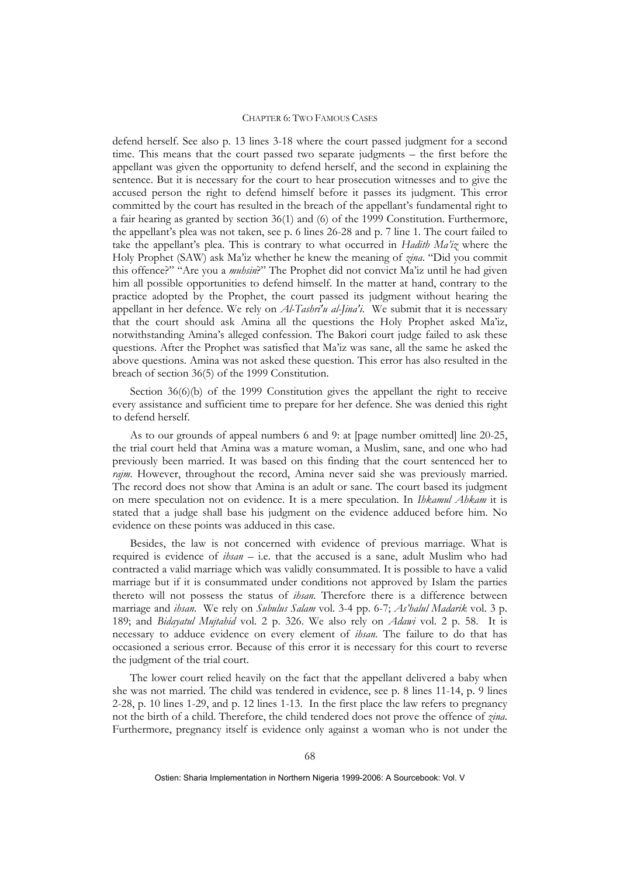defend herself. See also p. 13 lines 3-18 where the court passed judgment for a second time. This means that the court passed two separate judgments – the first before the appellant was given the opportunity to defend herself, and the second in explaining the sentence. But it is necessary for the court to hear prosecution witnesses and to give the accused person the right to defend himself before it passes its judgment. This error committed by the court has resulted in the breach of the appellant's fundamental right to a fair hearing as granted by section 36(1) and (6) of the 1999 Constitution. Furthermore, the appellant's plea was not taken, see p. 6 lines 26-28 and p. 7 line 1. The court failed to take the appellant's plea. This is contrary to what occurred in *Hadith Ma'iz* where the Holy Prophet (SAW) ask Ma'iz whether he knew the meaning of *zina*. "Did you commit this offence?" "Are you a *muhsin*?" The Prophet did not convict Ma'iz until he had given him all possible opportunities to defend himself. In the matter at hand, contrary to the practice adopted by the Prophet, the court passed its judgment without hearing the appellant in her defence. We rely on *Al-Tashri'u al-Jina'i*. We submit that it is necessary that the court should ask Amina all the questions the Holy Prophet asked Ma'iz, notwithstanding Amina's alleged confession. The Bakori court judge failed to ask these questions. After the Prophet was satisfied that Ma'iz was sane, all the same he asked the above questions. Amina was not asked these question. This error has also resulted in the breach of section 36(5) of the 1999 Constitution.

Section 36(6)(b) of the 1999 Constitution gives the appellant the right to receive every assistance and sufficient time to prepare for her defence. She was denied this right to defend herself.

As to our grounds of appeal numbers 6 and 9: at [page number omitted] line 20-25, the trial court held that Amina was a mature woman, a Muslim, sane, and one who had previously been married. It was based on this finding that the court sentenced her to *rajm*. However, throughout the record, Amina never said she was previously married. The record does not show that Amina is an adult or sane. The court based its judgment on mere speculation not on evidence. It is a mere speculation. In *Ihkamul Ahkam* it is stated that a judge shall base his judgment on the evidence adduced before him. No evidence on these points was adduced in this case.

Besides, the law is not concerned with evidence of previous marriage. What is required is evidence of *ihsan* – i.e. that the accused is a sane, adult Muslim who had contracted a valid marriage which was validly consummated. It is possible to have a valid marriage but if it is consummated under conditions not approved by Islam the parties thereto will not possess the status of *ihsan*. Therefore there is a difference between marriage and *ihsan*. We rely on *Subulus Salam* vol. 3-4 pp. 6-7; *As'halul Madarik* vol. 3 p. 189; and *Bidayatul Mujtahid* vol. 2 p. 326. We also rely on *Adawi* vol. 2 p. 58. It is necessary to adduce evidence on every element of *ihsan*. The failure to do that has occasioned a serious error. Because of this error it is necessary for this court to reverse the judgment of the trial court.

The lower court relied heavily on the fact that the appellant delivered a baby when she was not married. The child was tendered in evidence, see p. 8 lines 11-14, p. 9 lines 2-28, p. 10 lines 1-29, and p. 12 lines 1-13. In the first place the law refers to pregnancy not the birth of a child. Therefore, the child tendered does not prove the offence of *zina*. Furthermore, pregnancy itself is evidence only against a woman who is not under the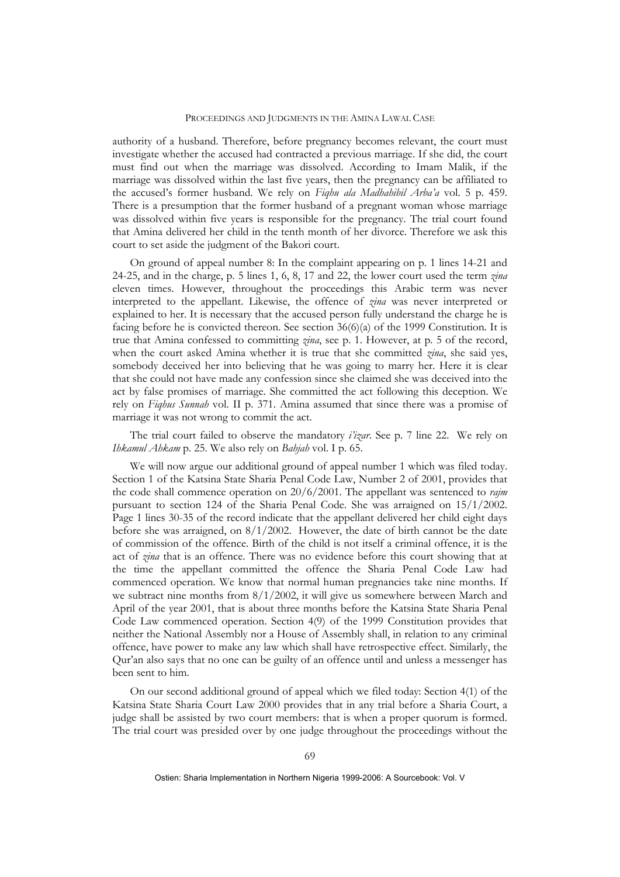authority of a husband. Therefore, before pregnancy becomes relevant, the court must investigate whether the accused had contracted a previous marriage. If she did, the court must find out when the marriage was dissolved. According to Imam Malik, if the marriage was dissolved within the last five years, then the pregnancy can be affiliated to the accused's former husband. We rely on *Fiqhu ala Madhahibil Arba'a* vol. 5 p. 459. There is a presumption that the former husband of a pregnant woman whose marriage was dissolved within five years is responsible for the pregnancy. The trial court found that Amina delivered her child in the tenth month of her divorce. Therefore we ask this court to set aside the judgment of the Bakori court.

On ground of appeal number 8: In the complaint appearing on p. 1 lines 14-21 and 24-25, and in the charge, p. 5 lines 1, 6, 8, 17 and 22, the lower court used the term *zina* eleven times. However, throughout the proceedings this Arabic term was never interpreted to the appellant. Likewise, the offence of *zina* was never interpreted or explained to her. It is necessary that the accused person fully understand the charge he is facing before he is convicted thereon. See section  $36(6)(a)$  of the 1999 Constitution. It is true that Amina confessed to committing *zina*, see p. 1. However, at p. 5 of the record, when the court asked Amina whether it is true that she committed *zina*, she said yes, somebody deceived her into believing that he was going to marry her. Here it is clear that she could not have made any confession since she claimed she was deceived into the act by false promises of marriage. She committed the act following this deception. We rely on *Fiqhus Sunnah* vol. II p. 371. Amina assumed that since there was a promise of marriage it was not wrong to commit the act.

The trial court failed to observe the mandatory *i'izar*. See p. 7 line 22. We rely on *Ihkamul Ahkam* p. 25. We also rely on *Bahjah* vol. I p. 65.

We will now argue our additional ground of appeal number 1 which was filed today. Section 1 of the Katsina State Sharia Penal Code Law, Number 2 of 2001, provides that the code shall commence operation on 20/6/2001. The appellant was sentenced to *rajm* pursuant to section 124 of the Sharia Penal Code. She was arraigned on 15/1/2002. Page 1 lines 30-35 of the record indicate that the appellant delivered her child eight days before she was arraigned, on 8/1/2002. However, the date of birth cannot be the date of commission of the offence. Birth of the child is not itself a criminal offence, it is the act of *zina* that is an offence. There was no evidence before this court showing that at the time the appellant committed the offence the Sharia Penal Code Law had commenced operation. We know that normal human pregnancies take nine months. If we subtract nine months from  $8/1/2002$ , it will give us somewhere between March and April of the year 2001, that is about three months before the Katsina State Sharia Penal Code Law commenced operation. Section 4(9) of the 1999 Constitution provides that neither the National Assembly nor a House of Assembly shall, in relation to any criminal offence, have power to make any law which shall have retrospective effect. Similarly, the Qur'an also says that no one can be guilty of an offence until and unless a messenger has been sent to him.

On our second additional ground of appeal which we filed today: Section 4(1) of the Katsina State Sharia Court Law 2000 provides that in any trial before a Sharia Court, a judge shall be assisted by two court members: that is when a proper quorum is formed. The trial court was presided over by one judge throughout the proceedings without the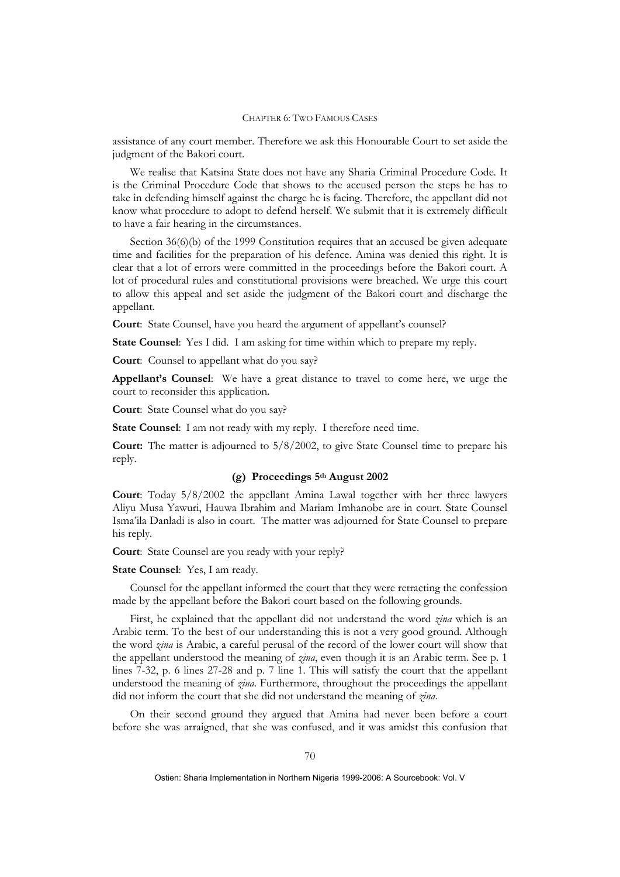assistance of any court member. Therefore we ask this Honourable Court to set aside the judgment of the Bakori court.

We realise that Katsina State does not have any Sharia Criminal Procedure Code. It is the Criminal Procedure Code that shows to the accused person the steps he has to take in defending himself against the charge he is facing. Therefore, the appellant did not know what procedure to adopt to defend herself. We submit that it is extremely difficult to have a fair hearing in the circumstances.

Section  $36(6)(b)$  of the 1999 Constitution requires that an accused be given adequate time and facilities for the preparation of his defence. Amina was denied this right. It is clear that a lot of errors were committed in the proceedings before the Bakori court. A lot of procedural rules and constitutional provisions were breached. We urge this court to allow this appeal and set aside the judgment of the Bakori court and discharge the appellant.

**Court**: State Counsel, have you heard the argument of appellant's counsel?

**State Counsel**: Yes I did. I am asking for time within which to prepare my reply.

**Court**: Counsel to appellant what do you say?

**Appellant's Counsel**: We have a great distance to travel to come here, we urge the court to reconsider this application.

**Court**: State Counsel what do you say?

**State Counsel**: I am not ready with my reply. I therefore need time.

**Court:** The matter is adjourned to 5/8/2002, to give State Counsel time to prepare his reply.

# **(g) Proceedings 5th August 2002**

**Court**: Today 5/8/2002 the appellant Amina Lawal together with her three lawyers Aliyu Musa Yawuri, Hauwa Ibrahim and Mariam Imhanobe are in court. State Counsel Isma'ila Danladi is also in court. The matter was adjourned for State Counsel to prepare his reply.

**Court**: State Counsel are you ready with your reply?

**State Counsel**: Yes, I am ready.

Counsel for the appellant informed the court that they were retracting the confession made by the appellant before the Bakori court based on the following grounds.

First, he explained that the appellant did not understand the word *zina* which is an Arabic term. To the best of our understanding this is not a very good ground. Although the word *zina* is Arabic, a careful perusal of the record of the lower court will show that the appellant understood the meaning of *zina*, even though it is an Arabic term. See p. 1 lines 7-32, p. 6 lines 27-28 and p. 7 line 1. This will satisfy the court that the appellant understood the meaning of *zina*. Furthermore, throughout the proceedings the appellant did not inform the court that she did not understand the meaning of *zina*.

On their second ground they argued that Amina had never been before a court before she was arraigned, that she was confused, and it was amidst this confusion that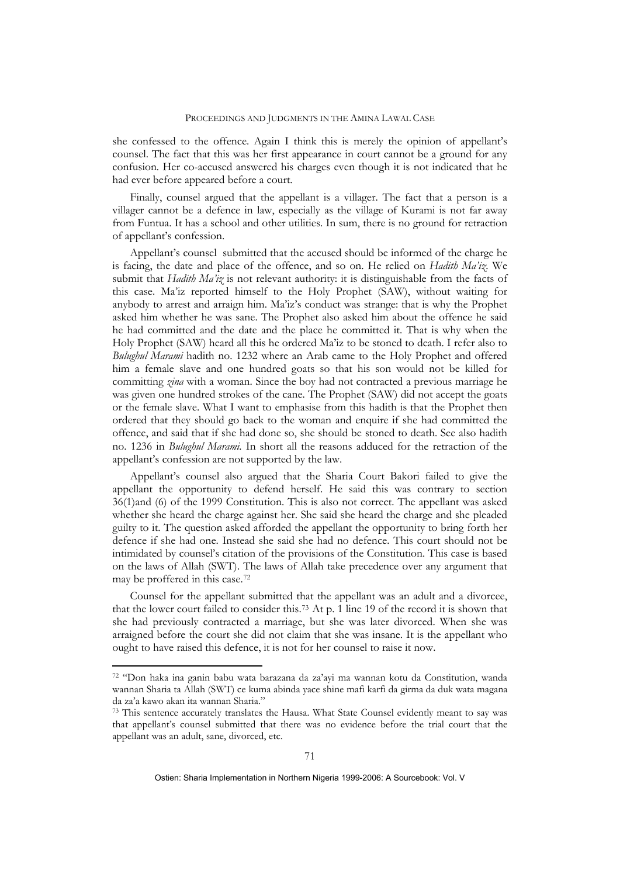she confessed to the offence. Again I think this is merely the opinion of appellant's counsel. The fact that this was her first appearance in court cannot be a ground for any confusion. Her co-accused answered his charges even though it is not indicated that he had ever before appeared before a court.

Finally, counsel argued that the appellant is a villager. The fact that a person is a villager cannot be a defence in law, especially as the village of Kurami is not far away from Funtua. It has a school and other utilities. In sum, there is no ground for retraction of appellant's confession.

Appellant's counsel submitted that the accused should be informed of the charge he is facing, the date and place of the offence, and so on. He relied on *Hadith Ma'iz*. We submit that *Hadith Ma'iz* is not relevant authority: it is distinguishable from the facts of this case. Ma'iz reported himself to the Holy Prophet (SAW), without waiting for anybody to arrest and arraign him. Ma'iz's conduct was strange: that is why the Prophet asked him whether he was sane. The Prophet also asked him about the offence he said he had committed and the date and the place he committed it. That is why when the Holy Prophet (SAW) heard all this he ordered Ma'iz to be stoned to death. I refer also to *Bulughul Marami* hadith no. 1232 where an Arab came to the Holy Prophet and offered him a female slave and one hundred goats so that his son would not be killed for committing *zina* with a woman. Since the boy had not contracted a previous marriage he was given one hundred strokes of the cane. The Prophet (SAW) did not accept the goats or the female slave. What I want to emphasise from this hadith is that the Prophet then ordered that they should go back to the woman and enquire if she had committed the offence, and said that if she had done so, she should be stoned to death. See also hadith no. 1236 in *Bulughul Marami.* In short all the reasons adduced for the retraction of the appellant's confession are not supported by the law.

Appellant's counsel also argued that the Sharia Court Bakori failed to give the appellant the opportunity to defend herself. He said this was contrary to section 36(1)and (6) of the 1999 Constitution. This is also not correct. The appellant was asked whether she heard the charge against her. She said she heard the charge and she pleaded guilty to it. The question asked afforded the appellant the opportunity to bring forth her defence if she had one. Instead she said she had no defence. This court should not be intimidated by counsel's citation of the provisions of the Constitution. This case is based on the laws of Allah (SWT). The laws of Allah take precedence over any argument that may be proffered in this case.[72](#page-19-0)

Counsel for the appellant submitted that the appellant was an adult and a divorcee, that the lower court failed to consider this.[73](#page-19-1) At p. 1 line 19 of the record it is shown that she had previously contracted a marriage, but she was later divorced. When she was arraigned before the court she did not claim that she was insane. It is the appellant who ought to have raised this defence, it is not for her counsel to raise it now.

<u>.</u>

<span id="page-19-0"></span><sup>72 &</sup>quot;Don haka ina ganin babu wata barazana da za'ayi ma wannan kotu da Constitution, wanda wannan Sharia ta Allah (SWT) ce kuma abinda yace shine mafi karfi da girma da duk wata magana da za'a kawo akan ita wannan Sharia."

<span id="page-19-1"></span><sup>73</sup> This sentence accurately translates the Hausa. What State Counsel evidently meant to say was that appellant's counsel submitted that there was no evidence before the trial court that the appellant was an adult, sane, divorced, etc.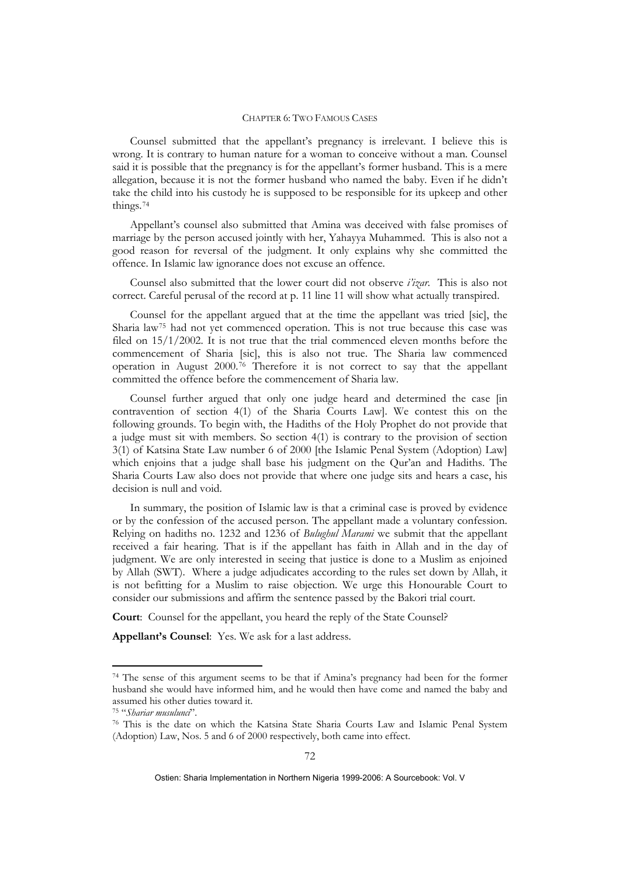Counsel submitted that the appellant's pregnancy is irrelevant. I believe this is wrong. It is contrary to human nature for a woman to conceive without a man. Counsel said it is possible that the pregnancy is for the appellant's former husband. This is a mere allegation, because it is not the former husband who named the baby. Even if he didn't take the child into his custody he is supposed to be responsible for its upkeep and other things.[74](#page-20-0)

Appellant's counsel also submitted that Amina was deceived with false promises of marriage by the person accused jointly with her, Yahayya Muhammed. This is also not a good reason for reversal of the judgment. It only explains why she committed the offence. In Islamic law ignorance does not excuse an offence.

Counsel also submitted that the lower court did not observe *i'izar*. This is also not correct. Careful perusal of the record at p. 11 line 11 will show what actually transpired.

Counsel for the appellant argued that at the time the appellant was tried [sic], the Sharia law[75](#page-20-1) had not yet commenced operation. This is not true because this case was filed on 15/1/2002. It is not true that the trial commenced eleven months before the commencement of Sharia [sic], this is also not true. The Sharia law commenced operation in August 2000.[76](#page-20-2) Therefore it is not correct to say that the appellant committed the offence before the commencement of Sharia law.

Counsel further argued that only one judge heard and determined the case [in contravention of section 4(1) of the Sharia Courts Law]. We contest this on the following grounds. To begin with, the Hadiths of the Holy Prophet do not provide that a judge must sit with members. So section 4(1) is contrary to the provision of section 3(1) of Katsina State Law number 6 of 2000 [the Islamic Penal System (Adoption) Law] which enjoins that a judge shall base his judgment on the Qur'an and Hadiths. The Sharia Courts Law also does not provide that where one judge sits and hears a case, his decision is null and void.

In summary, the position of Islamic law is that a criminal case is proved by evidence or by the confession of the accused person. The appellant made a voluntary confession. Relying on hadiths no. 1232 and 1236 of *Bulughul Marami* we submit that the appellant received a fair hearing. That is if the appellant has faith in Allah and in the day of judgment. We are only interested in seeing that justice is done to a Muslim as enjoined by Allah (SWT). Where a judge adjudicates according to the rules set down by Allah, it is not befitting for a Muslim to raise objection. We urge this Honourable Court to consider our submissions and affirm the sentence passed by the Bakori trial court.

**Court**: Counsel for the appellant, you heard the reply of the State Counsel?

**Appellant's Counsel**: Yes. We ask for a last address.

<u>.</u>

<span id="page-20-0"></span><sup>74</sup> The sense of this argument seems to be that if Amina's pregnancy had been for the former husband she would have informed him, and he would then have come and named the baby and assumed his other duties toward it. 75 "*Shariar musulunci*". 76 This is the date on which the Katsina State Sharia Courts Law and Islamic Penal System

<span id="page-20-2"></span><span id="page-20-1"></span><sup>(</sup>Adoption) Law, Nos. 5 and 6 of 2000 respectively, both came into effect.

Ostien: Sharia Implementation in Northern Nigeria 1999-2006: A Sourcebook: Vol. V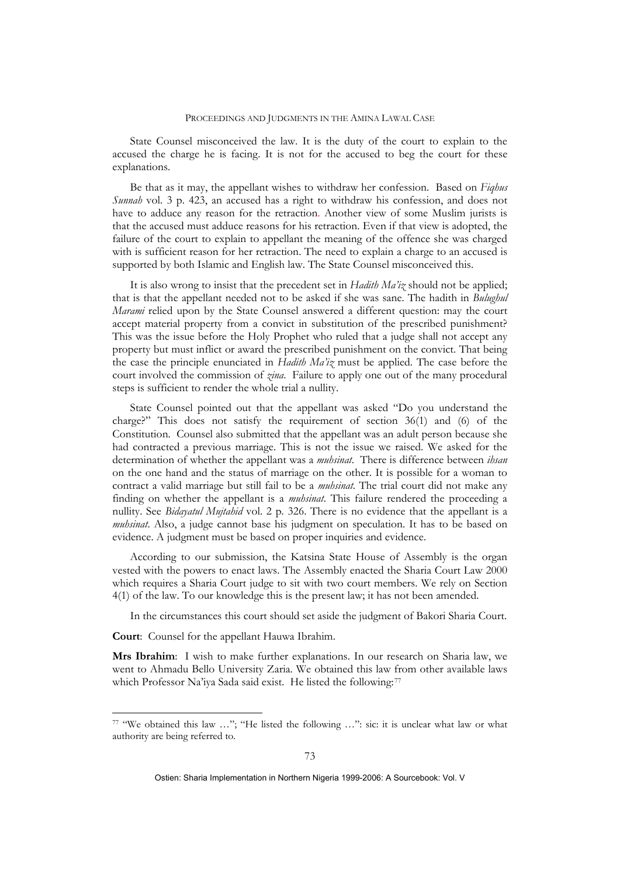State Counsel misconceived the law. It is the duty of the court to explain to the accused the charge he is facing. It is not for the accused to beg the court for these explanations.

Be that as it may, the appellant wishes to withdraw her confession. Based on *Fiqhus Sunnah* vol. 3 p. 423, an accused has a right to withdraw his confession, and does not have to adduce any reason for the retraction. Another view of some Muslim jurists is that the accused must adduce reasons for his retraction. Even if that view is adopted, the failure of the court to explain to appellant the meaning of the offence she was charged with is sufficient reason for her retraction. The need to explain a charge to an accused is supported by both Islamic and English law. The State Counsel misconceived this.

It is also wrong to insist that the precedent set in *Hadith Ma'iz* should not be applied; that is that the appellant needed not to be asked if she was sane. The hadith in *Bulughul Marami* relied upon by the State Counsel answered a different question: may the court accept material property from a convict in substitution of the prescribed punishment? This was the issue before the Holy Prophet who ruled that a judge shall not accept any property but must inflict or award the prescribed punishment on the convict. That being the case the principle enunciated in *Hadith Ma'iz* must be applied. The case before the court involved the commission of *zina*. Failure to apply one out of the many procedural steps is sufficient to render the whole trial a nullity.

State Counsel pointed out that the appellant was asked "Do you understand the charge?" This does not satisfy the requirement of section 36(1) and (6) of the Constitution. Counsel also submitted that the appellant was an adult person because she had contracted a previous marriage. This is not the issue we raised. We asked for the determination of whether the appellant was a *muhsinat*. There is difference between *ihsan* on the one hand and the status of marriage on the other. It is possible for a woman to contract a valid marriage but still fail to be a *muhsinat*. The trial court did not make any finding on whether the appellant is a *muhsinat*. This failure rendered the proceeding a nullity. See *Bidayatul Mujtahid* vol. 2 p. 326. There is no evidence that the appellant is a *muhsinat*. Also, a judge cannot base his judgment on speculation. It has to be based on evidence. A judgment must be based on proper inquiries and evidence.

According to our submission, the Katsina State House of Assembly is the organ vested with the powers to enact laws. The Assembly enacted the Sharia Court Law 2000 which requires a Sharia Court judge to sit with two court members. We rely on Section 4(1) of the law. To our knowledge this is the present law; it has not been amended.

In the circumstances this court should set aside the judgment of Bakori Sharia Court.

**Court**: Counsel for the appellant Hauwa Ibrahim.

1

**Mrs Ibrahim**: I wish to make further explanations. In our research on Sharia law, we went to Ahmadu Bello University Zaria. We obtained this law from other available laws which Professor Na'iya Sada said exist. He listed the following:<sup>[77](#page-21-0)</sup>

<span id="page-21-0"></span><sup>77 &</sup>quot;We obtained this law …"; "He listed the following …": sic: it is unclear what law or what authority are being referred to.

Ostien: Sharia Implementation in Northern Nigeria 1999-2006: A Sourcebook: Vol. V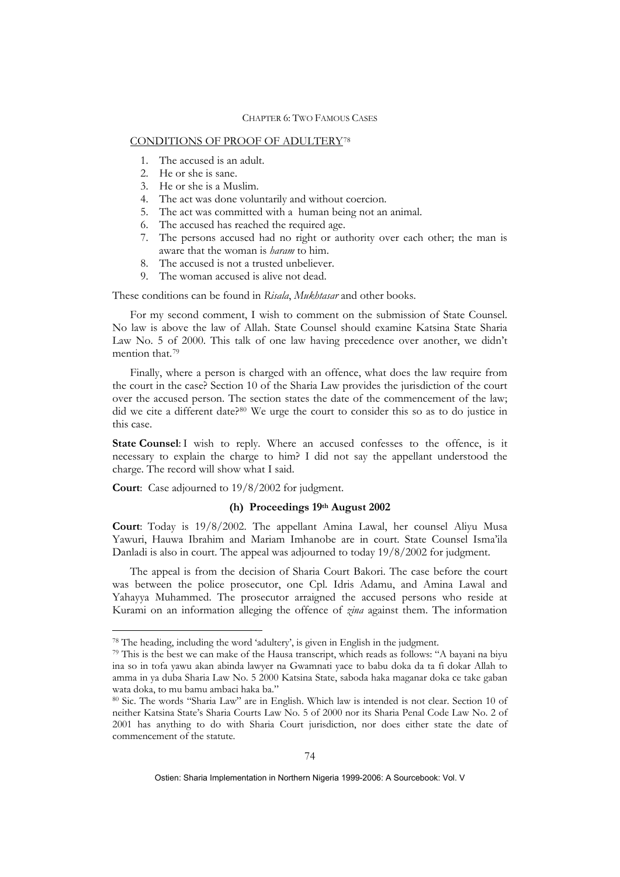### CONDITIONS OF PROOF OF ADULTERY[78](#page-22-0)

- 1. The accused is an adult.
- 2. He or she is sane.
- 3. He or she is a Muslim.
- 4. The act was done voluntarily and without coercion.
- 5. The act was committed with a human being not an animal.
- 6. The accused has reached the required age.
- 7. The persons accused had no right or authority over each other; the man is aware that the woman is *haram* to him.
- 8. The accused is not a trusted unbeliever.
- 9. The woman accused is alive not dead.

These conditions can be found in *Risala*, *Mukhtasar* and other books.

For my second comment, I wish to comment on the submission of State Counsel. No law is above the law of Allah. State Counsel should examine Katsina State Sharia Law No. 5 of 2000. This talk of one law having precedence over another, we didn't mention that.[79](#page-22-1)

Finally, where a person is charged with an offence, what does the law require from the court in the case? Section 10 of the Sharia Law provides the jurisdiction of the court over the accused person. The section states the date of the commencement of the law; did we cite a different date?<sup>[80](#page-22-2)</sup> We urge the court to consider this so as to do justice in this case.

**State Counsel**: I wish to reply. Where an accused confesses to the offence, is it necessary to explain the charge to him? I did not say the appellant understood the charge. The record will show what I said.

**Court**: Case adjourned to 19/8/2002 for judgment.

1

### **(h) Proceedings 19th August 2002**

**Court**: Today is 19/8/2002. The appellant Amina Lawal, her counsel Aliyu Musa Yawuri, Hauwa Ibrahim and Mariam Imhanobe are in court. State Counsel Isma'ila Danladi is also in court. The appeal was adjourned to today 19/8/2002 for judgment.

The appeal is from the decision of Sharia Court Bakori. The case before the court was between the police prosecutor, one Cpl. Idris Adamu, and Amina Lawal and Yahayya Muhammed. The prosecutor arraigned the accused persons who reside at Kurami on an information alleging the offence of *zina* against them. The information

<span id="page-22-1"></span><span id="page-22-0"></span><sup>&</sup>lt;sup>78</sup> The heading, including the word 'adultery', is given in English in the judgment.<br><sup>79</sup> This is the best we can make of the Hausa transcript, which reads as follows: "A bayani na biyu ina so in tofa yawu akan abinda lawyer na Gwamnati yace to babu doka da ta fi dokar Allah to amma in ya duba Sharia Law No. 5 2000 Katsina State, saboda haka maganar doka ce take gaban wata doka, to mu bamu ambaci haka ba."

<span id="page-22-2"></span><sup>80</sup> Sic. The words "Sharia Law" are in English. Which law is intended is not clear. Section 10 of neither Katsina State's Sharia Courts Law No. 5 of 2000 nor its Sharia Penal Code Law No. 2 of 2001 has anything to do with Sharia Court jurisdiction, nor does either state the date of commencement of the statute.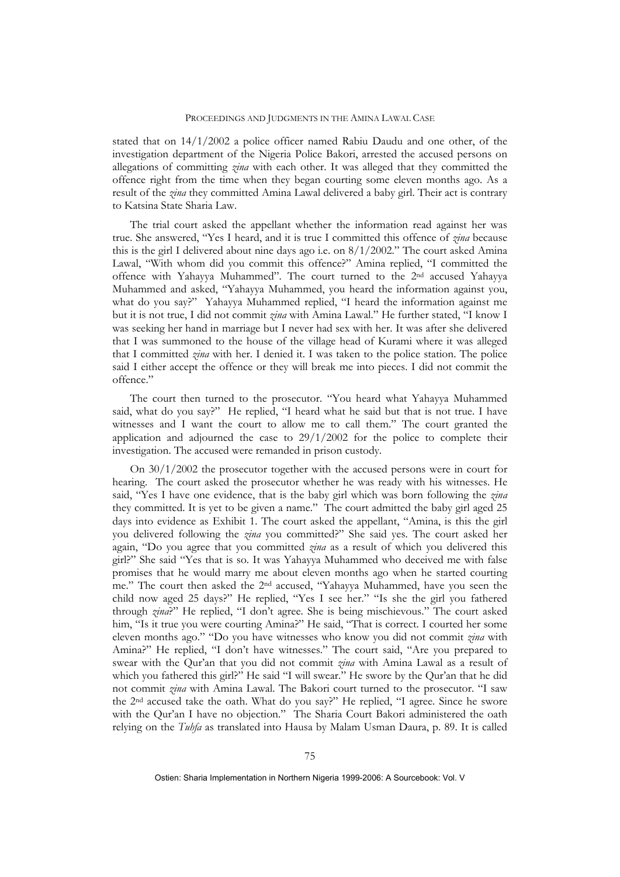stated that on 14/1/2002 a police officer named Rabiu Daudu and one other, of the investigation department of the Nigeria Police Bakori, arrested the accused persons on allegations of committing *zina* with each other. It was alleged that they committed the offence right from the time when they began courting some eleven months ago. As a result of the *zina* they committed Amina Lawal delivered a baby girl. Their act is contrary to Katsina State Sharia Law.

The trial court asked the appellant whether the information read against her was true. She answered, "Yes I heard, and it is true I committed this offence of *zina* because this is the girl I delivered about nine days ago i.e. on 8/1/2002." The court asked Amina Lawal, "With whom did you commit this offence?" Amina replied, "I committed the offence with Yahayya Muhammed". The court turned to the 2nd accused Yahayya Muhammed and asked, "Yahayya Muhammed, you heard the information against you, what do you say?" Yahayya Muhammed replied, "I heard the information against me but it is not true, I did not commit *zina* with Amina Lawal." He further stated, "I know I was seeking her hand in marriage but I never had sex with her. It was after she delivered that I was summoned to the house of the village head of Kurami where it was alleged that I committed *zina* with her. I denied it. I was taken to the police station. The police said I either accept the offence or they will break me into pieces. I did not commit the offence."

The court then turned to the prosecutor. "You heard what Yahayya Muhammed said, what do you say?" He replied, "I heard what he said but that is not true. I have witnesses and I want the court to allow me to call them." The court granted the application and adjourned the case to  $29/1/2002$  for the police to complete their investigation. The accused were remanded in prison custody.

On 30/1/2002 the prosecutor together with the accused persons were in court for hearing. The court asked the prosecutor whether he was ready with his witnesses. He said, "Yes I have one evidence, that is the baby girl which was born following the *zina* they committed. It is yet to be given a name." The court admitted the baby girl aged 25 days into evidence as Exhibit 1. The court asked the appellant, "Amina, is this the girl you delivered following the *zina* you committed?" She said yes. The court asked her again, "Do you agree that you committed *zina* as a result of which you delivered this girl?" She said "Yes that is so. It was Yahayya Muhammed who deceived me with false promises that he would marry me about eleven months ago when he started courting me." The court then asked the 2nd accused, "Yahayya Muhammed, have you seen the child now aged 25 days?" He replied, "Yes I see her." "Is she the girl you fathered through *zina*?" He replied, "I don't agree. She is being mischievous." The court asked him, "Is it true you were courting Amina?" He said, "That is correct. I courted her some eleven months ago." "Do you have witnesses who know you did not commit *zina* with Amina?" He replied, "I don't have witnesses." The court said, "Are you prepared to swear with the Qur'an that you did not commit *zina* with Amina Lawal as a result of which you fathered this girl?" He said "I will swear." He swore by the Qur'an that he did not commit *zina* with Amina Lawal. The Bakori court turned to the prosecutor. "I saw the 2nd accused take the oath. What do you say?" He replied, "I agree. Since he swore with the Qur'an I have no objection." The Sharia Court Bakori administered the oath relying on the *Tuhfa* as translated into Hausa by Malam Usman Daura, p. 89. It is called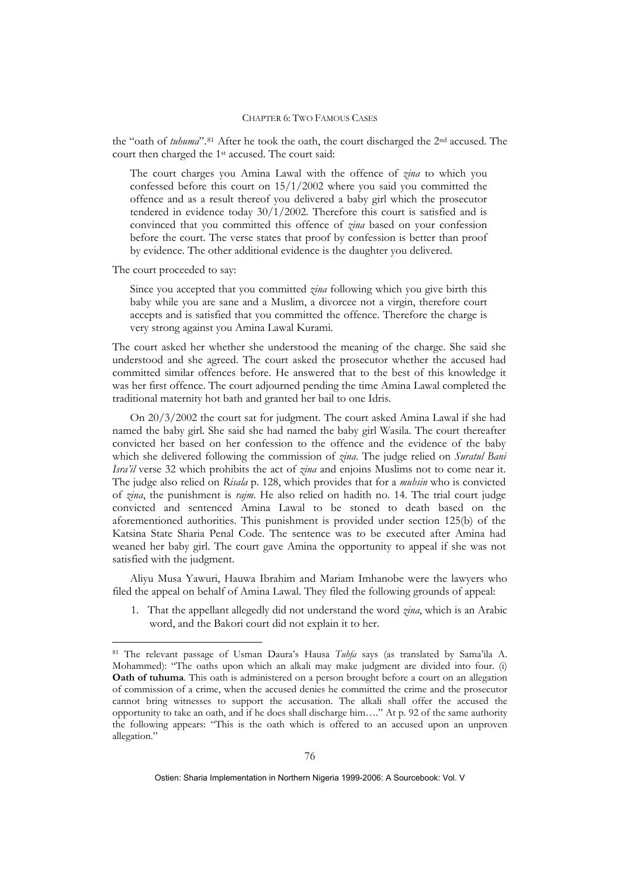the "oath of *tuhuma*".<sup>[81](#page-24-0)</sup> After he took the oath, the court discharged the 2<sup>nd</sup> accused. The court then charged the 1st accused. The court said:

The court charges you Amina Lawal with the offence of *zina* to which you confessed before this court on 15/1/2002 where you said you committed the offence and as a result thereof you delivered a baby girl which the prosecutor tendered in evidence today 30/1/2002. Therefore this court is satisfied and is convinced that you committed this offence of *zina* based on your confession before the court. The verse states that proof by confession is better than proof by evidence. The other additional evidence is the daughter you delivered.

The court proceeded to say:

<u>.</u>

Since you accepted that you committed *zina* following which you give birth this baby while you are sane and a Muslim, a divorcee not a virgin, therefore court accepts and is satisfied that you committed the offence. Therefore the charge is very strong against you Amina Lawal Kurami.

The court asked her whether she understood the meaning of the charge. She said she understood and she agreed. The court asked the prosecutor whether the accused had committed similar offences before. He answered that to the best of this knowledge it was her first offence. The court adjourned pending the time Amina Lawal completed the traditional maternity hot bath and granted her bail to one Idris.

On 20/3/2002 the court sat for judgment. The court asked Amina Lawal if she had named the baby girl. She said she had named the baby girl Wasila. The court thereafter convicted her based on her confession to the offence and the evidence of the baby which she delivered following the commission of *zina*. The judge relied on *Suratul Bani Isra'il* verse 32 which prohibits the act of *zina* and enjoins Muslims not to come near it. The judge also relied on *Risala* p. 128, which provides that for a *muhsin* who is convicted of *zina*, the punishment is *rajm*. He also relied on hadith no. 14. The trial court judge convicted and sentenced Amina Lawal to be stoned to death based on the aforementioned authorities. This punishment is provided under section 125(b) of the Katsina State Sharia Penal Code. The sentence was to be executed after Amina had weaned her baby girl. The court gave Amina the opportunity to appeal if she was not satisfied with the judgment.

Aliyu Musa Yawuri, Hauwa Ibrahim and Mariam Imhanobe were the lawyers who filed the appeal on behalf of Amina Lawal. They filed the following grounds of appeal:

1. That the appellant allegedly did not understand the word *zina*, which is an Arabic word, and the Bakori court did not explain it to her.

<span id="page-24-0"></span><sup>81</sup> The relevant passage of Usman Daura's Hausa *Tuhfa* says (as translated by Sama'ila A. Mohammed): "The oaths upon which an alkali may make judgment are divided into four. (i) **Oath of tuhuma**. This oath is administered on a person brought before a court on an allegation of commission of a crime, when the accused denies he committed the crime and the prosecutor cannot bring witnesses to support the accusation. The alkali shall offer the accused the opportunity to take an oath, and if he does shall discharge him…." At p. 92 of the same authority the following appears: "This is the oath which is offered to an accused upon an unproven allegation."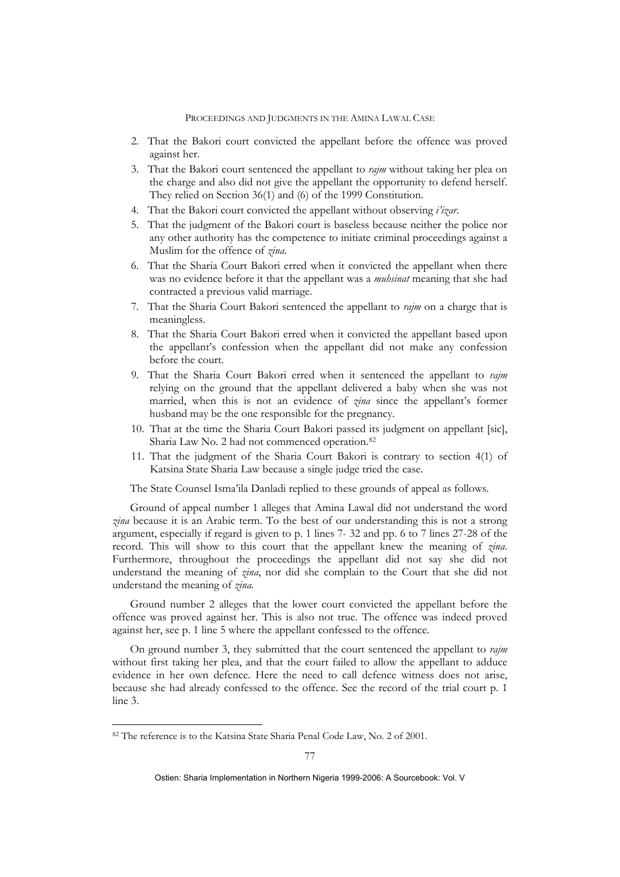- 2. That the Bakori court convicted the appellant before the offence was proved against her.
- 3. That the Bakori court sentenced the appellant to *rajm* without taking her plea on the charge and also did not give the appellant the opportunity to defend herself. They relied on Section 36(1) and (6) of the 1999 Constitution.
- 4. That the Bakori court convicted the appellant without observing *i'izar*.
- 5. That the judgment of the Bakori court is baseless because neither the police nor any other authority has the competence to initiate criminal proceedings against a Muslim for the offence of *zina*.
- 6. That the Sharia Court Bakori erred when it convicted the appellant when there was no evidence before it that the appellant was a *muhsinat* meaning that she had contracted a previous valid marriage.
- 7. That the Sharia Court Bakori sentenced the appellant to *rajm* on a charge that is meaningless.
- 8. That the Sharia Court Bakori erred when it convicted the appellant based upon the appellant's confession when the appellant did not make any confession before the court.
- 9. That the Sharia Court Bakori erred when it sentenced the appellant to *rajm* relying on the ground that the appellant delivered a baby when she was not married, when this is not an evidence of *zina* since the appellant's former husband may be the one responsible for the pregnancy.
- 10. That at the time the Sharia Court Bakori passed its judgment on appellant [sic], Sharia Law No. 2 had not commenced operation.[82](#page-25-0)
- 11. That the judgment of the Sharia Court Bakori is contrary to section 4(1) of Katsina State Sharia Law because a single judge tried the case.

The State Counsel Isma'ila Danladi replied to these grounds of appeal as follows.

Ground of appeal number 1 alleges that Amina Lawal did not understand the word *zina* because it is an Arabic term. To the best of our understanding this is not a strong argument, especially if regard is given to p. 1 lines 7- 32 and pp. 6 to 7 lines 27-28 of the record. This will show to this court that the appellant knew the meaning of *zina*. Furthermore, throughout the proceedings the appellant did not say she did not understand the meaning of *zina*, nor did she complain to the Court that she did not understand the meaning of *zina.*

Ground number 2 alleges that the lower court convicted the appellant before the offence was proved against her. This is also not true. The offence was indeed proved against her, see p. 1 line 5 where the appellant confessed to the offence.

On ground number 3, they submitted that the court sentenced the appellant to *rajm* without first taking her plea, and that the court failed to allow the appellant to adduce evidence in her own defence. Here the need to call defence witness does not arise, because she had already confessed to the offence. See the record of the trial court p. 1 line 3.

1

<span id="page-25-0"></span><sup>82</sup> The reference is to the Katsina State Sharia Penal Code Law, No. 2 of 2001.

Ostien: Sharia Implementation in Northern Nigeria 1999-2006: A Sourcebook: Vol. V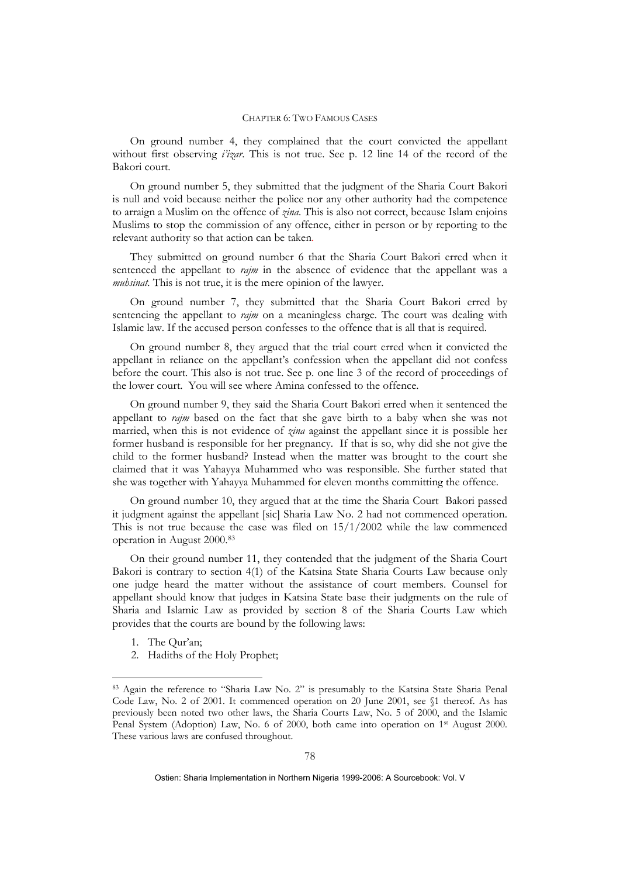On ground number 4, they complained that the court convicted the appellant without first observing *i'izar*. This is not true. See p. 12 line 14 of the record of the Bakori court.

On ground number 5, they submitted that the judgment of the Sharia Court Bakori is null and void because neither the police nor any other authority had the competence to arraign a Muslim on the offence of *zina*. This is also not correct, because Islam enjoins Muslims to stop the commission of any offence, either in person or by reporting to the relevant authority so that action can be taken.

They submitted on ground number 6 that the Sharia Court Bakori erred when it sentenced the appellant to *rajm* in the absence of evidence that the appellant was a *muhsinat.* This is not true, it is the mere opinion of the lawyer.

On ground number 7, they submitted that the Sharia Court Bakori erred by sentencing the appellant to *rajm* on a meaningless charge. The court was dealing with Islamic law. If the accused person confesses to the offence that is all that is required.

On ground number 8, they argued that the trial court erred when it convicted the appellant in reliance on the appellant's confession when the appellant did not confess before the court. This also is not true. See p. one line 3 of the record of proceedings of the lower court. You will see where Amina confessed to the offence.

On ground number 9, they said the Sharia Court Bakori erred when it sentenced the appellant to *rajm* based on the fact that she gave birth to a baby when she was not married, when this is not evidence of *zina* against the appellant since it is possible her former husband is responsible for her pregnancy. If that is so, why did she not give the child to the former husband? Instead when the matter was brought to the court she claimed that it was Yahayya Muhammed who was responsible. She further stated that she was together with Yahayya Muhammed for eleven months committing the offence.

 On ground number 10, they argued that at the time the Sharia Court Bakori passed it judgment against the appellant [sic] Sharia Law No. 2 had not commenced operation. This is not true because the case was filed on  $15/1/2002$  while the law commenced operation in August 2000.[83](#page-26-0)

On their ground number 11, they contended that the judgment of the Sharia Court Bakori is contrary to section 4(1) of the Katsina State Sharia Courts Law because only one judge heard the matter without the assistance of court members. Counsel for appellant should know that judges in Katsina State base their judgments on the rule of Sharia and Islamic Law as provided by section 8 of the Sharia Courts Law which provides that the courts are bound by the following laws:

1. The Qur'an;

1

2. Hadiths of the Holy Prophet;

<span id="page-26-0"></span><sup>83</sup> Again the reference to "Sharia Law No. 2" is presumably to the Katsina State Sharia Penal Code Law, No. 2 of 2001. It commenced operation on 20 June 2001, see §1 thereof. As has previously been noted two other laws, the Sharia Courts Law, No. 5 of 2000, and the Islamic Penal System (Adoption) Law, No. 6 of 2000, both came into operation on 1<sup>st</sup> August 2000. These various laws are confused throughout.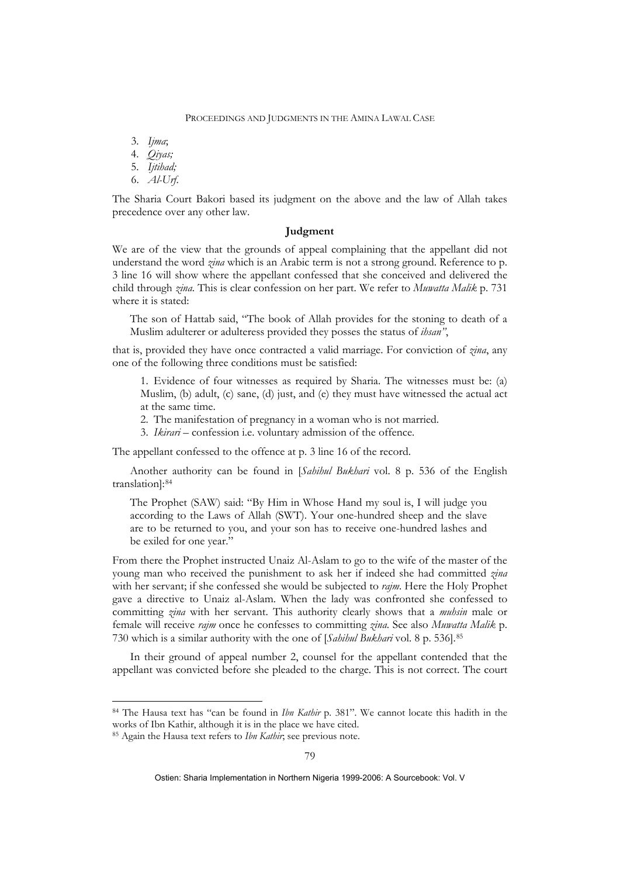3. *Ijma*;

- 4. *Qiyas;*
- 5. *Ijtihad;*
- 6. *Al-Urf*.

The Sharia Court Bakori based its judgment on the above and the law of Allah takes precedence over any other law.

### **Judgment**

We are of the view that the grounds of appeal complaining that the appellant did not understand the word *zina* which is an Arabic term is not a strong ground. Reference to p. 3 line 16 will show where the appellant confessed that she conceived and delivered the child through *zina*. This is clear confession on her part. We refer to *Muwatta Malik* p. 731 where it is stated:

The son of Hattab said, "The book of Allah provides for the stoning to death of a Muslim adulterer or adulteress provided they posses the status of *ihsan"*,

that is, provided they have once contracted a valid marriage. For conviction of *zina*, any one of the following three conditions must be satisfied:

1. Evidence of four witnesses as required by Sharia. The witnesses must be: (a) Muslim, (b) adult, (c) sane, (d) just, and (e) they must have witnessed the actual act at the same time.

- 2. The manifestation of pregnancy in a woman who is not married.
- 3. *Ikirari* confession i.e. voluntary admission of the offence.

The appellant confessed to the offence at p. 3 line 16 of the record.

Another authority can be found in [*Sahihul Bukhari* vol. 8 p. 536 of the English translation]:[84](#page-27-0)

The Prophet (SAW) said: "By Him in Whose Hand my soul is, I will judge you according to the Laws of Allah (SWT). Your one-hundred sheep and the slave are to be returned to you, and your son has to receive one-hundred lashes and be exiled for one year."

From there the Prophet instructed Unaiz Al-Aslam to go to the wife of the master of the young man who received the punishment to ask her if indeed she had committed *zina* with her servant; if she confessed she would be subjected to *rajm*. Here the Holy Prophet gave a directive to Unaiz al-Aslam. When the lady was confronted she confessed to committing *zina* with her servant. This authority clearly shows that a *muhsin* male or female will receive *rajm* once he confesses to committing *zina*. See also *Muwatta Malik* p. 730 which is a similar authority with the one of [*Sahihul Bukhari* vol. 8 p. 536].[85](#page-27-1)

 In their ground of appeal number 2, counsel for the appellant contended that the appellant was convicted before she pleaded to the charge. This is not correct. The court

1

<span id="page-27-0"></span><sup>84</sup> The Hausa text has "can be found in *Ibn Kathir* p. 381". We cannot locate this hadith in the works of Ibn Kathir, although it is in the place we have cited.

<span id="page-27-1"></span><sup>85</sup> Again the Hausa text refers to *Ibn Kathir*; see previous note.

Ostien: Sharia Implementation in Northern Nigeria 1999-2006: A Sourcebook: Vol. V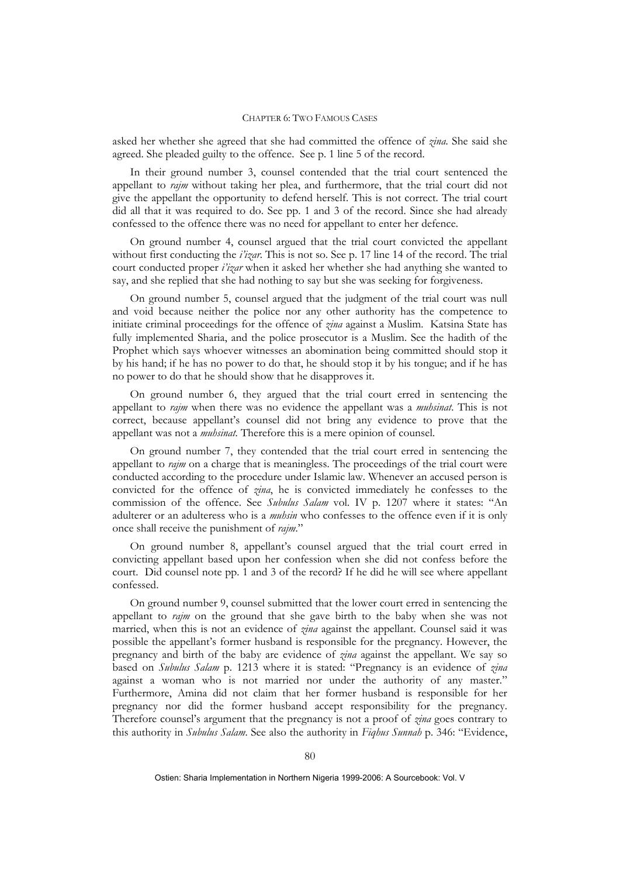asked her whether she agreed that she had committed the offence of *zina*. She said she agreed. She pleaded guilty to the offence. See p. 1 line 5 of the record.

 In their ground number 3, counsel contended that the trial court sentenced the appellant to *rajm* without taking her plea, and furthermore, that the trial court did not give the appellant the opportunity to defend herself. This is not correct. The trial court did all that it was required to do. See pp. 1 and 3 of the record. Since she had already confessed to the offence there was no need for appellant to enter her defence.

 On ground number 4, counsel argued that the trial court convicted the appellant without first conducting the *i'izar*. This is not so. See p. 17 line 14 of the record. The trial court conducted proper *i'izar* when it asked her whether she had anything she wanted to say, and she replied that she had nothing to say but she was seeking for forgiveness.

 On ground number 5, counsel argued that the judgment of the trial court was null and void because neither the police nor any other authority has the competence to initiate criminal proceedings for the offence of *zina* against a Muslim. Katsina State has fully implemented Sharia, and the police prosecutor is a Muslim. See the hadith of the Prophet which says whoever witnesses an abomination being committed should stop it by his hand; if he has no power to do that, he should stop it by his tongue; and if he has no power to do that he should show that he disapproves it.

 On ground number 6, they argued that the trial court erred in sentencing the appellant to *rajm* when there was no evidence the appellant was a *muhsinat*. This is not correct, because appellant's counsel did not bring any evidence to prove that the appellant was not a *muhsinat*. Therefore this is a mere opinion of counsel.

 On ground number 7, they contended that the trial court erred in sentencing the appellant to *rajm* on a charge that is meaningless. The proceedings of the trial court were conducted according to the procedure under Islamic law. Whenever an accused person is convicted for the offence of *zina*, he is convicted immediately he confesses to the commission of the offence. See *Subulus Salam* vol. IV p. 1207 where it states: "An adulterer or an adulteress who is a *muhsin* who confesses to the offence even if it is only once shall receive the punishment of *rajm*."

 On ground number 8, appellant's counsel argued that the trial court erred in convicting appellant based upon her confession when she did not confess before the court. Did counsel note pp. 1 and 3 of the record? If he did he will see where appellant confessed.

On ground number 9, counsel submitted that the lower court erred in sentencing the appellant to *rajm* on the ground that she gave birth to the baby when she was not married, when this is not an evidence of *zina* against the appellant. Counsel said it was possible the appellant's former husband is responsible for the pregnancy. However, the pregnancy and birth of the baby are evidence of *zina* against the appellant. We say so based on *Subulus Salam* p. 1213 where it is stated: "Pregnancy is an evidence of *zina* against a woman who is not married nor under the authority of any master." Furthermore, Amina did not claim that her former husband is responsible for her pregnancy nor did the former husband accept responsibility for the pregnancy. Therefore counsel's argument that the pregnancy is not a proof of *zina* goes contrary to this authority in *Subulus Salam*. See also the authority in *Fiqhus Sunnah* p. 346: "Evidence,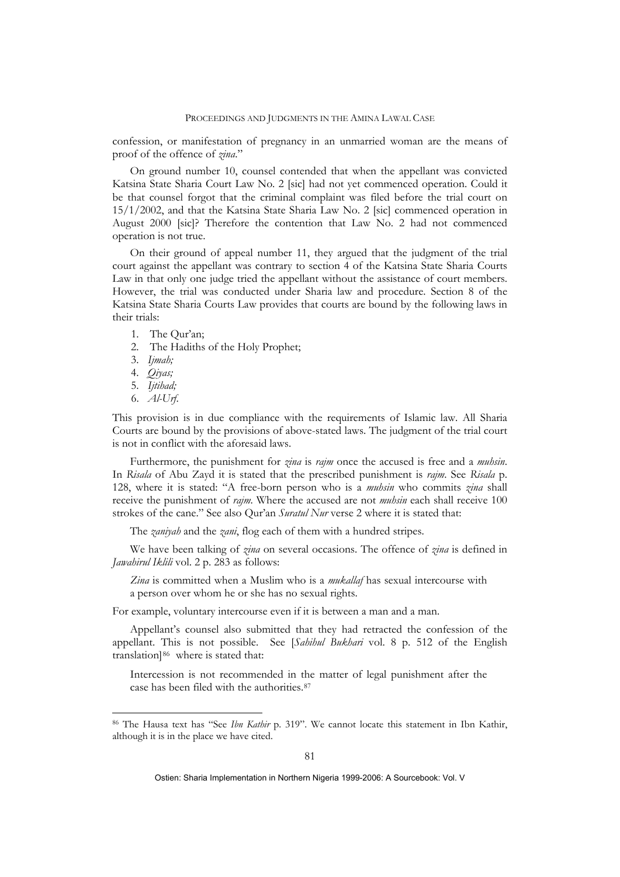confession, or manifestation of pregnancy in an unmarried woman are the means of proof of the offence of *zina*."

On ground number 10, counsel contended that when the appellant was convicted Katsina State Sharia Court Law No. 2 [sic] had not yet commenced operation. Could it be that counsel forgot that the criminal complaint was filed before the trial court on 15/1/2002, and that the Katsina State Sharia Law No. 2 [sic] commenced operation in August 2000 [sic]? Therefore the contention that Law No. 2 had not commenced operation is not true.

 On their ground of appeal number 11, they argued that the judgment of the trial court against the appellant was contrary to section 4 of the Katsina State Sharia Courts Law in that only one judge tried the appellant without the assistance of court members. However, the trial was conducted under Sharia law and procedure. Section 8 of the Katsina State Sharia Courts Law provides that courts are bound by the following laws in their trials:

- 1. The Qur'an;
- 2. The Hadiths of the Holy Prophet;
- 3. *Ijmah;*
- 4. *Qiyas;*
- 5. *Ijtihad;*
- 6. *Al-Urf*.

1

This provision is in due compliance with the requirements of Islamic law. All Sharia Courts are bound by the provisions of above-stated laws. The judgment of the trial court is not in conflict with the aforesaid laws.

Furthermore, the punishment for *zina* is *rajm* once the accused is free and a *muhsin*. In *Risala* of Abu Zayd it is stated that the prescribed punishment is *rajm*. See *Risala* p. 128, where it is stated: "A free-born person who is a *muhsin* who commits *zina* shall receive the punishment of *rajm*. Where the accused are not *muhsin* each shall receive 100 strokes of the cane." See also Qur'an *Suratul Nur* verse 2 where it is stated that:

The *zaniyah* and the *zani*, flog each of them with a hundred stripes.

We have been talking of *zina* on several occasions. The offence of *zina* is defined in *Jawahirul Iklili* vol. 2 p. 283 as follows:

*Zina* is committed when a Muslim who is a *mukallaf* has sexual intercourse with a person over whom he or she has no sexual rights.

For example, voluntary intercourse even if it is between a man and a man.

Appellant's counsel also submitted that they had retracted the confession of the appellant. This is not possible. See [*Sahihul Bukhari* vol. 8 p. 512 of the English translation]<sup>[86](#page-29-0)</sup> where is stated that:

Intercession is not recommended in the matter of legal punishment after the case has been filed with the authorities.[87](#page-29-1)

<span id="page-29-1"></span><span id="page-29-0"></span><sup>86</sup> The Hausa text has "See *Ibn Kathir* p. 319". We cannot locate this statement in Ibn Kathir, although it is in the place we have cited.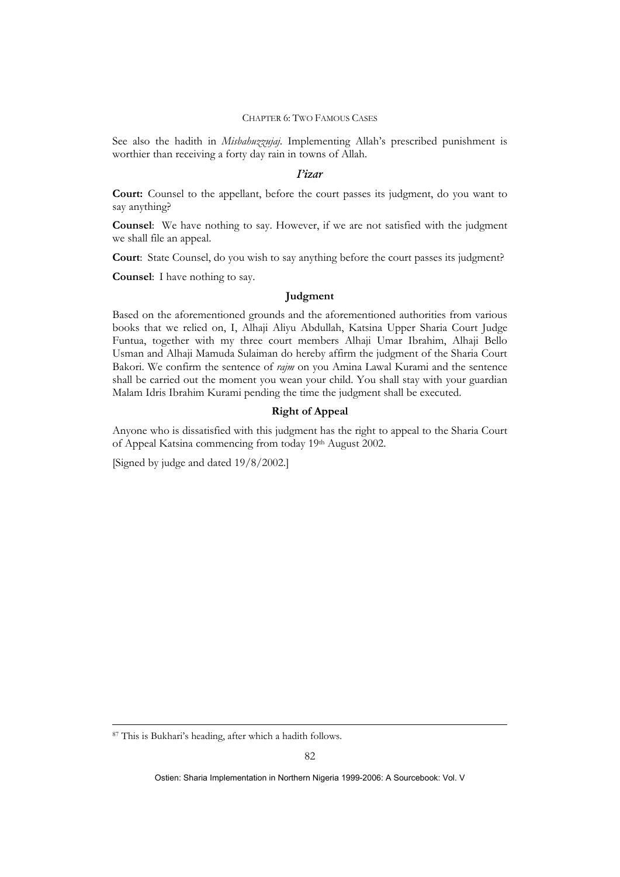See also the hadith in *Misbahuzzujaj*. Implementing Allah's prescribed punishment is worthier than receiving a forty day rain in towns of Allah.

### *I'izar*

**Court:** Counsel to the appellant, before the court passes its judgment, do you want to say anything?

**Counsel**: We have nothing to say. However, if we are not satisfied with the judgment we shall file an appeal.

**Court**: State Counsel, do you wish to say anything before the court passes its judgment?

**Counsel**: I have nothing to say.

### **Judgment**

Based on the aforementioned grounds and the aforementioned authorities from various books that we relied on, I, Alhaji Aliyu Abdullah, Katsina Upper Sharia Court Judge Funtua, together with my three court members Alhaji Umar Ibrahim, Alhaji Bello Usman and Alhaji Mamuda Sulaiman do hereby affirm the judgment of the Sharia Court Bakori. We confirm the sentence of *rajm* on you Amina Lawal Kurami and the sentence shall be carried out the moment you wean your child. You shall stay with your guardian Malam Idris Ibrahim Kurami pending the time the judgment shall be executed.

### **Right of Appeal**

Anyone who is dissatisfied with this judgment has the right to appeal to the Sharia Court of Appeal Katsina commencing from today 19th August 2002.

[Signed by judge and dated 19/8/2002.]

1

<sup>87</sup> This is Bukhari's heading, after which a hadith follows.

Ostien: Sharia Implementation in Northern Nigeria 1999-2006: A Sourcebook: Vol. V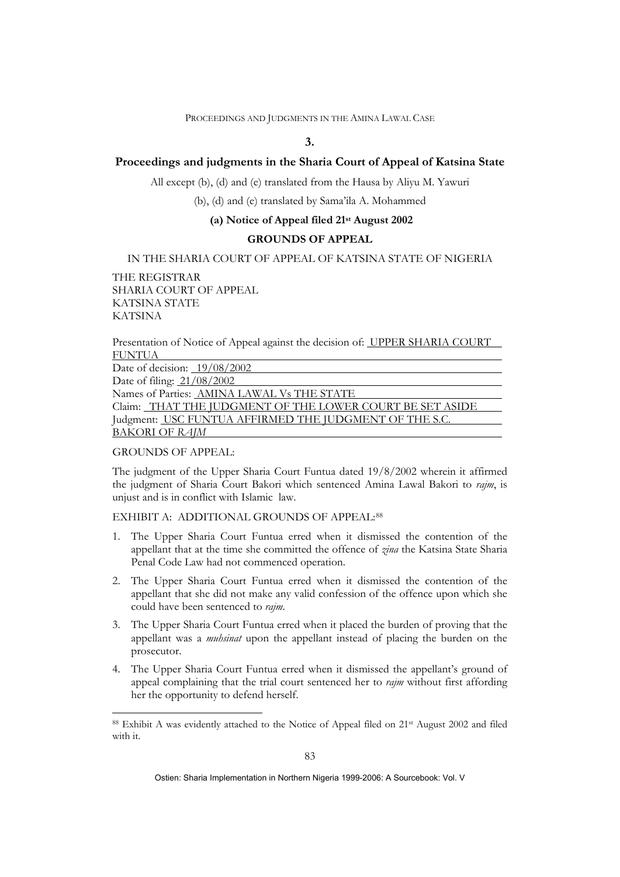# **3.**

## **Proceedings and judgments in the Sharia Court of Appeal of Katsina State**

All except (b), (d) and (e) translated from the Hausa by Aliyu M. Yawuri

(b), (d) and (e) translated by Sama'ila A. Mohammed

## **(a) Notice of Appeal filed 21st August 2002**

# **GROUNDS OF APPEAL**

### IN THE SHARIA COURT OF APPEAL OF KATSINA STATE OF NIGERIA

THE REGISTRAR SHARIA COURT OF APPEAL KATSINA STATE KATSINA

Presentation of Notice of Appeal against the decision of: UPPER SHARIA COURT FUNTUA

| Date of decision: $19/08/2002$                           |
|----------------------------------------------------------|
| Date of filing: 21/08/2002                               |
| Names of Parties: AMINA LAWAL Vs THE STATE               |
| Claim: THAT THE JUDGMENT OF THE LOWER COURT BE SET ASIDE |
| Judgment: USC FUNTUA AFFIRMED THE JUDGMENT OF THE S.C.   |
| <b>BAKORI OF RAJM</b>                                    |

### GROUNDS OF APPEAL:

1

The judgment of the Upper Sharia Court Funtua dated 19/8/2002 wherein it affirmed the judgment of Sharia Court Bakori which sentenced Amina Lawal Bakori to *rajm*, is unjust and is in conflict with Islamic law.

EXHIBIT A: ADDITIONAL GROUNDS OF APPEAL:[88](#page-31-0)

- 1. The Upper Sharia Court Funtua erred when it dismissed the contention of the appellant that at the time she committed the offence of *zina* the Katsina State Sharia Penal Code Law had not commenced operation.
- 2. The Upper Sharia Court Funtua erred when it dismissed the contention of the appellant that she did not make any valid confession of the offence upon which she could have been sentenced to *rajm*.
- 3. The Upper Sharia Court Funtua erred when it placed the burden of proving that the appellant was a *muhsinat* upon the appellant instead of placing the burden on the prosecutor.
- 4. The Upper Sharia Court Funtua erred when it dismissed the appellant's ground of appeal complaining that the trial court sentenced her to *rajm* without first affording her the opportunity to defend herself.

<span id="page-31-0"></span><sup>88</sup> Exhibit A was evidently attached to the Notice of Appeal filed on 21<sup>st</sup> August 2002 and filed with it.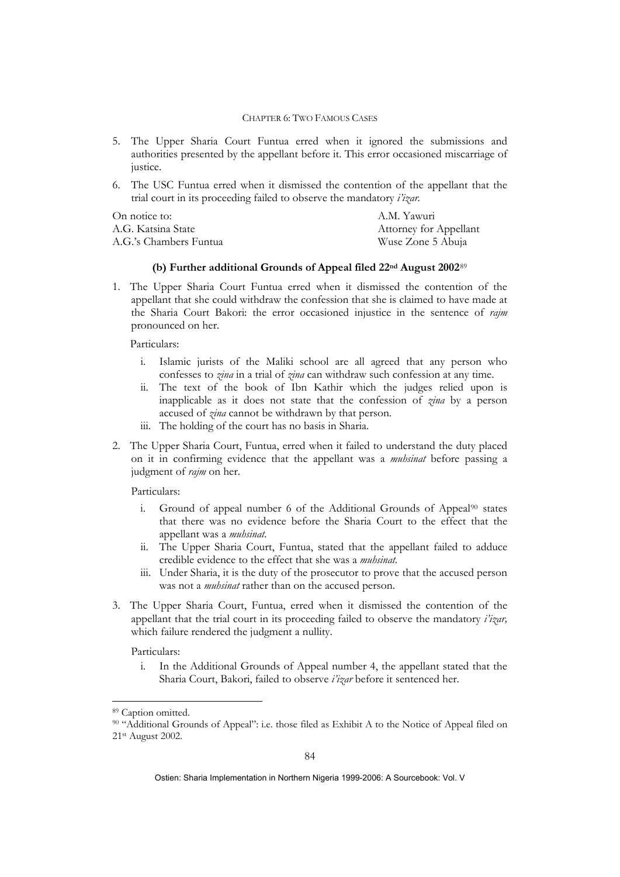- 5. The Upper Sharia Court Funtua erred when it ignored the submissions and authorities presented by the appellant before it. This error occasioned miscarriage of justice.
- 6. The USC Funtua erred when it dismissed the contention of the appellant that the trial court in its proceeding failed to observe the mandatory *i'izar.*

| On notice to:          | A.M. Yawuri            |
|------------------------|------------------------|
| A.G. Katsina State     | Attorney for Appellant |
| A.G.'s Chambers Funtua | Wuse Zone 5 Abuja      |

### **(b) Further additional Grounds of Appeal filed 22nd August 2002**[89](#page-32-0)

1. The Upper Sharia Court Funtua erred when it dismissed the contention of the appellant that she could withdraw the confession that she is claimed to have made at the Sharia Court Bakori: the error occasioned injustice in the sentence of *rajm* pronounced on her.

Particulars:

- i. Islamic jurists of the Maliki school are all agreed that any person who confesses to *zina* in a trial of *zina* can withdraw such confession at any time.
- ii. The text of the book of Ibn Kathir which the judges relied upon is inapplicable as it does not state that the confession of *zina* by a person accused of *zina* cannot be withdrawn by that person.
- iii. The holding of the court has no basis in Sharia.
- 2. The Upper Sharia Court, Funtua, erred when it failed to understand the duty placed on it in confirming evidence that the appellant was a *muhsinat* before passing a judgment of *rajm* on her.

Particulars:

- i. Ground of appeal number 6 of the Additional Grounds of Appeal<sup>[90](#page-32-1)</sup> states that there was no evidence before the Sharia Court to the effect that the appellant was a *muhsinat*.
- ii. The Upper Sharia Court, Funtua, stated that the appellant failed to adduce credible evidence to the effect that she was a *muhsinat.*
- iii. Under Sharia, it is the duty of the prosecutor to prove that the accused person was not a *muhsinat* rather than on the accused person.
- 3. The Upper Sharia Court, Funtua, erred when it dismissed the contention of the appellant that the trial court in its proceeding failed to observe the mandatory *i'izar,* which failure rendered the judgment a nullity.

Particulars:

i. In the Additional Grounds of Appeal number 4, the appellant stated that the Sharia Court, Bakori, failed to observe *i'izar* before it sentenced her.

1

<span id="page-32-0"></span><sup>89</sup> Caption omitted.

<span id="page-32-1"></span><sup>90 &</sup>quot;Additional Grounds of Appeal": i.e. those filed as Exhibit A to the Notice of Appeal filed on 21st August 2002.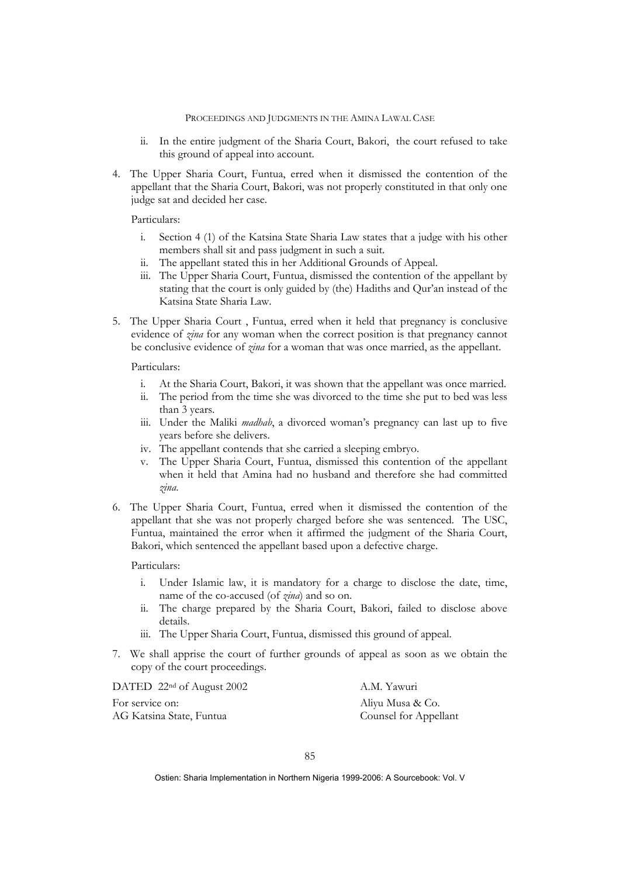- ii. In the entire judgment of the Sharia Court, Bakori, the court refused to take this ground of appeal into account.
- 4. The Upper Sharia Court, Funtua, erred when it dismissed the contention of the appellant that the Sharia Court, Bakori, was not properly constituted in that only one judge sat and decided her case.

Particulars:

- i. Section 4 (1) of the Katsina State Sharia Law states that a judge with his other members shall sit and pass judgment in such a suit.
- ii. The appellant stated this in her Additional Grounds of Appeal.
- iii. The Upper Sharia Court, Funtua, dismissed the contention of the appellant by stating that the court is only guided by (the) Hadiths and Qur'an instead of the Katsina State Sharia Law.
- 5. The Upper Sharia Court , Funtua, erred when it held that pregnancy is conclusive evidence of *zina* for any woman when the correct position is that pregnancy cannot be conclusive evidence of *zina* for a woman that was once married, as the appellant.

Particulars:

- i. At the Sharia Court, Bakori, it was shown that the appellant was once married.
- ii. The period from the time she was divorced to the time she put to bed was less than 3 years.
- iii. Under the Maliki *madhab*, a divorced woman's pregnancy can last up to five years before she delivers.
- iv. The appellant contends that she carried a sleeping embryo.
- v. The Upper Sharia Court, Funtua, dismissed this contention of the appellant when it held that Amina had no husband and therefore she had committed *zina*.
- 6. The Upper Sharia Court, Funtua, erred when it dismissed the contention of the appellant that she was not properly charged before she was sentenced. The USC, Funtua, maintained the error when it affirmed the judgment of the Sharia Court, Bakori, which sentenced the appellant based upon a defective charge.

Particulars:

- i. Under Islamic law, it is mandatory for a charge to disclose the date, time, name of the co-accused (of *zina*) and so on.
- ii. The charge prepared by the Sharia Court, Bakori, failed to disclose above details.
- iii. The Upper Sharia Court, Funtua, dismissed this ground of appeal.
- 7. We shall apprise the court of further grounds of appeal as soon as we obtain the copy of the court proceedings.

| DATED 22 <sup>nd</sup> of August 2002 | A.M. Yawuri           |
|---------------------------------------|-----------------------|
| For service on:                       | Aliyu Musa & Co.      |
| AG Katsina State, Funtua              | Counsel for Appellant |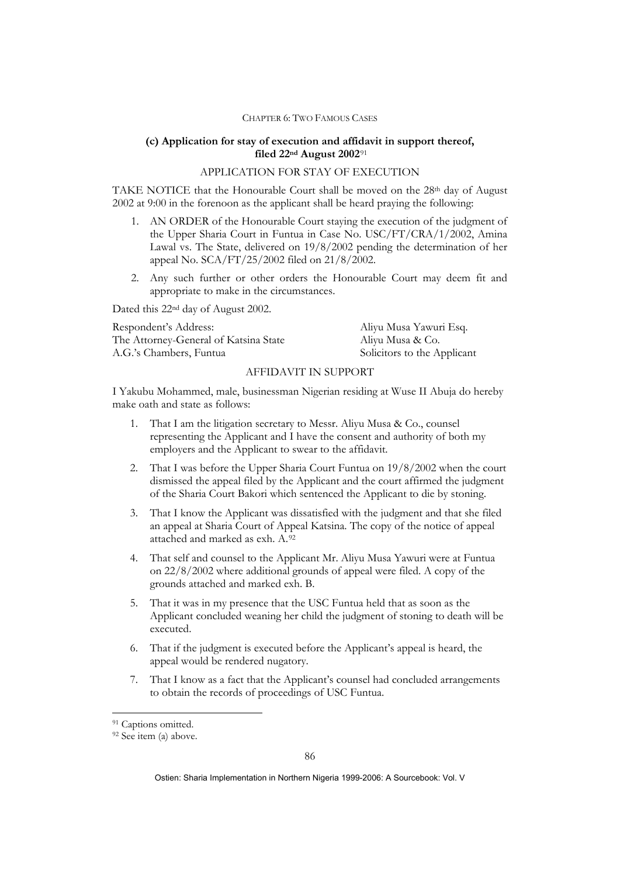### **(c) Application for stay of execution and affidavit in support thereof, filed 22nd August 2002**[91](#page-34-0)

### APPLICATION FOR STAY OF EXECUTION

TAKE NOTICE that the Honourable Court shall be moved on the 28<sup>th</sup> day of August 2002 at 9:00 in the forenoon as the applicant shall be heard praying the following:

- 1. AN ORDER of the Honourable Court staying the execution of the judgment of the Upper Sharia Court in Funtua in Case No. USC/FT/CRA/1/2002, Amina Lawal vs. The State, delivered on 19/8/2002 pending the determination of her appeal No. SCA/FT/25/2002 filed on 21/8/2002.
- 2. Any such further or other orders the Honourable Court may deem fit and appropriate to make in the circumstances.

Dated this 22nd day of August 2002.

| Respondent's Address:                 | Aliyu Musa Yawuri Esq.      |
|---------------------------------------|-----------------------------|
| The Attorney-General of Katsina State | Aliyu Musa & Co.            |
| A.G.'s Chambers, Funtua               | Solicitors to the Applicant |

## AFFIDAVIT IN SUPPORT

I Yakubu Mohammed, male, businessman Nigerian residing at Wuse II Abuja do hereby make oath and state as follows:

- 1. That I am the litigation secretary to Messr. Aliyu Musa & Co., counsel representing the Applicant and I have the consent and authority of both my employers and the Applicant to swear to the affidavit.
- 2. That I was before the Upper Sharia Court Funtua on 19/8/2002 when the court dismissed the appeal filed by the Applicant and the court affirmed the judgment of the Sharia Court Bakori which sentenced the Applicant to die by stoning.
- 3. That I know the Applicant was dissatisfied with the judgment and that she filed an appeal at Sharia Court of Appeal Katsina. The copy of the notice of appeal attached and marked as exh. A.[92](#page-34-1)
- 4. That self and counsel to the Applicant Mr. Aliyu Musa Yawuri were at Funtua on 22/8/2002 where additional grounds of appeal were filed. A copy of the grounds attached and marked exh. B.
- 5. That it was in my presence that the USC Funtua held that as soon as the Applicant concluded weaning her child the judgment of stoning to death will be executed.
- 6. That if the judgment is executed before the Applicant's appeal is heard, the appeal would be rendered nugatory.
- 7. That I know as a fact that the Applicant's counsel had concluded arrangements to obtain the records of proceedings of USC Funtua.

1

<span id="page-34-0"></span><sup>&</sup>lt;sup>91</sup> Captions omitted.

<span id="page-34-1"></span><sup>92</sup> See item (a) above.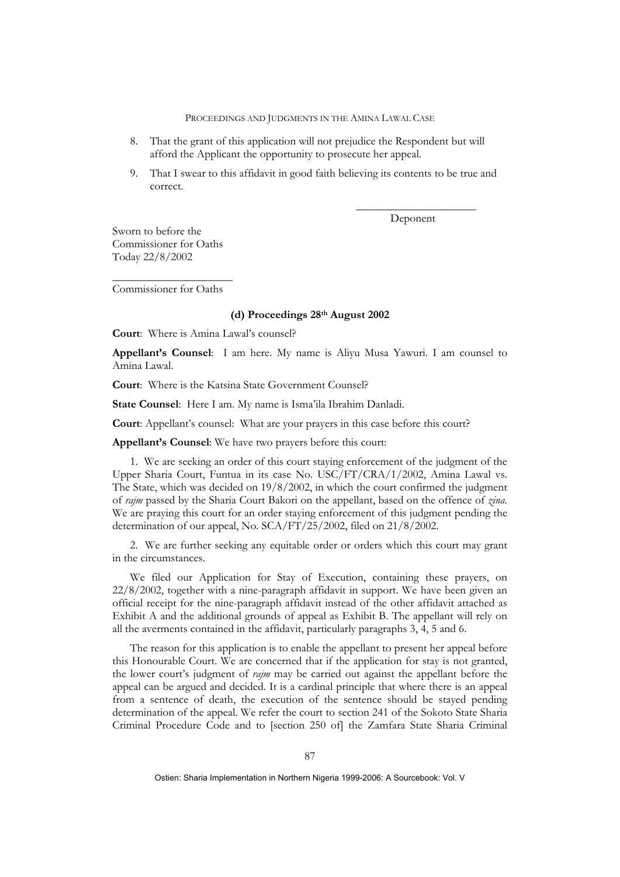- 8. That the grant of this application will not prejudice the Respondent but will afford the Applicant the opportunity to prosecute her appeal.
- 9. That I swear to this affidavit in good faith believing its contents to be true and correct.

 $\mathcal{L}_\text{max}$  and  $\mathcal{L}_\text{max}$  and  $\mathcal{L}_\text{max}$  and  $\mathcal{L}_\text{max}$  and  $\mathcal{L}_\text{max}$ 

Deponent

Sworn to before the Commissioner for Oaths Today 22/8/2002

\_\_\_\_\_\_\_\_\_\_\_\_\_\_\_\_\_\_\_\_\_ Commissioner for Oaths

### **(d) Proceedings 28th August 2002**

**Court**: Where is Amina Lawal's counsel?

**Appellant's Counsel**: I am here. My name is Aliyu Musa Yawuri. I am counsel to Amina Lawal.

**Court**: Where is the Katsina State Government Counsel?

**State Counsel**: Here I am. My name is Isma'ila Ibrahim Danladi.

**Court**: Appellant's counsel: What are your prayers in this case before this court?

**Appellant's Counsel**: We have two prayers before this court:

1. We are seeking an order of this court staying enforcement of the judgment of the Upper Sharia Court, Funtua in its case No. USC/FT/CRA/1/2002, Amina Lawal vs. The State, which was decided on 19/8/2002, in which the court confirmed the judgment of *rajm* passed by the Sharia Court Bakori on the appellant, based on the offence of *zina.* We are praying this court for an order staying enforcement of this judgment pending the determination of our appeal, No. SCA/FT/25/2002, filed on 21/8/2002.

2. We are further seeking any equitable order or orders which this court may grant in the circumstances.

We filed our Application for Stay of Execution, containing these prayers, on 22/8/2002, together with a nine-paragraph affidavit in support. We have been given an official receipt for the nine-paragraph affidavit instead of the other affidavit attached as Exhibit A and the additional grounds of appeal as Exhibit B. The appellant will rely on all the averments contained in the affidavit, particularly paragraphs 3, 4, 5 and 6.

The reason for this application is to enable the appellant to present her appeal before this Honourable Court. We are concerned that if the application for stay is not granted, the lower court's judgment of *rajm* may be carried out against the appellant before the appeal can be argued and decided. It is a cardinal principle that where there is an appeal from a sentence of death, the execution of the sentence should be stayed pending determination of the appeal. We refer the court to section 241 of the Sokoto State Sharia Criminal Procedure Code and to [section 250 of] the Zamfara State Sharia Criminal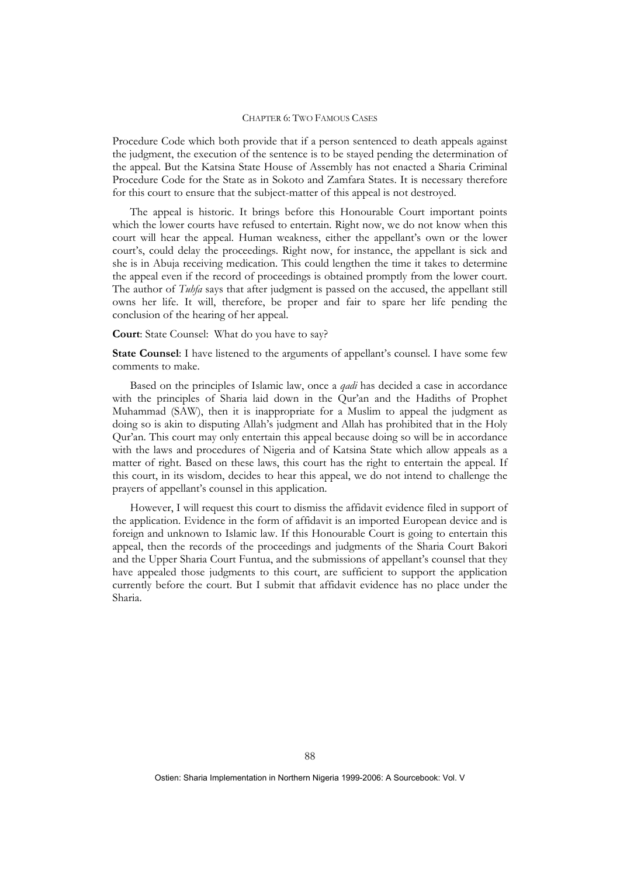Procedure Code which both provide that if a person sentenced to death appeals against the judgment, the execution of the sentence is to be stayed pending the determination of the appeal. But the Katsina State House of Assembly has not enacted a Sharia Criminal Procedure Code for the State as in Sokoto and Zamfara States. It is necessary therefore for this court to ensure that the subject-matter of this appeal is not destroyed.

The appeal is historic. It brings before this Honourable Court important points which the lower courts have refused to entertain. Right now, we do not know when this court will hear the appeal. Human weakness, either the appellant's own or the lower court's, could delay the proceedings. Right now, for instance, the appellant is sick and she is in Abuja receiving medication. This could lengthen the time it takes to determine the appeal even if the record of proceedings is obtained promptly from the lower court. The author of *Tuhfa* says that after judgment is passed on the accused, the appellant still owns her life. It will, therefore, be proper and fair to spare her life pending the conclusion of the hearing of her appeal.

### **Court**: State Counsel: What do you have to say?

**State Counsel:** I have listened to the arguments of appellant's counsel. I have some few comments to make.

Based on the principles of Islamic law, once a *qadi* has decided a case in accordance with the principles of Sharia laid down in the Qur'an and the Hadiths of Prophet Muhammad (SAW), then it is inappropriate for a Muslim to appeal the judgment as doing so is akin to disputing Allah's judgment and Allah has prohibited that in the Holy Qur'an. This court may only entertain this appeal because doing so will be in accordance with the laws and procedures of Nigeria and of Katsina State which allow appeals as a matter of right. Based on these laws, this court has the right to entertain the appeal. If this court, in its wisdom, decides to hear this appeal, we do not intend to challenge the prayers of appellant's counsel in this application.

However, I will request this court to dismiss the affidavit evidence filed in support of the application. Evidence in the form of affidavit is an imported European device and is foreign and unknown to Islamic law. If this Honourable Court is going to entertain this appeal, then the records of the proceedings and judgments of the Sharia Court Bakori and the Upper Sharia Court Funtua, and the submissions of appellant's counsel that they have appealed those judgments to this court, are sufficient to support the application currently before the court. But I submit that affidavit evidence has no place under the Sharia.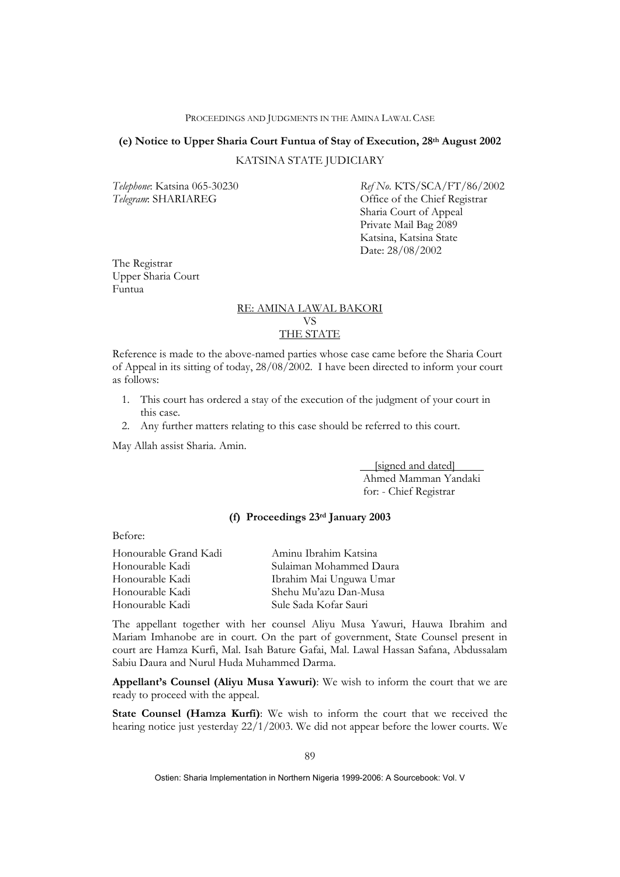# **(e) Notice to Upper Sharia Court Funtua of Stay of Execution, 28th August 2002**

### KATSINA STATE JUDICIARY

*Telephone*: Katsina 065-30230 *Ref No*. KTS/SCA/FT/86/2002 Telegram: SHARIAREG **Office** of the Chief Registrar Sharia Court of Appeal Private Mail Bag 2089 Katsina, Katsina State Date: 28/08/2002

The Registrar Upper Sharia Court Funtua

# RE: AMINA LAWAL BAKORI VS THE STATE

Reference is made to the above-named parties whose case came before the Sharia Court of Appeal in its sitting of today, 28/08/2002. I have been directed to inform your court as follows:

- 1. This court has ordered a stay of the execution of the judgment of your court in this case.
- 2. Any further matters relating to this case should be referred to this court.

May Allah assist Sharia. Amin.

 [signed and dated] Ahmed Mamman Yandaki for: - Chief Registrar

### **(f) Proceedings 23rd January 2003**

Before:

| Honourable Grand Kadi | Aminu Ibrahim Katsina   |
|-----------------------|-------------------------|
| Honourable Kadi       | Sulaiman Mohammed Daura |
| Honourable Kadi       | Ibrahim Mai Unguwa Umar |
| Honourable Kadi       | Shehu Mu'azu Dan-Musa   |
| Honourable Kadi       | Sule Sada Kofar Sauri   |

The appellant together with her counsel Aliyu Musa Yawuri, Hauwa Ibrahim and Mariam Imhanobe are in court. On the part of government, State Counsel present in court are Hamza Kurfi, Mal. Isah Bature Gafai, Mal. Lawal Hassan Safana, Abdussalam Sabiu Daura and Nurul Huda Muhammed Darma.

**Appellant's Counsel (Aliyu Musa Yawuri)**: We wish to inform the court that we are ready to proceed with the appeal.

**State Counsel (Hamza Kurfi)**: We wish to inform the court that we received the hearing notice just yesterday 22/1/2003. We did not appear before the lower courts. We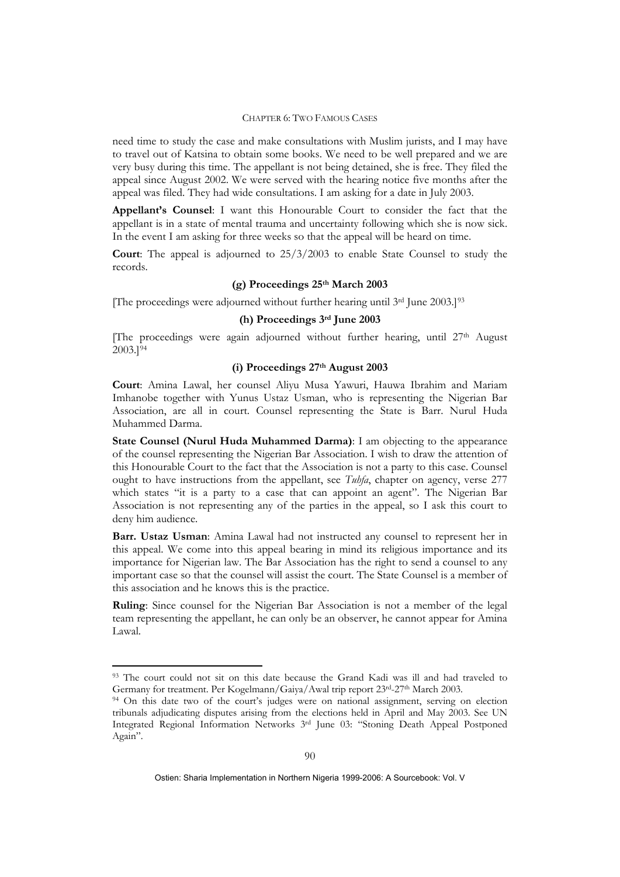need time to study the case and make consultations with Muslim jurists, and I may have to travel out of Katsina to obtain some books. We need to be well prepared and we are very busy during this time. The appellant is not being detained, she is free. They filed the appeal since August 2002. We were served with the hearing notice five months after the appeal was filed. They had wide consultations. I am asking for a date in July 2003.

**Appellant's Counsel**: I want this Honourable Court to consider the fact that the appellant is in a state of mental trauma and uncertainty following which she is now sick. In the event I am asking for three weeks so that the appeal will be heard on time.

**Court**: The appeal is adjourned to 25/3/2003 to enable State Counsel to study the records.

### **(g) Proceedings 25th March 2003**

[The proceedings were adjourned without further hearing until 3rd June 2003.][93](#page-38-0)

## **(h) Proceedings 3rd June 2003**

[The proceedings were again adjourned without further hearing, until 27th August 2003.][94](#page-38-1)

### **(i) Proceedings 27th August 2003**

**Court**: Amina Lawal, her counsel Aliyu Musa Yawuri, Hauwa Ibrahim and Mariam Imhanobe together with Yunus Ustaz Usman, who is representing the Nigerian Bar Association, are all in court. Counsel representing the State is Barr. Nurul Huda Muhammed Darma.

**State Counsel (Nurul Huda Muhammed Darma)**: I am objecting to the appearance of the counsel representing the Nigerian Bar Association. I wish to draw the attention of this Honourable Court to the fact that the Association is not a party to this case. Counsel ought to have instructions from the appellant, see *Tuhfa*, chapter on agency, verse 277 which states "it is a party to a case that can appoint an agent". The Nigerian Bar Association is not representing any of the parties in the appeal, so I ask this court to deny him audience.

**Barr. Ustaz Usman**: Amina Lawal had not instructed any counsel to represent her in this appeal. We come into this appeal bearing in mind its religious importance and its importance for Nigerian law. The Bar Association has the right to send a counsel to any important case so that the counsel will assist the court. The State Counsel is a member of this association and he knows this is the practice.

**Ruling**: Since counsel for the Nigerian Bar Association is not a member of the legal team representing the appellant, he can only be an observer, he cannot appear for Amina Lawal.

<u>.</u>

<span id="page-38-0"></span><sup>93</sup> The court could not sit on this date because the Grand Kadi was ill and had traveled to Germany for treatment. Per Kogelmann/Gaiya/Awal trip report 23<sup>rd</sup>-27<sup>th</sup> March 2003.<br><sup>94</sup> On this date two of the court's judges were on national assignment, serving on election

<span id="page-38-1"></span>tribunals adjudicating disputes arising from the elections held in April and May 2003. See UN Integrated Regional Information Networks 3rd June 03: "Stoning Death Appeal Postponed Again".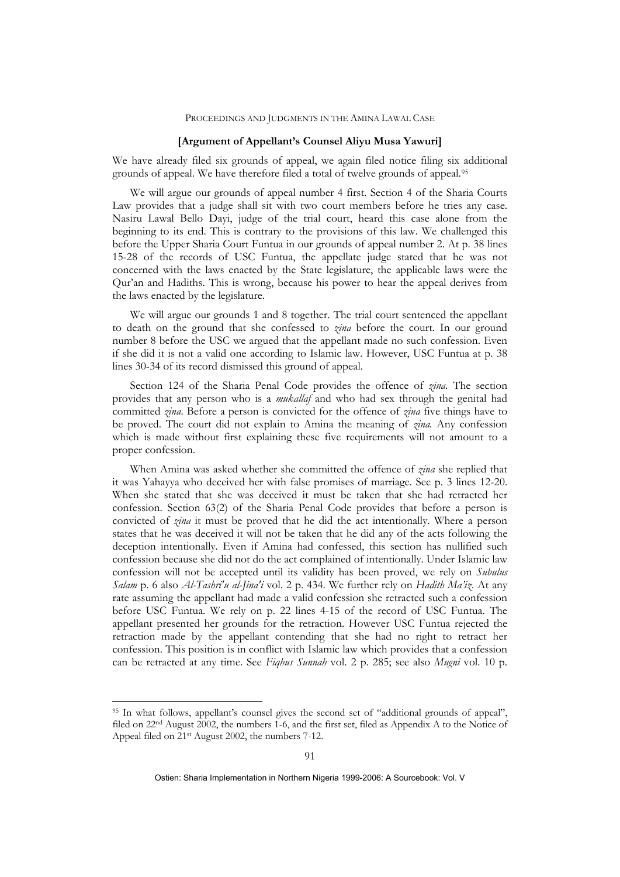### **[Argument of Appellant's Counsel Aliyu Musa Yawuri]**

We have already filed six grounds of appeal, we again filed notice filing six additional grounds of appeal. We have therefore filed a total of twelve grounds of appeal.[95](#page-39-0)

We will argue our grounds of appeal number 4 first. Section 4 of the Sharia Courts Law provides that a judge shall sit with two court members before he tries any case. Nasiru Lawal Bello Dayi, judge of the trial court, heard this case alone from the beginning to its end. This is contrary to the provisions of this law. We challenged this before the Upper Sharia Court Funtua in our grounds of appeal number 2. At p. 38 lines 15-28 of the records of USC Funtua, the appellate judge stated that he was not concerned with the laws enacted by the State legislature, the applicable laws were the Qur'an and Hadiths. This is wrong, because his power to hear the appeal derives from the laws enacted by the legislature.

We will argue our grounds 1 and 8 together. The trial court sentenced the appellant to death on the ground that she confessed to *zina* before the court. In our ground number 8 before the USC we argued that the appellant made no such confession. Even if she did it is not a valid one according to Islamic law. However, USC Funtua at p. 38 lines 30-34 of its record dismissed this ground of appeal.

Section 124 of the Sharia Penal Code provides the offence of *zina.* The section provides that any person who is a *mukallaf* and who had sex through the genital had committed *zina*. Before a person is convicted for the offence of *zina* five things have to be proved. The court did not explain to Amina the meaning of *zina.* Any confession which is made without first explaining these five requirements will not amount to a proper confession.

When Amina was asked whether she committed the offence of *zina* she replied that it was Yahayya who deceived her with false promises of marriage. See p. 3 lines 12-20. When she stated that she was deceived it must be taken that she had retracted her confession. Section 63(2) of the Sharia Penal Code provides that before a person is convicted of *zina* it must be proved that he did the act intentionally. Where a person states that he was deceived it will not be taken that he did any of the acts following the deception intentionally. Even if Amina had confessed, this section has nullified such confession because she did not do the act complained of intentionally. Under Islamic law confession will not be accepted until its validity has been proved, we rely on *Subulus Salam* p. 6 also *Al-Tashri'u al-Jina'i* vol. 2 p. 434. We further rely on *Hadith Ma'iz*. At any rate assuming the appellant had made a valid confession she retracted such a confession before USC Funtua. We rely on p. 22 lines 4-15 of the record of USC Funtua. The appellant presented her grounds for the retraction. However USC Funtua rejected the retraction made by the appellant contending that she had no right to retract her confession. This position is in conflict with Islamic law which provides that a confession can be retracted at any time. See *Fiqhus Sunnah* vol. 2 p. 285; see also *Mugni* vol. 10 p.

1

<span id="page-39-0"></span><sup>95</sup> In what follows, appellant's counsel gives the second set of "additional grounds of appeal", filed on 22nd August 2002, the numbers 1-6, and the first set, filed as Appendix A to the Notice of Appeal filed on 21st August 2002, the numbers 7-12.

Ostien: Sharia Implementation in Northern Nigeria 1999-2006: A Sourcebook: Vol. V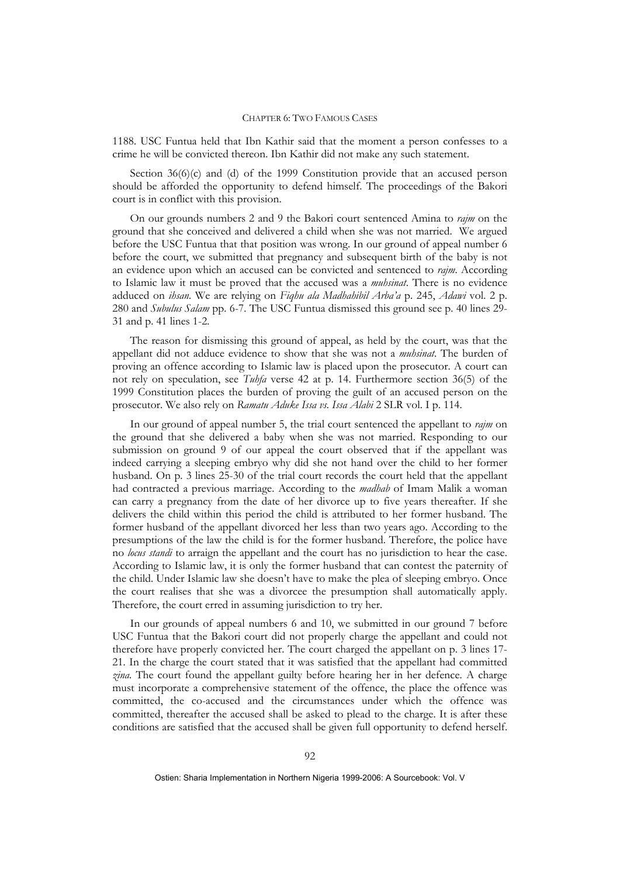1188. USC Funtua held that Ibn Kathir said that the moment a person confesses to a crime he will be convicted thereon. Ibn Kathir did not make any such statement.

Section 36(6)(c) and (d) of the 1999 Constitution provide that an accused person should be afforded the opportunity to defend himself. The proceedings of the Bakori court is in conflict with this provision.

On our grounds numbers 2 and 9 the Bakori court sentenced Amina to *rajm* on the ground that she conceived and delivered a child when she was not married. We argued before the USC Funtua that that position was wrong. In our ground of appeal number 6 before the court, we submitted that pregnancy and subsequent birth of the baby is not an evidence upon which an accused can be convicted and sentenced to *rajm*. According to Islamic law it must be proved that the accused was a *muhsinat*. There is no evidence adduced on *ihsan*. We are relying on *Fiqhu ala Madhahibil Arba'a* p. 245, *Adawi* vol. 2 p. 280 and *Subulus Salam* pp. 6-7. The USC Funtua dismissed this ground see p. 40 lines 29- 31 and p. 41 lines 1-2.

The reason for dismissing this ground of appeal, as held by the court, was that the appellant did not adduce evidence to show that she was not a *muhsinat*. The burden of proving an offence according to Islamic law is placed upon the prosecutor. A court can not rely on speculation, see *Tuhfa* verse 42 at p. 14. Furthermore section 36(5) of the 1999 Constitution places the burden of proving the guilt of an accused person on the prosecutor. We also rely on *Ramatu Aduke Issa vs. Issa Alabi* 2 SLR vol. I p. 114.

In our ground of appeal number 5, the trial court sentenced the appellant to *rajm* on the ground that she delivered a baby when she was not married. Responding to our submission on ground 9 of our appeal the court observed that if the appellant was indeed carrying a sleeping embryo why did she not hand over the child to her former husband. On p. 3 lines 25-30 of the trial court records the court held that the appellant had contracted a previous marriage. According to the *madhab* of Imam Malik a woman can carry a pregnancy from the date of her divorce up to five years thereafter. If she delivers the child within this period the child is attributed to her former husband. The former husband of the appellant divorced her less than two years ago. According to the presumptions of the law the child is for the former husband. Therefore, the police have no *locus standi* to arraign the appellant and the court has no jurisdiction to hear the case. According to Islamic law, it is only the former husband that can contest the paternity of the child. Under Islamic law she doesn't have to make the plea of sleeping embryo. Once the court realises that she was a divorcee the presumption shall automatically apply. Therefore, the court erred in assuming jurisdiction to try her.

In our grounds of appeal numbers 6 and 10, we submitted in our ground 7 before USC Funtua that the Bakori court did not properly charge the appellant and could not therefore have properly convicted her. The court charged the appellant on p. 3 lines 17- 21. In the charge the court stated that it was satisfied that the appellant had committed *zina*. The court found the appellant guilty before hearing her in her defence. A charge must incorporate a comprehensive statement of the offence, the place the offence was committed, the co-accused and the circumstances under which the offence was committed, thereafter the accused shall be asked to plead to the charge. It is after these conditions are satisfied that the accused shall be given full opportunity to defend herself.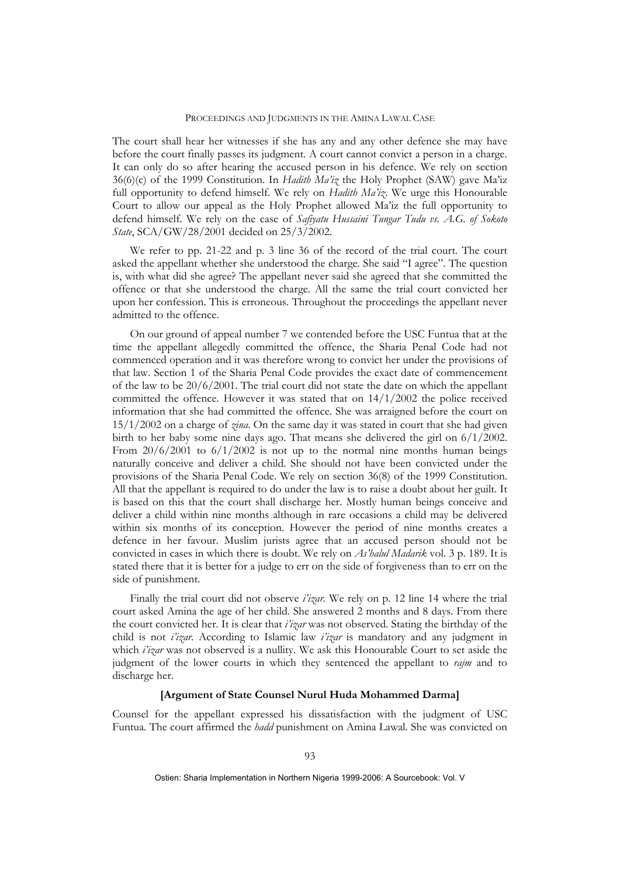The court shall hear her witnesses if she has any and any other defence she may have before the court finally passes its judgment. A court cannot convict a person in a charge. It can only do so after hearing the accused person in his defence. We rely on section 36(6)(c) of the 1999 Constitution. In *Hadith Ma'iz* the Holy Prophet (SAW) gave Ma'iz full opportunity to defend himself. We rely on *Hadith Ma'iz*. We urge this Honourable Court to allow our appeal as the Holy Prophet allowed Ma'iz the full opportunity to defend himself. We rely on the case of *Safiyatu Hussaini Tungar Tudu vs. A.G. of Sokoto State*, SCA/GW/28/2001 decided on 25/3/2002.

We refer to pp. 21-22 and p. 3 line 36 of the record of the trial court. The court asked the appellant whether she understood the charge. She said "I agree". The question is, with what did she agree? The appellant never said she agreed that she committed the offence or that she understood the charge. All the same the trial court convicted her upon her confession. This is erroneous. Throughout the proceedings the appellant never admitted to the offence.

On our ground of appeal number 7 we contended before the USC Funtua that at the time the appellant allegedly committed the offence, the Sharia Penal Code had not commenced operation and it was therefore wrong to convict her under the provisions of that law. Section 1 of the Sharia Penal Code provides the exact date of commencement of the law to be  $20/6/2001$ . The trial court did not state the date on which the appellant committed the offence. However it was stated that on 14/1/2002 the police received information that she had committed the offence. She was arraigned before the court on 15/1/2002 on a charge of *zina*. On the same day it was stated in court that she had given birth to her baby some nine days ago. That means she delivered the girl on 6/1/2002. From  $20/6/2001$  to  $6/1/2002$  is not up to the normal nine months human beings naturally conceive and deliver a child. She should not have been convicted under the provisions of the Sharia Penal Code. We rely on section 36(8) of the 1999 Constitution. All that the appellant is required to do under the law is to raise a doubt about her guilt. It is based on this that the court shall discharge her. Mostly human beings conceive and deliver a child within nine months although in rare occasions a child may be delivered within six months of its conception. However the period of nine months creates a defence in her favour. Muslim jurists agree that an accused person should not be convicted in cases in which there is doubt. We rely on *As'halul Madarik* vol. 3 p. 189. It is stated there that it is better for a judge to err on the side of forgiveness than to err on the side of punishment.

Finally the trial court did not observe *i'izar.* We rely on p. 12 line 14 where the trial court asked Amina the age of her child. She answered 2 months and 8 days. From there the court convicted her. It is clear that *i'izar* was not observed. Stating the birthday of the child is not *i'izar.* According to Islamic law *i'izar* is mandatory and any judgment in which *i'izar* was not observed is a nullity. We ask this Honourable Court to set aside the judgment of the lower courts in which they sentenced the appellant to *rajm* and to discharge her.

### **[Argument of State Counsel Nurul Huda Mohammed Darma]**

Counsel for the appellant expressed his dissatisfaction with the judgment of USC Funtua. The court affirmed the *hadd* punishment on Amina Lawal. She was convicted on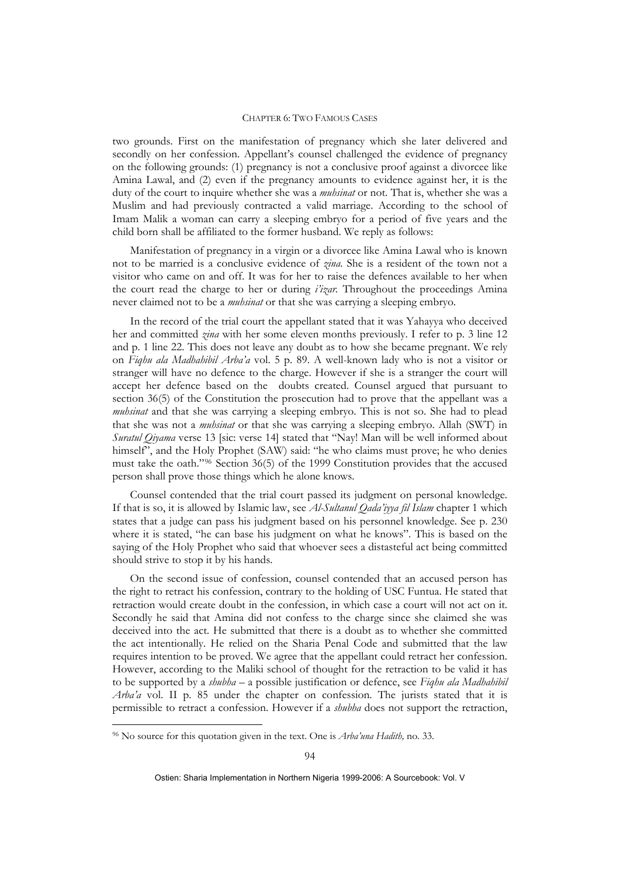two grounds. First on the manifestation of pregnancy which she later delivered and secondly on her confession. Appellant's counsel challenged the evidence of pregnancy on the following grounds: (1) pregnancy is not a conclusive proof against a divorcee like Amina Lawal, and (2) even if the pregnancy amounts to evidence against her, it is the duty of the court to inquire whether she was a *muhsinat* or not. That is, whether she was a Muslim and had previously contracted a valid marriage. According to the school of Imam Malik a woman can carry a sleeping embryo for a period of five years and the child born shall be affiliated to the former husband. We reply as follows:

Manifestation of pregnancy in a virgin or a divorcee like Amina Lawal who is known not to be married is a conclusive evidence of *zina*. She is a resident of the town not a visitor who came on and off. It was for her to raise the defences available to her when the court read the charge to her or during *i'izar.* Throughout the proceedings Amina never claimed not to be a *muhsinat* or that she was carrying a sleeping embryo.

In the record of the trial court the appellant stated that it was Yahayya who deceived her and committed *zina* with her some eleven months previously. I refer to p. 3 line 12 and p. 1 line 22. This does not leave any doubt as to how she became pregnant. We rely on *Fiqhu ala Madhahibil Arba'a* vol. 5 p. 89. A well-known lady who is not a visitor or stranger will have no defence to the charge. However if she is a stranger the court will accept her defence based on the doubts created. Counsel argued that pursuant to section 36(5) of the Constitution the prosecution had to prove that the appellant was a *muhsinat* and that she was carrying a sleeping embryo. This is not so. She had to plead that she was not a *muhsinat* or that she was carrying a sleeping embryo. Allah (SWT) in *Suratul Qiyama* verse 13 [sic: verse 14] stated that "Nay! Man will be well informed about himself", and the Holy Prophet (SAW) said: "he who claims must prove; he who denies must take the oath."[96](#page-42-0) Section 36(5) of the 1999 Constitution provides that the accused person shall prove those things which he alone knows.

Counsel contended that the trial court passed its judgment on personal knowledge. If that is so, it is allowed by Islamic law, see *Al-Sultanul Qada'iyya fil Islam* chapter 1 which states that a judge can pass his judgment based on his personnel knowledge. See p. 230 where it is stated, "he can base his judgment on what he knows". This is based on the saying of the Holy Prophet who said that whoever sees a distasteful act being committed should strive to stop it by his hands.

On the second issue of confession, counsel contended that an accused person has the right to retract his confession, contrary to the holding of USC Funtua. He stated that retraction would create doubt in the confession, in which case a court will not act on it. Secondly he said that Amina did not confess to the charge since she claimed she was deceived into the act. He submitted that there is a doubt as to whether she committed the act intentionally. He relied on the Sharia Penal Code and submitted that the law requires intention to be proved. We agree that the appellant could retract her confession. However, according to the Maliki school of thought for the retraction to be valid it has to be supported by a *shubha* – a possible justification or defence, see *Fiqhu ala Madhahibil Arba'a* vol. II p. 85 under the chapter on confession. The jurists stated that it is permissible to retract a confession. However if a *shubha* does not support the retraction,

1

<span id="page-42-0"></span><sup>96</sup> No source for this quotation given in the text. One is *Arba'una Hadith,* no. 33.

Ostien: Sharia Implementation in Northern Nigeria 1999-2006: A Sourcebook: Vol. V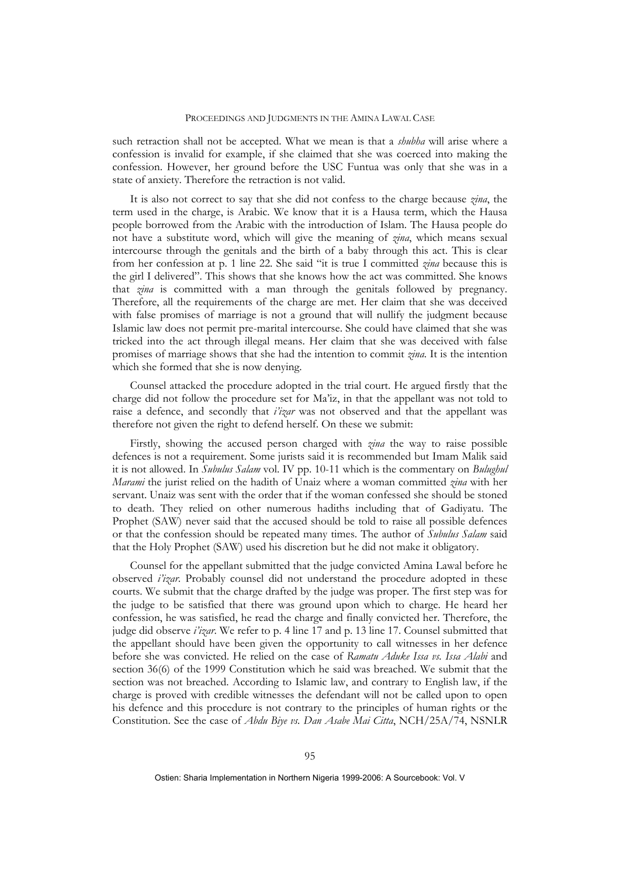such retraction shall not be accepted. What we mean is that a *shubha* will arise where a confession is invalid for example, if she claimed that she was coerced into making the confession. However, her ground before the USC Funtua was only that she was in a state of anxiety. Therefore the retraction is not valid.

It is also not correct to say that she did not confess to the charge because *zina*, the term used in the charge, is Arabic. We know that it is a Hausa term, which the Hausa people borrowed from the Arabic with the introduction of Islam. The Hausa people do not have a substitute word, which will give the meaning of *zina*, which means sexual intercourse through the genitals and the birth of a baby through this act. This is clear from her confession at p. 1 line 22. She said "it is true I committed *zina* because this is the girl I delivered". This shows that she knows how the act was committed. She knows that *zina* is committed with a man through the genitals followed by pregnancy. Therefore, all the requirements of the charge are met. Her claim that she was deceived with false promises of marriage is not a ground that will nullify the judgment because Islamic law does not permit pre-marital intercourse. She could have claimed that she was tricked into the act through illegal means. Her claim that she was deceived with false promises of marriage shows that she had the intention to commit *zina*. It is the intention which she formed that she is now denying.

Counsel attacked the procedure adopted in the trial court. He argued firstly that the charge did not follow the procedure set for Ma'iz, in that the appellant was not told to raise a defence, and secondly that *i'izar* was not observed and that the appellant was therefore not given the right to defend herself. On these we submit:

Firstly, showing the accused person charged with *zina* the way to raise possible defences is not a requirement. Some jurists said it is recommended but Imam Malik said it is not allowed. In *Subulus Salam* vol. IV pp. 10-11 which is the commentary on *Bulughul Marami* the jurist relied on the hadith of Unaiz where a woman committed *zina* with her servant. Unaiz was sent with the order that if the woman confessed she should be stoned to death. They relied on other numerous hadiths including that of Gadiyatu. The Prophet (SAW) never said that the accused should be told to raise all possible defences or that the confession should be repeated many times. The author of *Subulus Salam* said that the Holy Prophet (SAW) used his discretion but he did not make it obligatory.

Counsel for the appellant submitted that the judge convicted Amina Lawal before he observed *i'izar*. Probably counsel did not understand the procedure adopted in these courts. We submit that the charge drafted by the judge was proper. The first step was for the judge to be satisfied that there was ground upon which to charge. He heard her confession, he was satisfied, he read the charge and finally convicted her. Therefore, the judge did observe *i'izar*. We refer to p. 4 line 17 and p. 13 line 17. Counsel submitted that the appellant should have been given the opportunity to call witnesses in her defence before she was convicted. He relied on the case of *Ramatu Aduke Issa vs. Issa Alabi* and section 36(6) of the 1999 Constitution which he said was breached. We submit that the section was not breached. According to Islamic law, and contrary to English law, if the charge is proved with credible witnesses the defendant will not be called upon to open his defence and this procedure is not contrary to the principles of human rights or the Constitution. See the case of *Abdu Biye vs. Dan Asabe Mai Citta*, NCH/25A/74, NSNLR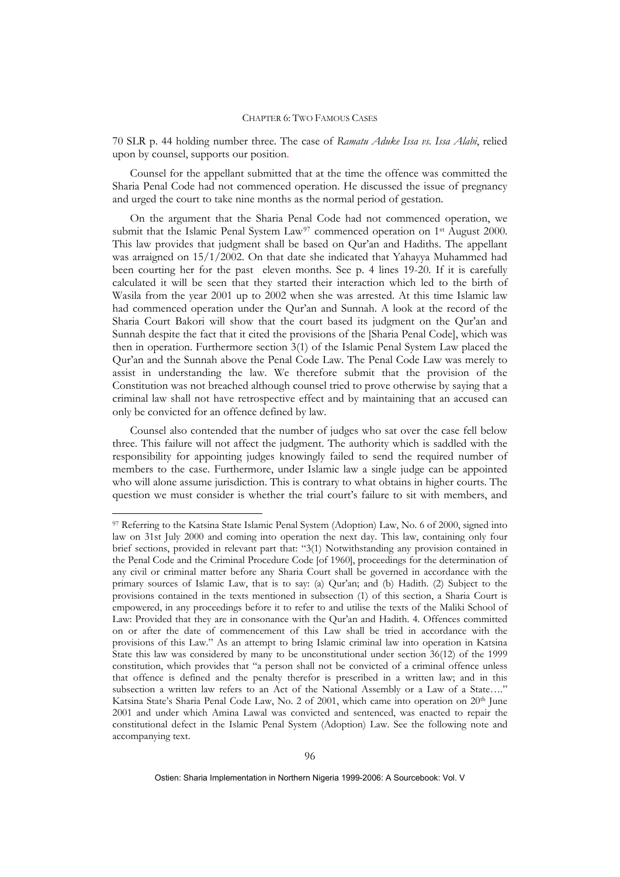70 SLR p. 44 holding number three. The case of *Ramatu Aduke Issa vs. Issa Alabi*, relied upon by counsel, supports our position.

Counsel for the appellant submitted that at the time the offence was committed the Sharia Penal Code had not commenced operation. He discussed the issue of pregnancy and urged the court to take nine months as the normal period of gestation.

On the argument that the Sharia Penal Code had not commenced operation, we submit that the Islamic Penal System Law<sup>[97](#page-44-0)</sup> commenced operation on  $1<sup>st</sup>$  August 2000. This law provides that judgment shall be based on Qur'an and Hadiths. The appellant was arraigned on 15/1/2002. On that date she indicated that Yahayya Muhammed had been courting her for the past eleven months. See p. 4 lines 19-20. If it is carefully calculated it will be seen that they started their interaction which led to the birth of Wasila from the year 2001 up to 2002 when she was arrested. At this time Islamic law had commenced operation under the Qur'an and Sunnah. A look at the record of the Sharia Court Bakori will show that the court based its judgment on the Qur'an and Sunnah despite the fact that it cited the provisions of the [Sharia Penal Code], which was then in operation. Furthermore section 3(1) of the Islamic Penal System Law placed the Qur'an and the Sunnah above the Penal Code Law. The Penal Code Law was merely to assist in understanding the law. We therefore submit that the provision of the Constitution was not breached although counsel tried to prove otherwise by saying that a criminal law shall not have retrospective effect and by maintaining that an accused can only be convicted for an offence defined by law.

Counsel also contended that the number of judges who sat over the case fell below three. This failure will not affect the judgment. The authority which is saddled with the responsibility for appointing judges knowingly failed to send the required number of members to the case. Furthermore, under Islamic law a single judge can be appointed who will alone assume jurisdiction. This is contrary to what obtains in higher courts. The question we must consider is whether the trial court's failure to sit with members, and

<u>.</u>

<span id="page-44-0"></span><sup>97</sup> Referring to the Katsina State Islamic Penal System (Adoption) Law, No. 6 of 2000, signed into law on 31st July 2000 and coming into operation the next day. This law, containing only four brief sections, provided in relevant part that: "3(1) Notwithstanding any provision contained in the Penal Code and the Criminal Procedure Code [of 1960], proceedings for the determination of any civil or criminal matter before any Sharia Court shall be governed in accordance with the primary sources of Islamic Law, that is to say: (a) Qur'an; and (b) Hadith. (2) Subject to the provisions contained in the texts mentioned in subsection (1) of this section, a Sharia Court is empowered, in any proceedings before it to refer to and utilise the texts of the Maliki School of Law: Provided that they are in consonance with the Qur'an and Hadith. 4. Offences committed on or after the date of commencement of this Law shall be tried in accordance with the provisions of this Law." As an attempt to bring Islamic criminal law into operation in Katsina State this law was considered by many to be unconstitutional under section 36(12) of the 1999 constitution, which provides that "a person shall not be convicted of a criminal offence unless that offence is defined and the penalty therefor is prescribed in a written law; and in this subsection a written law refers to an Act of the National Assembly or a Law of a State…." Katsina State's Sharia Penal Code Law, No. 2 of 2001, which came into operation on 20<sup>th</sup> June 2001 and under which Amina Lawal was convicted and sentenced, was enacted to repair the constitutional defect in the Islamic Penal System (Adoption) Law. See the following note and accompanying text.

Ostien: Sharia Implementation in Northern Nigeria 1999-2006: A Sourcebook: Vol. V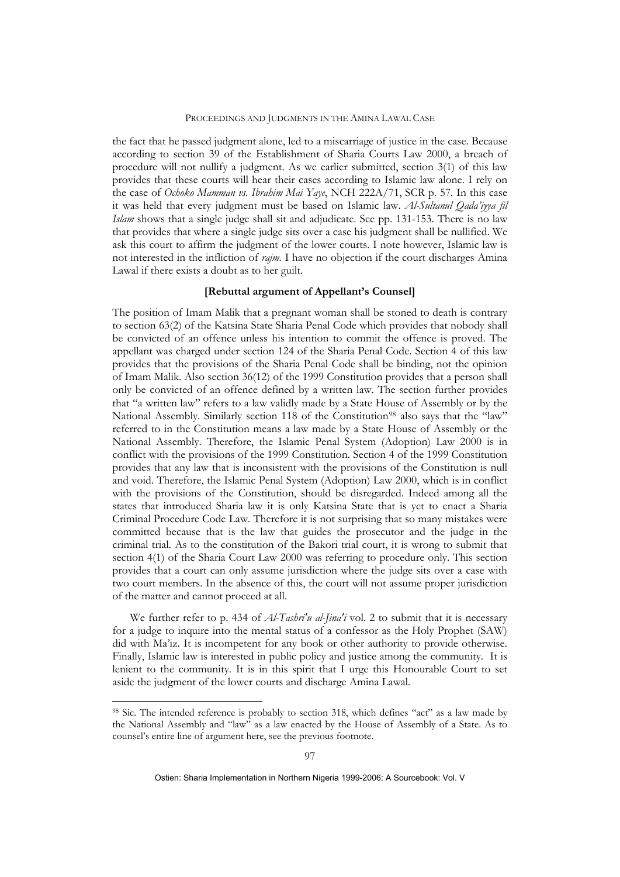the fact that he passed judgment alone, led to a miscarriage of justice in the case. Because according to section 39 of the Establishment of Sharia Courts Law 2000, a breach of procedure will not nullify a judgment. As we earlier submitted, section 3(1) of this law provides that these courts will hear their cases according to Islamic law alone. I rely on the case of *Ochoko Mamman vs. Ibrahim Mai Yaye*, NCH 222A/71, SCR p. 57. In this case it was held that every judgment must be based on Islamic law. *Al-Sultanul Qada'iyya fil Islam* shows that a single judge shall sit and adjudicate. See pp. 131-153. There is no law that provides that where a single judge sits over a case his judgment shall be nullified. We ask this court to affirm the judgment of the lower courts. I note however, Islamic law is not interested in the infliction of *rajm.* I have no objection if the court discharges Amina Lawal if there exists a doubt as to her guilt.

# **[Rebuttal argument of Appellant's Counsel]**

The position of Imam Malik that a pregnant woman shall be stoned to death is contrary to section 63(2) of the Katsina State Sharia Penal Code which provides that nobody shall be convicted of an offence unless his intention to commit the offence is proved. The appellant was charged under section 124 of the Sharia Penal Code. Section 4 of this law provides that the provisions of the Sharia Penal Code shall be binding, not the opinion of Imam Malik. Also section 36(12) of the 1999 Constitution provides that a person shall only be convicted of an offence defined by a written law. The section further provides that "a written law" refers to a law validly made by a State House of Assembly or by the National Assembly. Similarly section 118 of the Constitution<sup>[98](#page-45-0)</sup> also says that the "law" referred to in the Constitution means a law made by a State House of Assembly or the National Assembly. Therefore, the Islamic Penal System (Adoption) Law 2000 is in conflict with the provisions of the 1999 Constitution. Section 4 of the 1999 Constitution provides that any law that is inconsistent with the provisions of the Constitution is null and void. Therefore, the Islamic Penal System (Adoption) Law 2000, which is in conflict with the provisions of the Constitution, should be disregarded. Indeed among all the states that introduced Sharia law it is only Katsina State that is yet to enact a Sharia Criminal Procedure Code Law. Therefore it is not surprising that so many mistakes were committed because that is the law that guides the prosecutor and the judge in the criminal trial. As to the constitution of the Bakori trial court, it is wrong to submit that section 4(1) of the Sharia Court Law 2000 was referring to procedure only. This section provides that a court can only assume jurisdiction where the judge sits over a case with two court members. In the absence of this, the court will not assume proper jurisdiction of the matter and cannot proceed at all.

We further refer to p. 434 of *Al-Tashri'u al-Jina'i* vol. 2 to submit that it is necessary for a judge to inquire into the mental status of a confessor as the Holy Prophet (SAW) did with Ma'iz. It is incompetent for any book or other authority to provide otherwise. Finally, Islamic law is interested in public policy and justice among the community. It is lenient to the community. It is in this spirit that I urge this Honourable Court to set aside the judgment of the lower courts and discharge Amina Lawal.

1

<span id="page-45-0"></span><sup>98</sup> Sic. The intended reference is probably to section 318, which defines "act" as a law made by the National Assembly and "law" as a law enacted by the House of Assembly of a State. As to counsel's entire line of argument here, see the previous footnote.

Ostien: Sharia Implementation in Northern Nigeria 1999-2006: A Sourcebook: Vol. V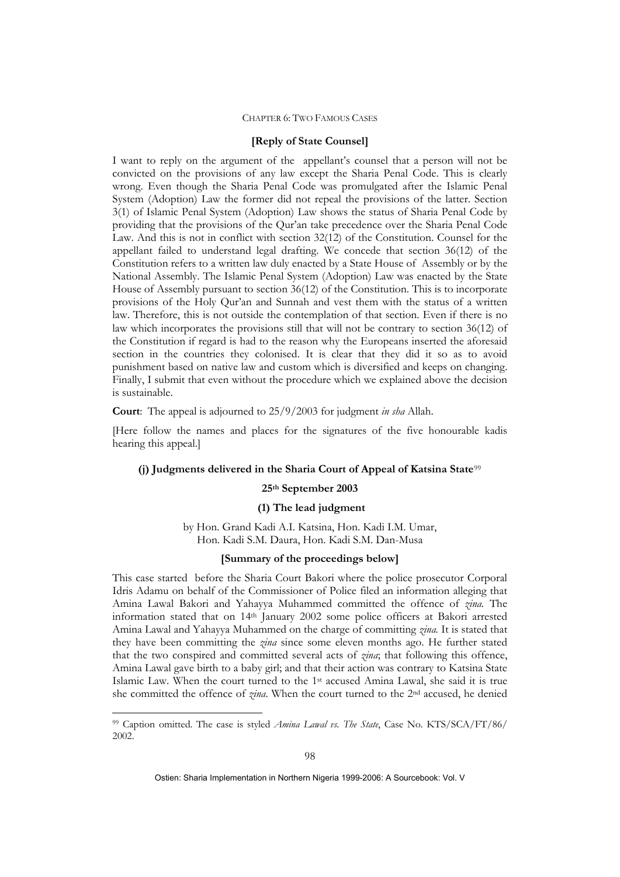### **[Reply of State Counsel]**

I want to reply on the argument of the appellant's counsel that a person will not be convicted on the provisions of any law except the Sharia Penal Code. This is clearly wrong. Even though the Sharia Penal Code was promulgated after the Islamic Penal System (Adoption) Law the former did not repeal the provisions of the latter. Section 3(1) of Islamic Penal System (Adoption) Law shows the status of Sharia Penal Code by providing that the provisions of the Qur'an take precedence over the Sharia Penal Code Law. And this is not in conflict with section 32(12) of the Constitution. Counsel for the appellant failed to understand legal drafting. We concede that section 36(12) of the Constitution refers to a written law duly enacted by a State House of Assembly or by the National Assembly. The Islamic Penal System (Adoption) Law was enacted by the State House of Assembly pursuant to section 36(12) of the Constitution. This is to incorporate provisions of the Holy Qur'an and Sunnah and vest them with the status of a written law. Therefore, this is not outside the contemplation of that section. Even if there is no law which incorporates the provisions still that will not be contrary to section 36(12) of the Constitution if regard is had to the reason why the Europeans inserted the aforesaid section in the countries they colonised. It is clear that they did it so as to avoid punishment based on native law and custom which is diversified and keeps on changing. Finally, I submit that even without the procedure which we explained above the decision is sustainable.

**Court**: The appeal is adjourned to 25/9/2003 for judgment *in sha* Allah.

[Here follow the names and places for the signatures of the five honourable kadis hearing this appeal.]

#### **(j) Judgments delivered in the Sharia Court of Appeal of Katsina State**[99](#page-46-0)

### **25th September 2003**

### **(1) The lead judgment**

by Hon. Grand Kadi A.I. Katsina, Hon. Kadi I.M. Umar, Hon. Kadi S.M. Daura, Hon. Kadi S.M. Dan-Musa

# **[Summary of the proceedings below]**

This case started before the Sharia Court Bakori where the police prosecutor Corporal Idris Adamu on behalf of the Commissioner of Police filed an information alleging that Amina Lawal Bakori and Yahayya Muhammed committed the offence of *zina.* The information stated that on 14th January 2002 some police officers at Bakori arrested Amina Lawal and Yahayya Muhammed on the charge of committing *zina.* It is stated that they have been committing the *zina* since some eleven months ago. He further stated that the two conspired and committed several acts of *zina*; that following this offence, Amina Lawal gave birth to a baby girl; and that their action was contrary to Katsina State Islamic Law. When the court turned to the 1st accused Amina Lawal, she said it is true she committed the offence of *zina*. When the court turned to the 2nd accused, he denied

1

<span id="page-46-0"></span><sup>99</sup> Caption omitted. The case is styled *Amina Lawal vs. The State*, Case No. KTS/SCA/FT/86/ 2002.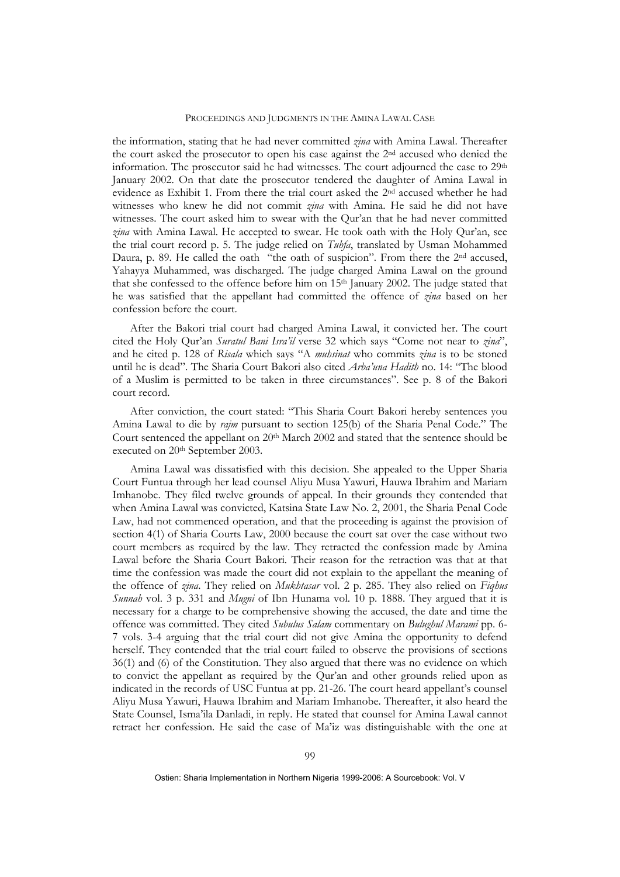the information, stating that he had never committed *zina* with Amina Lawal. Thereafter the court asked the prosecutor to open his case against the 2nd accused who denied the information. The prosecutor said he had witnesses. The court adjourned the case to 29<sup>th</sup> January 2002. On that date the prosecutor tendered the daughter of Amina Lawal in evidence as Exhibit 1. From there the trial court asked the 2nd accused whether he had witnesses who knew he did not commit *zina* with Amina. He said he did not have witnesses. The court asked him to swear with the Qur'an that he had never committed *zina* with Amina Lawal. He accepted to swear. He took oath with the Holy Qur'an, see the trial court record p. 5. The judge relied on *Tuhfa*, translated by Usman Mohammed Daura, p. 89. He called the oath "the oath of suspicion". From there the 2<sup>nd</sup> accused, Yahayya Muhammed, was discharged. The judge charged Amina Lawal on the ground that she confessed to the offence before him on  $15<sup>th</sup>$  January 2002. The judge stated that he was satisfied that the appellant had committed the offence of *zina* based on her confession before the court.

After the Bakori trial court had charged Amina Lawal, it convicted her. The court cited the Holy Qur'an *Suratul Bani Isra'il* verse 32 which says "Come not near to *zina*", and he cited p. 128 of *Risala* which says "A *muhsinat* who commits *zina* is to be stoned until he is dead". The Sharia Court Bakori also cited *Arba'una Hadith* no. 14: "The blood of a Muslim is permitted to be taken in three circumstances". See p. 8 of the Bakori court record.

After conviction, the court stated: "This Sharia Court Bakori hereby sentences you Amina Lawal to die by *rajm* pursuant to section 125(b) of the Sharia Penal Code." The Court sentenced the appellant on 20<sup>th</sup> March 2002 and stated that the sentence should be executed on 20th September 2003.

Amina Lawal was dissatisfied with this decision. She appealed to the Upper Sharia Court Funtua through her lead counsel Aliyu Musa Yawuri, Hauwa Ibrahim and Mariam Imhanobe. They filed twelve grounds of appeal. In their grounds they contended that when Amina Lawal was convicted, Katsina State Law No. 2, 2001, the Sharia Penal Code Law, had not commenced operation, and that the proceeding is against the provision of section 4(1) of Sharia Courts Law, 2000 because the court sat over the case without two court members as required by the law. They retracted the confession made by Amina Lawal before the Sharia Court Bakori. Their reason for the retraction was that at that time the confession was made the court did not explain to the appellant the meaning of the offence of *zina*. They relied on *Mukhtasar* vol. 2 p. 285. They also relied on *Fiqhus Sunnah* vol. 3 p. 331 and *Mugni* of Ibn Hunama vol. 10 p. 1888. They argued that it is necessary for a charge to be comprehensive showing the accused, the date and time the offence was committed. They cited *Subulus Salam* commentary on *Bulughul Marami* pp. 6- 7 vols. 3-4 arguing that the trial court did not give Amina the opportunity to defend herself. They contended that the trial court failed to observe the provisions of sections 36(1) and (6) of the Constitution. They also argued that there was no evidence on which to convict the appellant as required by the Qur'an and other grounds relied upon as indicated in the records of USC Funtua at pp. 21-26. The court heard appellant's counsel Aliyu Musa Yawuri, Hauwa Ibrahim and Mariam Imhanobe. Thereafter, it also heard the State Counsel, Isma'ila Danladi, in reply. He stated that counsel for Amina Lawal cannot retract her confession. He said the case of Ma'iz was distinguishable with the one at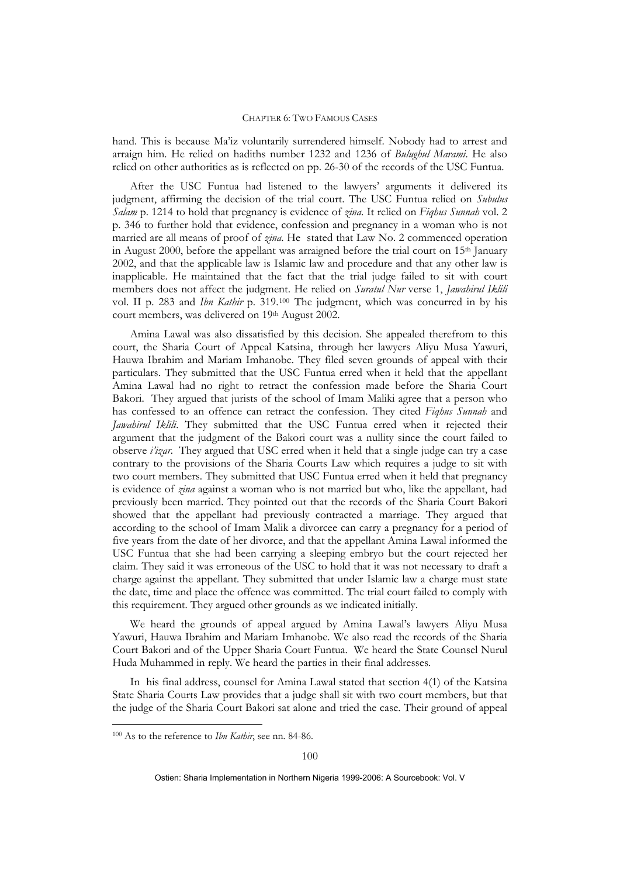hand. This is because Ma'iz voluntarily surrendered himself. Nobody had to arrest and arraign him. He relied on hadiths number 1232 and 1236 of *Bulughul Marami*. He also relied on other authorities as is reflected on pp. 26-30 of the records of the USC Funtua.

After the USC Funtua had listened to the lawyers' arguments it delivered its judgment, affirming the decision of the trial court. The USC Funtua relied on *Subulus Salam* p. 1214 to hold that pregnancy is evidence of *zina*. It relied on *Fiqhus Sunnah* vol. 2 p. 346 to further hold that evidence, confession and pregnancy in a woman who is not married are all means of proof of *zina*. He stated that Law No. 2 commenced operation in August 2000, before the appellant was arraigned before the trial court on 15th January 2002, and that the applicable law is Islamic law and procedure and that any other law is inapplicable. He maintained that the fact that the trial judge failed to sit with court members does not affect the judgment. He relied on *Suratul Nur* verse 1, *Jawahirul Iklili* vol. II p. 283 and *Ibn Kathir* p. 319.[100](#page-48-0) The judgment, which was concurred in by his court members, was delivered on 19th August 2002.

Amina Lawal was also dissatisfied by this decision. She appealed therefrom to this court, the Sharia Court of Appeal Katsina, through her lawyers Aliyu Musa Yawuri, Hauwa Ibrahim and Mariam Imhanobe. They filed seven grounds of appeal with their particulars. They submitted that the USC Funtua erred when it held that the appellant Amina Lawal had no right to retract the confession made before the Sharia Court Bakori. They argued that jurists of the school of Imam Maliki agree that a person who has confessed to an offence can retract the confession. They cited *Fiqhus Sunnah* and *Jawahirul Iklili*. They submitted that the USC Funtua erred when it rejected their argument that the judgment of the Bakori court was a nullity since the court failed to observe *i'izar*. They argued that USC erred when it held that a single judge can try a case contrary to the provisions of the Sharia Courts Law which requires a judge to sit with two court members. They submitted that USC Funtua erred when it held that pregnancy is evidence of *zina* against a woman who is not married but who, like the appellant, had previously been married. They pointed out that the records of the Sharia Court Bakori showed that the appellant had previously contracted a marriage. They argued that according to the school of Imam Malik a divorcee can carry a pregnancy for a period of five years from the date of her divorce, and that the appellant Amina Lawal informed the USC Funtua that she had been carrying a sleeping embryo but the court rejected her claim. They said it was erroneous of the USC to hold that it was not necessary to draft a charge against the appellant. They submitted that under Islamic law a charge must state the date, time and place the offence was committed. The trial court failed to comply with this requirement. They argued other grounds as we indicated initially.

We heard the grounds of appeal argued by Amina Lawal's lawyers Aliyu Musa Yawuri, Hauwa Ibrahim and Mariam Imhanobe. We also read the records of the Sharia Court Bakori and of the Upper Sharia Court Funtua. We heard the State Counsel Nurul Huda Muhammed in reply. We heard the parties in their final addresses.

In his final address, counsel for Amina Lawal stated that section 4(1) of the Katsina State Sharia Courts Law provides that a judge shall sit with two court members, but that the judge of the Sharia Court Bakori sat alone and tried the case. Their ground of appeal

1

<span id="page-48-0"></span><sup>100</sup> As to the reference to *Ibn Kathir*, see nn. 84-86.

Ostien: Sharia Implementation in Northern Nigeria 1999-2006: A Sourcebook: Vol. V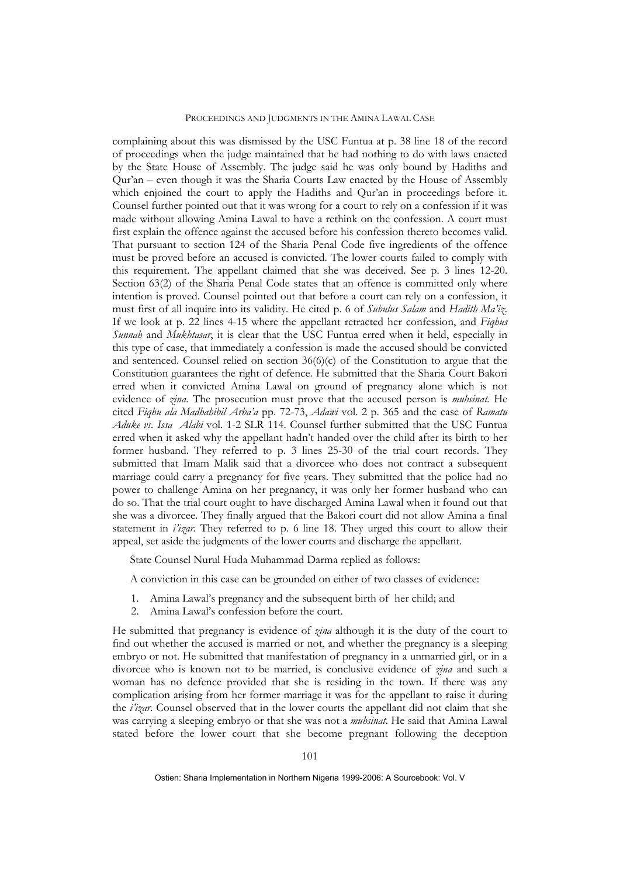complaining about this was dismissed by the USC Funtua at p. 38 line 18 of the record of proceedings when the judge maintained that he had nothing to do with laws enacted by the State House of Assembly. The judge said he was only bound by Hadiths and Qur'an – even though it was the Sharia Courts Law enacted by the House of Assembly which enjoined the court to apply the Hadiths and Qur'an in proceedings before it. Counsel further pointed out that it was wrong for a court to rely on a confession if it was made without allowing Amina Lawal to have a rethink on the confession. A court must first explain the offence against the accused before his confession thereto becomes valid. That pursuant to section 124 of the Sharia Penal Code five ingredients of the offence must be proved before an accused is convicted. The lower courts failed to comply with this requirement. The appellant claimed that she was deceived. See p. 3 lines 12-20. Section 63(2) of the Sharia Penal Code states that an offence is committed only where intention is proved. Counsel pointed out that before a court can rely on a confession, it must first of all inquire into its validity. He cited p. 6 of *Subulus Salam* and *Hadith Ma'iz*. If we look at p. 22 lines 4-15 where the appellant retracted her confession, and *Fiqhus Sunnah* and *Mukhtasar*, it is clear that the USC Funtua erred when it held, especially in this type of case, that immediately a confession is made the accused should be convicted and sentenced. Counsel relied on section  $36(6)(c)$  of the Constitution to argue that the Constitution guarantees the right of defence. He submitted that the Sharia Court Bakori erred when it convicted Amina Lawal on ground of pregnancy alone which is not evidence of *zina*. The prosecution must prove that the accused person is *muhsinat.* He cited *Fiqhu ala Madhahibil Arba'a* pp. 72-73, *Adawi* vol. 2 p. 365 and the case of *Ramatu Aduke vs. Issa Alabi* vol. 1-2 SLR 114. Counsel further submitted that the USC Funtua erred when it asked why the appellant hadn't handed over the child after its birth to her former husband. They referred to p. 3 lines 25-30 of the trial court records. They submitted that Imam Malik said that a divorcee who does not contract a subsequent marriage could carry a pregnancy for five years. They submitted that the police had no power to challenge Amina on her pregnancy, it was only her former husband who can do so. That the trial court ought to have discharged Amina Lawal when it found out that she was a divorcee. They finally argued that the Bakori court did not allow Amina a final statement in  $i'izar$ . They referred to p. 6 line 18. They urged this court to allow their appeal, set aside the judgments of the lower courts and discharge the appellant.

State Counsel Nurul Huda Muhammad Darma replied as follows:

A conviction in this case can be grounded on either of two classes of evidence:

- 1. Amina Lawal's pregnancy and the subsequent birth of her child; and
- 2. Amina Lawal's confession before the court.

He submitted that pregnancy is evidence of *zina* although it is the duty of the court to find out whether the accused is married or not, and whether the pregnancy is a sleeping embryo or not. He submitted that manifestation of pregnancy in a unmarried girl, or in a divorcee who is known not to be married, is conclusive evidence of *zina* and such a woman has no defence provided that she is residing in the town. If there was any complication arising from her former marriage it was for the appellant to raise it during the *i'izar.* Counsel observed that in the lower courts the appellant did not claim that she was carrying a sleeping embryo or that she was not a *muhsinat*. He said that Amina Lawal stated before the lower court that she become pregnant following the deception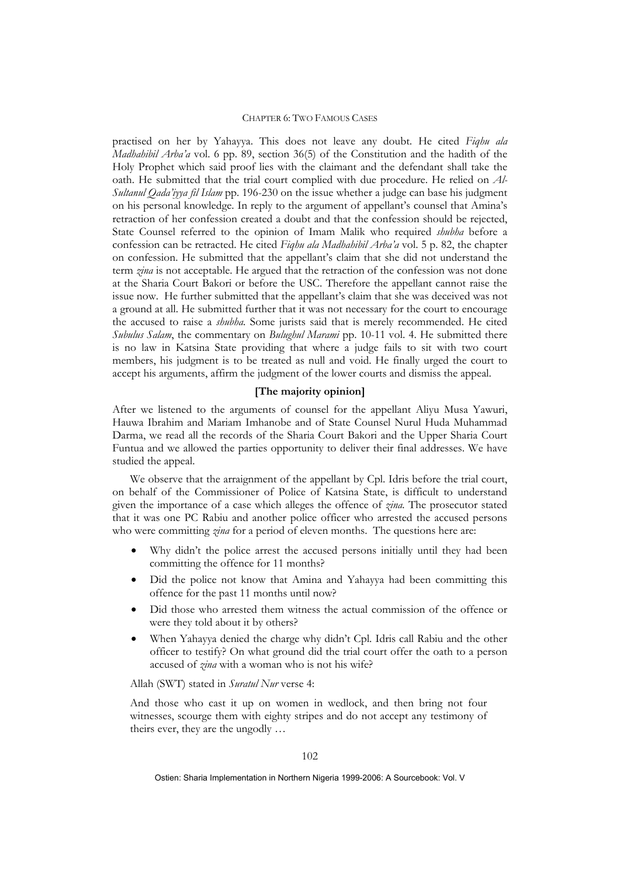practised on her by Yahayya. This does not leave any doubt. He cited *Fiqhu ala Madhahibil Arba'a* vol. 6 pp. 89, section 36(5) of the Constitution and the hadith of the Holy Prophet which said proof lies with the claimant and the defendant shall take the oath. He submitted that the trial court complied with due procedure. He relied on *Al-Sultanul Qada'iyya fil Islam* pp. 196-230 on the issue whether a judge can base his judgment on his personal knowledge. In reply to the argument of appellant's counsel that Amina's retraction of her confession created a doubt and that the confession should be rejected, State Counsel referred to the opinion of Imam Malik who required *shubha* before a confession can be retracted. He cited *Fiqhu ala Madhahibil Arba'a* vol. 5 p. 82, the chapter on confession. He submitted that the appellant's claim that she did not understand the term *zina* is not acceptable. He argued that the retraction of the confession was not done at the Sharia Court Bakori or before the USC. Therefore the appellant cannot raise the issue now. He further submitted that the appellant's claim that she was deceived was not a ground at all. He submitted further that it was not necessary for the court to encourage the accused to raise a *shubha.* Some jurists said that is merely recommended. He cited *Subulus Salam*, the commentary on *Bulughul Marami* pp. 10-11 vol. 4. He submitted there is no law in Katsina State providing that where a judge fails to sit with two court members, his judgment is to be treated as null and void. He finally urged the court to accept his arguments, affirm the judgment of the lower courts and dismiss the appeal.

### **[The majority opinion]**

After we listened to the arguments of counsel for the appellant Aliyu Musa Yawuri, Hauwa Ibrahim and Mariam Imhanobe and of State Counsel Nurul Huda Muhammad Darma, we read all the records of the Sharia Court Bakori and the Upper Sharia Court Funtua and we allowed the parties opportunity to deliver their final addresses. We have studied the appeal.

We observe that the arraignment of the appellant by Cpl. Idris before the trial court, on behalf of the Commissioner of Police of Katsina State, is difficult to understand given the importance of a case which alleges the offence of *zina.* The prosecutor stated that it was one PC Rabiu and another police officer who arrested the accused persons who were committing *zina* for a period of eleven months. The questions here are:

- Why didn't the police arrest the accused persons initially until they had been committing the offence for 11 months?
- Did the police not know that Amina and Yahayya had been committing this offence for the past 11 months until now?
- Did those who arrested them witness the actual commission of the offence or were they told about it by others?
- When Yahayya denied the charge why didn't Cpl. Idris call Rabiu and the other officer to testify? On what ground did the trial court offer the oath to a person accused of *zina* with a woman who is not his wife?

Allah (SWT) stated in *Suratul Nur* verse 4:

And those who cast it up on women in wedlock, and then bring not four witnesses, scourge them with eighty stripes and do not accept any testimony of theirs ever, they are the ungodly …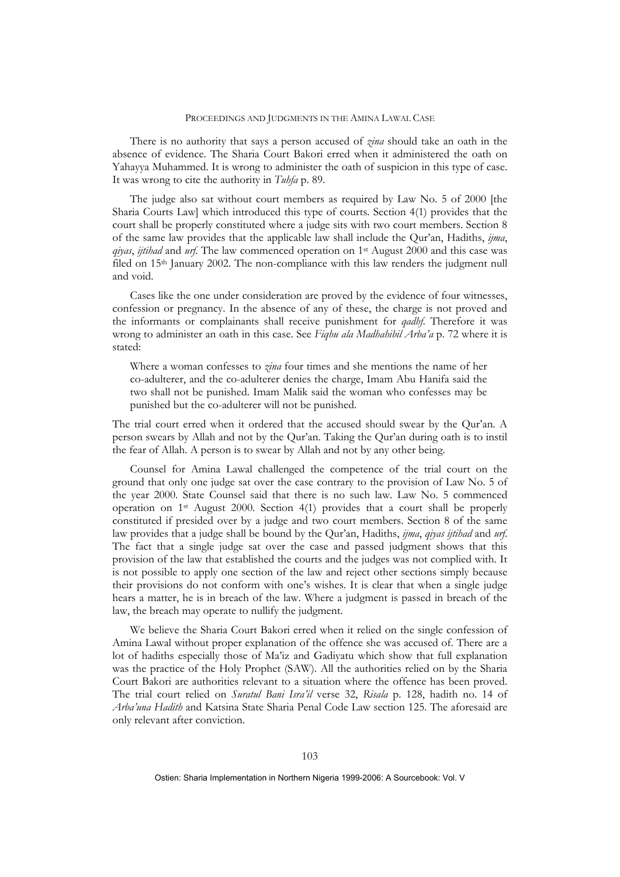There is no authority that says a person accused of *zina* should take an oath in the absence of evidence. The Sharia Court Bakori erred when it administered the oath on Yahayya Muhammed. It is wrong to administer the oath of suspicion in this type of case. It was wrong to cite the authority in *Tuhfa* p. 89.

The judge also sat without court members as required by Law No. 5 of 2000 [the Sharia Courts Law] which introduced this type of courts. Section 4(1) provides that the court shall be properly constituted where a judge sits with two court members. Section 8 of the same law provides that the applicable law shall include the Qur'an, Hadiths, *ijma*, *qiyas*, *ijtihad* and *urf*. The law commenced operation on 1st August 2000 and this case was filed on 15th January 2002. The non-compliance with this law renders the judgment null and void.

Cases like the one under consideration are proved by the evidence of four witnesses, confession or pregnancy. In the absence of any of these, the charge is not proved and the informants or complainants shall receive punishment for *qadhf*. Therefore it was wrong to administer an oath in this case. See *Fiqhu ala Madhahibil Arba'a* p. 72 where it is stated:

Where a woman confesses to *zina* four times and she mentions the name of her co-adulterer, and the co-adulterer denies the charge, Imam Abu Hanifa said the two shall not be punished. Imam Malik said the woman who confesses may be punished but the co-adulterer will not be punished.

The trial court erred when it ordered that the accused should swear by the Qur'an. A person swears by Allah and not by the Qur'an. Taking the Qur'an during oath is to instil the fear of Allah. A person is to swear by Allah and not by any other being.

Counsel for Amina Lawal challenged the competence of the trial court on the ground that only one judge sat over the case contrary to the provision of Law No. 5 of the year 2000. State Counsel said that there is no such law. Law No. 5 commenced operation on 1st August 2000. Section 4(1) provides that a court shall be properly constituted if presided over by a judge and two court members. Section 8 of the same law provides that a judge shall be bound by the Qur'an, Hadiths, *ijma*, *qiyas ijtihad* and *urf*. The fact that a single judge sat over the case and passed judgment shows that this provision of the law that established the courts and the judges was not complied with. It is not possible to apply one section of the law and reject other sections simply because their provisions do not conform with one's wishes. It is clear that when a single judge hears a matter, he is in breach of the law. Where a judgment is passed in breach of the law, the breach may operate to nullify the judgment.

We believe the Sharia Court Bakori erred when it relied on the single confession of Amina Lawal without proper explanation of the offence she was accused of. There are a lot of hadiths especially those of Ma'iz and Gadiyatu which show that full explanation was the practice of the Holy Prophet (SAW). All the authorities relied on by the Sharia Court Bakori are authorities relevant to a situation where the offence has been proved. The trial court relied on *Suratul Bani Isra'il* verse 32, *Risala* p. 128, hadith no. 14 of *Arba'una Hadith* and Katsina State Sharia Penal Code Law section 125. The aforesaid are only relevant after conviction.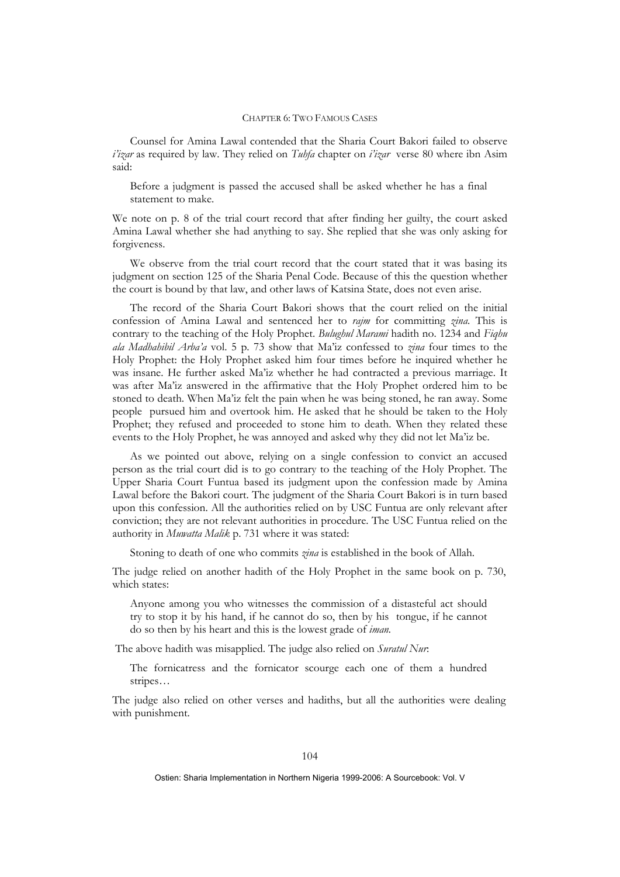Counsel for Amina Lawal contended that the Sharia Court Bakori failed to observe *i'izar* as required by law. They relied on *Tuhfa* chapter on *i'izar* verse 80 where ibn Asim said:

Before a judgment is passed the accused shall be asked whether he has a final statement to make.

We note on p. 8 of the trial court record that after finding her guilty, the court asked Amina Lawal whether she had anything to say. She replied that she was only asking for forgiveness.

We observe from the trial court record that the court stated that it was basing its judgment on section 125 of the Sharia Penal Code. Because of this the question whether the court is bound by that law, and other laws of Katsina State, does not even arise.

The record of the Sharia Court Bakori shows that the court relied on the initial confession of Amina Lawal and sentenced her to *rajm* for committing *zina*. This is contrary to the teaching of the Holy Prophet. *Bulughul Marami* hadith no. 1234 and *Fiqhu ala Madhahibil Arba'a* vol. 5 p. 73 show that Ma'iz confessed to *zina* four times to the Holy Prophet: the Holy Prophet asked him four times before he inquired whether he was insane. He further asked Ma'iz whether he had contracted a previous marriage. It was after Ma'iz answered in the affirmative that the Holy Prophet ordered him to be stoned to death. When Ma'iz felt the pain when he was being stoned, he ran away. Some people pursued him and overtook him. He asked that he should be taken to the Holy Prophet; they refused and proceeded to stone him to death. When they related these events to the Holy Prophet, he was annoyed and asked why they did not let Ma'iz be.

As we pointed out above, relying on a single confession to convict an accused person as the trial court did is to go contrary to the teaching of the Holy Prophet. The Upper Sharia Court Funtua based its judgment upon the confession made by Amina Lawal before the Bakori court. The judgment of the Sharia Court Bakori is in turn based upon this confession. All the authorities relied on by USC Funtua are only relevant after conviction; they are not relevant authorities in procedure. The USC Funtua relied on the authority in *Muwatta Malik* p. 731 where it was stated:

Stoning to death of one who commits *zina* is established in the book of Allah.

The judge relied on another hadith of the Holy Prophet in the same book on p. 730, which states:

Anyone among you who witnesses the commission of a distasteful act should try to stop it by his hand, if he cannot do so, then by his tongue, if he cannot do so then by his heart and this is the lowest grade of *iman.*

The above hadith was misapplied. The judge also relied on *Suratul Nur*:

The fornicatress and the fornicator scourge each one of them a hundred stripes…

The judge also relied on other verses and hadiths, but all the authorities were dealing with punishment.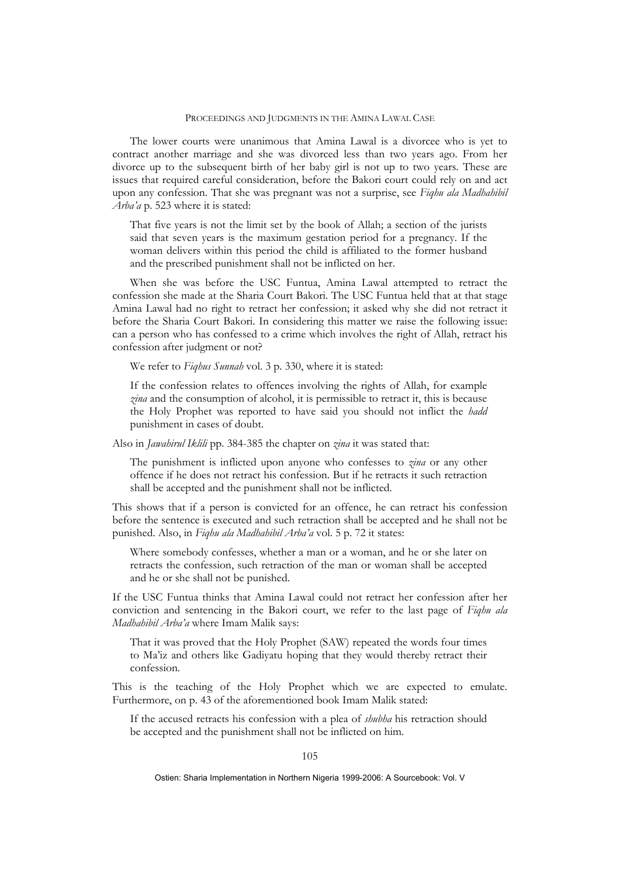The lower courts were unanimous that Amina Lawal is a divorcee who is yet to contract another marriage and she was divorced less than two years ago. From her divorce up to the subsequent birth of her baby girl is not up to two years. These are issues that required careful consideration, before the Bakori court could rely on and act upon any confession. That she was pregnant was not a surprise, see *Fiqhu ala Madhahibil Arba'a* p. 523 where it is stated:

That five years is not the limit set by the book of Allah; a section of the jurists said that seven years is the maximum gestation period for a pregnancy. If the woman delivers within this period the child is affiliated to the former husband and the prescribed punishment shall not be inflicted on her.

When she was before the USC Funtua, Amina Lawal attempted to retract the confession she made at the Sharia Court Bakori. The USC Funtua held that at that stage Amina Lawal had no right to retract her confession; it asked why she did not retract it before the Sharia Court Bakori. In considering this matter we raise the following issue: can a person who has confessed to a crime which involves the right of Allah, retract his confession after judgment or not?

We refer to *Fiqhus Sunnah* vol. 3 p. 330, where it is stated:

If the confession relates to offences involving the rights of Allah, for example *zina* and the consumption of alcohol, it is permissible to retract it, this is because the Holy Prophet was reported to have said you should not inflict the *hadd*  punishment in cases of doubt.

Also in *Jawahirul Iklili* pp. 384-385 the chapter on *zina* it was stated that:

The punishment is inflicted upon anyone who confesses to *zina* or any other offence if he does not retract his confession. But if he retracts it such retraction shall be accepted and the punishment shall not be inflicted.

This shows that if a person is convicted for an offence, he can retract his confession before the sentence is executed and such retraction shall be accepted and he shall not be punished. Also, in *Fiqhu ala Madhahibil Arba'a* vol. 5 p. 72 it states:

Where somebody confesses, whether a man or a woman, and he or she later on retracts the confession, such retraction of the man or woman shall be accepted and he or she shall not be punished.

If the USC Funtua thinks that Amina Lawal could not retract her confession after her conviction and sentencing in the Bakori court, we refer to the last page of *Fiqhu ala Madhahibil Arba'a* where Imam Malik says:

That it was proved that the Holy Prophet (SAW) repeated the words four times to Ma'iz and others like Gadiyatu hoping that they would thereby retract their confession.

This is the teaching of the Holy Prophet which we are expected to emulate. Furthermore, on p. 43 of the aforementioned book Imam Malik stated:

If the accused retracts his confession with a plea of *shubha* his retraction should be accepted and the punishment shall not be inflicted on him.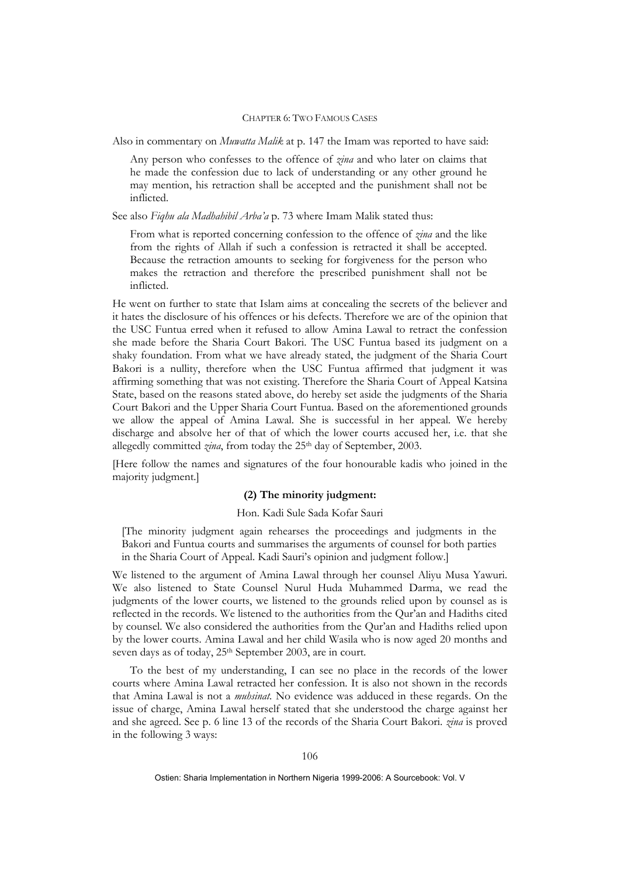Also in commentary on *Muwatta Malik* at p. 147 the Imam was reported to have said:

Any person who confesses to the offence of *zina* and who later on claims that he made the confession due to lack of understanding or any other ground he may mention, his retraction shall be accepted and the punishment shall not be inflicted.

See also *Fiqhu ala Madhahibil Arba'a* p. 73 where Imam Malik stated thus:

From what is reported concerning confession to the offence of *zina* and the like from the rights of Allah if such a confession is retracted it shall be accepted. Because the retraction amounts to seeking for forgiveness for the person who makes the retraction and therefore the prescribed punishment shall not be inflicted.

He went on further to state that Islam aims at concealing the secrets of the believer and it hates the disclosure of his offences or his defects. Therefore we are of the opinion that the USC Funtua erred when it refused to allow Amina Lawal to retract the confession she made before the Sharia Court Bakori. The USC Funtua based its judgment on a shaky foundation. From what we have already stated, the judgment of the Sharia Court Bakori is a nullity, therefore when the USC Funtua affirmed that judgment it was affirming something that was not existing. Therefore the Sharia Court of Appeal Katsina State, based on the reasons stated above, do hereby set aside the judgments of the Sharia Court Bakori and the Upper Sharia Court Funtua. Based on the aforementioned grounds we allow the appeal of Amina Lawal. She is successful in her appeal. We hereby discharge and absolve her of that of which the lower courts accused her, i.e. that she allegedly committed *zina*, from today the 25<sup>th</sup> day of September, 2003.

[Here follow the names and signatures of the four honourable kadis who joined in the majority judgment.]

## **(2) The minority judgment:**

### Hon. Kadi Sule Sada Kofar Sauri

[The minority judgment again rehearses the proceedings and judgments in the Bakori and Funtua courts and summarises the arguments of counsel for both parties in the Sharia Court of Appeal. Kadi Sauri's opinion and judgment follow.]

We listened to the argument of Amina Lawal through her counsel Aliyu Musa Yawuri. We also listened to State Counsel Nurul Huda Muhammed Darma, we read the judgments of the lower courts, we listened to the grounds relied upon by counsel as is reflected in the records. We listened to the authorities from the Qur'an and Hadiths cited by counsel. We also considered the authorities from the Qur'an and Hadiths relied upon by the lower courts. Amina Lawal and her child Wasila who is now aged 20 months and seven days as of today, 25<sup>th</sup> September 2003, are in court.

To the best of my understanding, I can see no place in the records of the lower courts where Amina Lawal retracted her confession. It is also not shown in the records that Amina Lawal is not a *muhsinat*. No evidence was adduced in these regards. On the issue of charge, Amina Lawal herself stated that she understood the charge against her and she agreed. See p. 6 line 13 of the records of the Sharia Court Bakori. *zina* is proved in the following 3 ways: